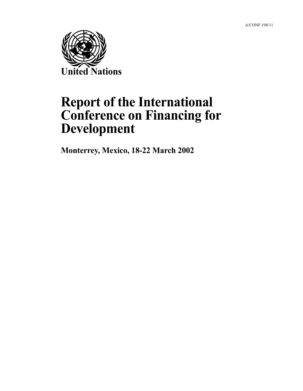

# **Report of the International Conference on Financing for Development**

Monterrey, Mexico, 18-22 March 2002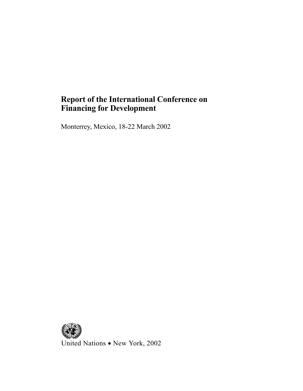# Report of the International Conference on **Financing for Development**

Monterrey, Mexico, 18-22 March 2002



United Nations • New York, 2002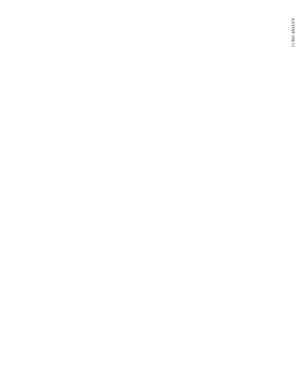A/CONF.198/11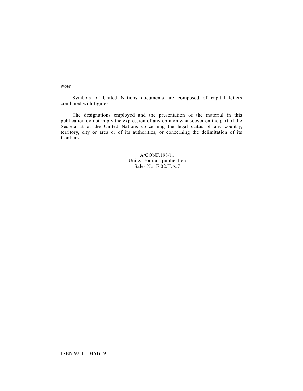Symbols of United Nations documents are composed of capital letters combined with figures.

The designations employed and the presentation of the material in this publication do not imply the expression of any opinion whatsoever on the part of the Secretariat of the United Nations concerning the legal status of any country, territory, city or area or of its authorities, or concerning the delimitation of its frontiers.

> A/CONF.198/11 United Nations publication Sales No. E.02.II.A.7

**Note**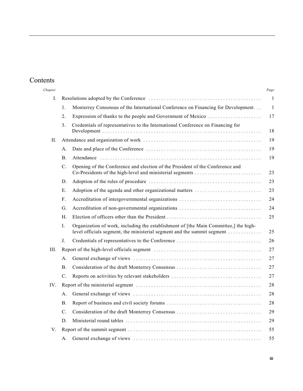# Contents

| Chapter |                |                                                                                                                                                                 | Page         |
|---------|----------------|-----------------------------------------------------------------------------------------------------------------------------------------------------------------|--------------|
| L.      |                |                                                                                                                                                                 |              |
|         | 1.             | Monterrey Consensus of the International Conference on Financing for Development                                                                                | $\mathbf{1}$ |
|         | 2.             | Expression of thanks to the people and Government of Mexico                                                                                                     | 17           |
|         | 3.             | Credentials of representatives to the International Conference on Financing for                                                                                 | 18           |
| II.     |                |                                                                                                                                                                 | 19           |
|         | А.             |                                                                                                                                                                 | 19           |
|         | <b>B.</b>      |                                                                                                                                                                 | 19           |
|         | C.             | Opening of the Conference and election of the President of the Conference and                                                                                   | 23           |
|         | D.             |                                                                                                                                                                 | 23           |
|         | E.             |                                                                                                                                                                 | 23           |
|         | $F_{\rm{L}}$   |                                                                                                                                                                 | 24           |
|         | G.             |                                                                                                                                                                 | 24           |
|         | Н.             |                                                                                                                                                                 | 25           |
|         | L.             | Organization of work, including the establishment of [the Main Committee,] the high-<br>level officials segment, the ministerial segment and the summit segment | 25           |
|         | J.             |                                                                                                                                                                 | 26           |
| III.    |                |                                                                                                                                                                 | 27           |
|         | A <sub>1</sub> |                                                                                                                                                                 | 27           |
|         | <b>B.</b>      | Consideration of the draft Monterrey Consensus                                                                                                                  | 27           |
|         | C.             |                                                                                                                                                                 | 27           |
| IV.     |                |                                                                                                                                                                 |              |
|         | A.             |                                                                                                                                                                 | 28           |
|         | <b>B.</b>      |                                                                                                                                                                 | 28           |
|         | $\mathbf{C}$ . |                                                                                                                                                                 | 29           |
|         | D.             |                                                                                                                                                                 | 29           |
| V.      |                |                                                                                                                                                                 | 55           |
|         | A.             |                                                                                                                                                                 | 55           |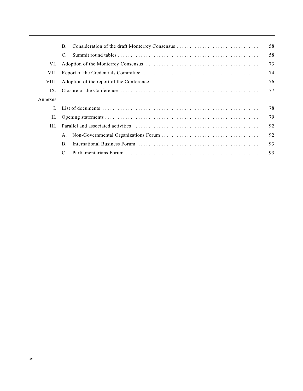|         | Consideration of the draft Monterrey Consensus<br>B. | 58 |
|---------|------------------------------------------------------|----|
|         |                                                      | 58 |
| VI.     |                                                      | 73 |
| VII.    |                                                      | 74 |
| VIII.   |                                                      | 76 |
| IX.     |                                                      | 77 |
| Annexes |                                                      |    |
| L       | 78                                                   |    |
| Н.      |                                                      |    |
| III.    |                                                      | 92 |
|         | A.                                                   | 92 |
|         | $\mathbf{B}$ .                                       | 93 |
|         | C.                                                   | 93 |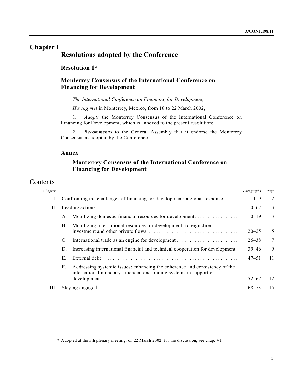### **Chapter I Resolutions adopted by the Conference**

#### **Resolution 1\***

#### Monterrey Consensus of the International Conference on **Financing for Development**

The International Conference on Financing for Development,

Having met in Monterrey, Mexico, from 18 to 22 March 2002,

 $1.$ Adopts the Monterrey Consensus of the International Conference on Financing for Development, which is annexed to the present resolution;

Recommends to the General Assembly that it endorse the Monterrey  $\overline{2}$ . Consensus as adopted by the Conference.

#### **Annex**

#### Monterrey Consensus of the International Conference on **Financing for Development**

### Contents

| Chapter |                                                                            |                                                                                                                                                   | Paragraphs | Page |
|---------|----------------------------------------------------------------------------|---------------------------------------------------------------------------------------------------------------------------------------------------|------------|------|
| Ι.      | Confronting the challenges of financing for development: a global response |                                                                                                                                                   | $1 - 9$    | 2    |
| П.      |                                                                            |                                                                                                                                                   | $10 - 67$  | 3    |
|         | А.                                                                         | Mobilizing domestic financial resources for development                                                                                           | $10 - 19$  | 3    |
|         | В.                                                                         | Mobilizing international resources for development: foreign direct                                                                                | $20 - 25$  | 5    |
|         | C.                                                                         | International trade as an engine for development                                                                                                  | $26 - 38$  | 7    |
|         | D.                                                                         | Increasing international financial and technical cooperation for development                                                                      | $39 - 46$  | ç    |
|         | Е.                                                                         |                                                                                                                                                   | $47 - 51$  | 11   |
|         | F.                                                                         | Addressing systemic issues: enhancing the coherence and consistency of the<br>international monetary, financial and trading systems in support of |            |      |
|         |                                                                            |                                                                                                                                                   | $52 - 67$  | 12   |
| III.    |                                                                            |                                                                                                                                                   | 68-73      | 15   |
|         |                                                                            |                                                                                                                                                   |            |      |

<sup>\*</sup> Adopted at the 5th plenary meeting, on 22 March 2002; for the discussion, see chap. VI.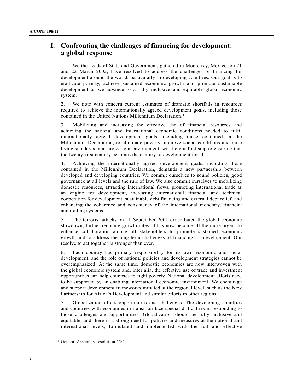### I. Confronting the challenges of financing for development: a global response

We the heads of State and Government, gathered in Monterrey, Mexico, on 21 1. and 22 March 2002, have resolved to address the challenges of financing for development around the world, particularly in developing countries. Our goal is to eradicate poverty, achieve sustained economic growth and promote sustainable development as we advance to a fully inclusive and equitable global economic system.

2. We note with concern current estimates of dramatic shortfalls in resources required to achieve the internationally agreed development goals, including those contained in the United Nations Millennium Declaration.<sup>1</sup>

Mobilizing and increasing the effective use of financial resources and 3. achieving the national and international economic conditions needed to fulfil internationally agreed development goals, including those contained in the Millennium Declaration, to eliminate poverty, improve social conditions and raise living standards, and protect our environment, will be our first step to ensuring that the twenty-first century becomes the century of development for all.

Achieving the internationally agreed development goals, including those 4. contained in the Millennium Declaration, demands a new partnership between developed and developing countries. We commit ourselves to sound policies, good governance at all levels and the rule of law. We also commit ourselves to mobilizing domestic resources, attracting international flows, promoting international trade as an engine for development, increasing international financial and technical cooperation for development, sustainable debt financing and external debt relief, and enhancing the coherence and consistency of the international monetary, financial and trading systems.

The terrorist attacks on 11 September 2001 exacerbated the global economic 5. slowdown, further reducing growth rates. It has now become all the more urgent to enhance collaboration among all stakeholders to promote sustained economic growth and to address the long-term challenges of financing for development. Our resolve to act together is stronger than ever.

6. Each country has primary responsibility for its own economic and social development, and the role of national policies and development strategies cannot be overemphasized. At the same time, domestic economies are now interwoven with the global economic system and, inter alia, the effective use of trade and investment opportunities can help countries to fight poverty. National development efforts need to be supported by an enabling international economic environment. We encourage and support development frameworks initiated at the regional level, such as the New Partnership for Africa's Development and similar efforts in other regions.

7. Globalization offers opportunities and challenges. The developing countries and countries with economies in transition face special difficulties in responding to those challenges and opportunities. Globalization should be fully inclusive and equitable, and there is a strong need for policies and measures at the national and international levels, formulated and implemented with the full and effective

<sup>&</sup>lt;sup>1</sup> General Assembly resolution 55/2.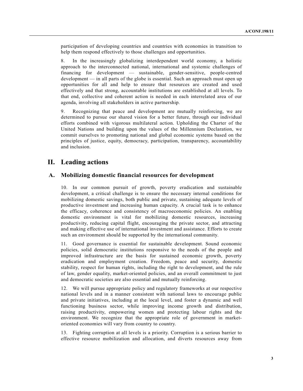participation of developing countries and countries with economies in transition to help them respond effectively to those challenges and opportunities.

In the increasingly globalizing interdependent world economy, a holistic 8. approach to the interconnected national, international and systemic challenges of financing for development — sustainable, gender-sensitive, people-centred development — in all parts of the globe is essential. Such an approach must open up opportunities for all and help to ensure that resources are created and used effectively and that strong, accountable institutions are established at all levels. To that end, collective and coherent action is needed in each interrelated area of our agenda, involving all stakeholders in active partnership.

9. Recognizing that peace and development are mutually reinforcing, we are determined to pursue our shared vision for a better future, through our individual efforts combined with vigorous multilateral action. Upholding the Charter of the United Nations and building upon the values of the Millennium Declaration, we commit ourselves to promoting national and global economic systems based on the principles of justice, equity, democracy, participation, transparency, accountability and inclusion.

### II. Leading actions

#### A. Mobilizing domestic financial resources for development

10. In our common pursuit of growth, poverty eradication and sustainable development, a critical challenge is to ensure the necessary internal conditions for mobilizing domestic savings, both public and private, sustaining adequate levels of productive investment and increasing human capacity. A crucial task is to enhance the efficacy, coherence and consistency of macroeconomic policies. An enabling domestic environment is vital for mobilizing domestic resources, increasing productivity, reducing capital flight, encouraging the private sector, and attracting and making effective use of international investment and assistance. Efforts to create such an environment should be supported by the international community.

11. Good governance is essential for sustainable development. Sound economic policies, solid democratic institutions responsive to the needs of the people and improved infrastructure are the basis for sustained economic growth, poverty eradication and employment creation. Freedom, peace and security, domestic stability, respect for human rights, including the right to development, and the rule of law, gender equality, market-oriented policies, and an overall commitment to just and democratic societies are also essential and mutually reinforcing.

12. We will pursue appropriate policy and regulatory frameworks at our respective national levels and in a manner consistent with national laws to encourage public and private initiatives, including at the local level, and foster a dynamic and well functioning business sector, while improving income growth and distribution, raising productivity, empowering women and protecting labour rights and the environment. We recognize that the appropriate role of government in marketoriented economies will vary from country to country.

13. Fighting corruption at all levels is a priority. Corruption is a serious barrier to effective resource mobilization and allocation, and diverts resources away from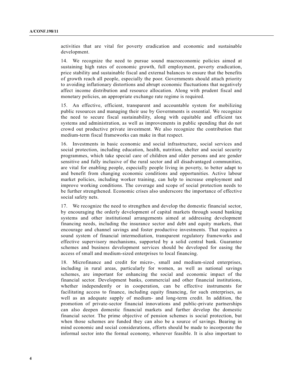activities that are vital for poverty eradication and economic and sustainable development.

14. We recognize the need to pursue sound macroeconomic policies aimed at sustaining high rates of economic growth, full employment, poverty eradication, price stability and sustainable fiscal and external balances to ensure that the benefits of growth reach all people, especially the poor. Governments should attach priority to avoiding inflationary distortions and abrupt economic fluctuations that negatively affect income distribution and resource allocation. Along with prudent fiscal and monetary policies, an appropriate exchange rate regime is required.

15. An effective, efficient, transparent and accountable system for mobilizing public resources and managing their use by Governments is essential. We recognize the need to secure fiscal sustainability, along with equitable and efficient tax systems and administration, as well as improvements in public spending that do not crowd out productive private investment. We also recognize the contribution that medium-term fiscal frameworks can make in that respect.

16. Investments in basic economic and social infrastructure, social services and social protection, including education, health, nutrition, shelter and social security programmes, which take special care of children and older persons and are gender sensitive and fully inclusive of the rural sector and all disadvantaged communities, are vital for enabling people, especially people living in poverty, to better adapt to and benefit from changing economic conditions and opportunities. Active labour market policies, including worker training, can help to increase employment and improve working conditions. The coverage and scope of social protection needs to be further strengthened. Economic crises also underscore the importance of effective social safety nets.

17. We recognize the need to strengthen and develop the domestic financial sector, by encouraging the orderly development of capital markets through sound banking systems and other institutional arrangements aimed at addressing development financing needs, including the insurance sector and debt and equity markets, that encourage and channel savings and foster productive investments. That requires a sound system of financial intermediation, transparent regulatory frameworks and effective supervisory mechanisms, supported by a solid central bank. Guarantee schemes and business development services should be developed for easing the access of small and medium-sized enterprises to local financing.

18. Microfinance and credit for micro-, small and medium-sized enterprises, including in rural areas, particularly for women, as well as national savings schemes, are important for enhancing the social and economic impact of the financial sector. Development banks, commercial and other financial institutions, whether independently or in cooperation, can be effective instruments for facilitating access to finance, including equity financing, for such enterprises, as well as an adequate supply of medium- and long-term credit. In addition, the promotion of private-sector financial innovations and public-private partnerships can also deepen domestic financial markets and further develop the domestic financial sector. The prime objective of pension schemes is social protection, but when those schemes are funded they can also be a source of savings. Bearing in mind economic and social considerations, efforts should be made to incorporate the informal sector into the formal economy, wherever feasible. It is also important to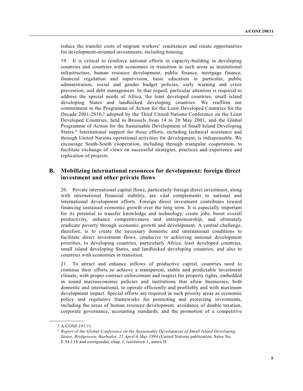reduce the transfer costs of migrant workers' remittances and create opportunities for development-oriented investments, including housing.

19. It is critical to reinforce national efforts in capacity-building in developing countries and countries with economies in transition in such areas as institutional infrastructure, human resource development, public finance, mortgage finance, financial regulation and supervision, basic education in particular, public administration, social and gender budget policies, early warning and crisis prevention, and debt management. In that regard, particular attention is required to address the special needs of Africa, the least developed countries, small island developing States and landlocked developing countries. We reaffirm our commitment to the Programme of Action for the Least Developed Countries for the Decade 2001-2010,<sup>2</sup> adopted by the Third United Nations Conference on the Least Developed Countries, held in Brussels from 14 to 20 May 2001, and the Global Programme of Action for the Sustainable Development of Small Island Developing States.<sup>3</sup> International support for those efforts, including technical assistance and through United Nations operational activities for development, is indispensable. We encourage South-South cooperation, including through triangular cooperation, to facilitate exchange of views on successful strategies, practices and experience and replication of projects.

#### Mobilizing international resources for development: foreign direct **B.** investment and other private flows

20. Private international capital flows, particularly foreign direct investment, along with international financial stability, are vital complements to national and international development efforts. Foreign direct investment contributes toward financing sustained economic growth over the long term. It is especially important for its potential to transfer knowledge and technology, create jobs, boost overall productivity, enhance competitiveness and entrepreneurship, and ultimately eradicate poverty through economic growth and development. A central challenge, therefore, is to create the necessary domestic and international conditions to facilitate direct investment flows, conducive to achieving national development priorities, to developing countries, particularly Africa, least developed countries, small island developing States, and landlocked developing countries, and also to countries with economies in transition.

21. To attract and enhance inflows of productive capital, countries need to continue their efforts to achieve a transparent, stable and predictable investment climate, with proper contract enforcement and respect for property rights, embedded in sound macroeconomic policies and institutions that allow businesses, both domestic and international, to operate efficiently and profitably and with maximum development impact. Special efforts are required in such priority areas as economic policy and regulatory frameworks for promoting and protecting investments, including the areas of human resource development, avoidance of double taxation, corporate governance, accounting standards, and the promotion of a competitive

<sup>&</sup>lt;sup>2</sup> A/CONF.191/11.

<sup>&</sup>lt;sup>3</sup> Report of the Global Conference on the Sustainable Development of Small Island Developing States, Bridgetown, Barbados, 25 April-6 May 1994 (United Nations publication, Sales No. E.94.I.18 and corrigenda), chap. I, resolution 1, annex II.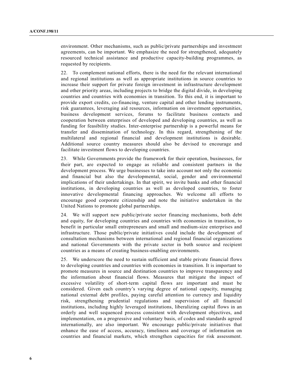environment. Other mechanisms, such as public/private partnerships and investment agreements, can be important. We emphasize the need for strengthened, adequately resourced technical assistance and productive capacity-building programmes, as requested by recipients.

22. To complement national efforts, there is the need for the relevant international and regional institutions as well as appropriate institutions in source countries to increase their support for private foreign investment in infrastructure development and other priority areas, including projects to bridge the digital divide, in developing countries and countries with economies in transition. To this end, it is important to provide export credits, co-financing, venture capital and other lending instruments, risk guarantees, leveraging aid resources, information on investment opportunities, business development services, forums to facilitate business contacts and cooperation between enterprises of developed and developing countries, as well as funding for feasibility studies. Inter-enterprise partnership is a powerful means for transfer and dissemination of technology. In this regard, strengthening of the multilateral and regional financial and development institutions is desirable. Additional source country measures should also be devised to encourage and facilitate investment flows to developing countries.

23. While Governments provide the framework for their operation, businesses, for their part, are expected to engage as reliable and consistent partners in the development process. We urge businesses to take into account not only the economic and financial but also the developmental, social, gender and environmental implications of their undertakings. In that spirit, we invite banks and other financial institutions, in developing countries as well as developed countries, to foster innovative developmental financing approaches. We welcome all efforts to encourage good corporate citizenship and note the initiative undertaken in the United Nations to promote global partnerships.

24. We will support new public/private sector financing mechanisms, both debt and equity, for developing countries and countries with economies in transition, to benefit in particular small entrepreneurs and small and medium-size enterprises and infrastructure. Those public/private initiatives could include the development of consultation mechanisms between international and regional financial organizations and national Governments with the private sector in both source and recipient countries as a means of creating business-enabling environments.

25. We underscore the need to sustain sufficient and stable private financial flows to developing countries and countries with economies in transition. It is important to promote measures in source and destination countries to improve transparency and the information about financial flows. Measures that mitigate the impact of excessive volatility of short-term capital flows are important and must be considered. Given each country's varying degree of national capacity, managing national external debt profiles, paying careful attention to currency and liquidity risk, strengthening prudential regulations and supervision of all financial institutions, including highly leveraged institutions, liberalizing capital flows in an orderly and well sequenced process consistent with development objectives, and implementation, on a progressive and voluntary basis, of codes and standards agreed internationally, are also important. We encourage public/private initiatives that enhance the ease of access, accuracy, timeliness and coverage of information on countries and financial markets, which strengthen capacities for risk assessment.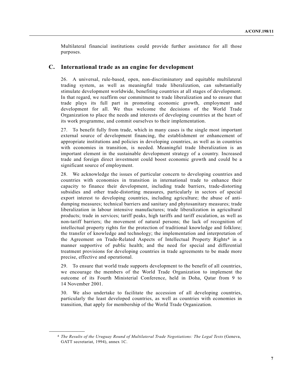Multilateral financial institutions could provide further assistance for all those purposes.

#### C. International trade as an engine for development

26. A universal, rule-based, open, non-discriminatory and equitable multilateral trading system, as well as meaningful trade liberalization, can substantially stimulate development worldwide, benefiting countries at all stages of development. In that regard, we reaffirm our commitment to trade liberalization and to ensure that trade plays its full part in promoting economic growth, employment and development for all. We thus welcome the decisions of the World Trade Organization to place the needs and interests of developing countries at the heart of its work programme, and commit ourselves to their implementation.

27. To benefit fully from trade, which in many cases is the single most important external source of development financing, the establishment or enhancement of appropriate institutions and policies in developing countries, as well as in countries with economies in transition, is needed. Meaningful trade liberalization is an important element in the sustainable development strategy of a country. Increased trade and foreign direct investment could boost economic growth and could be a significant source of employment.

28. We acknowledge the issues of particular concern to developing countries and countries with economies in transition in international trade to enhance their capacity to finance their development, including trade barriers, trade-distorting subsidies and other trade-distorting measures, particularly in sectors of special export interest to developing countries, including agriculture; the abuse of antidumping measures; technical barriers and sanitary and phytosanitary measures; trade liberalization in labour intensive manufactures; trade liberalization in agricultural products; trade in services; tariff peaks, high tariffs and tariff escalation, as well as non-tariff barriers; the movement of natural persons; the lack of recognition of intellectual property rights for the protection of traditional knowledge and folklore; the transfer of knowledge and technology; the implementation and interpretation of the Agreement on Trade-Related Aspects of Intellectual Property Rights<sup>4</sup> in a manner supportive of public health; and the need for special and differential treatment provisions for developing countries in trade agreements to be made more precise, effective and operational.

29. To ensure that world trade supports development to the benefit of all countries, we encourage the members of the World Trade Organization to implement the outcome of its Fourth Ministerial Conference, held in Doha, Qatar from 9 to 14 November 2001.

30. We also undertake to facilitate the accession of all developing countries, particularly the least developed countries, as well as countries with economies in transition, that apply for membership of the World Trade Organization.

<sup>&</sup>lt;sup>4</sup> The Results of the Uruguay Round of Multilateral Trade Negotiations: The Legal Texts (Geneva, GATT secretariat, 1994), annex 1C.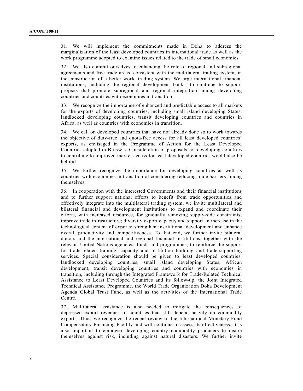31. We will implement the commitments made in Doha to address the marginalization of the least developed countries in international trade as well as the work programme adopted to examine issues related to the trade of small economies.

32. We also commit ourselves to enhancing the role of regional and subregional agreements and free trade areas, consistent with the multilateral trading system, in the construction of a better world trading system. We urge international financial institutions, including the regional development banks, to continue to support projects that promote subregional and regional integration among developing countries and countries with economies in transition.

33. We recognize the importance of enhanced and predictable access to all markets for the exports of developing countries, including small island developing States, landlocked developing countries, transit developing countries and countries in Africa, as well as countries with economies in transition.

34. We call on developed countries that have not already done so to work towards the objective of duty-free and quota-free access for all least developed countries' exports, as envisaged in the Programme of Action for the Least Developed Countries adopted in Brussels. Consideration of proposals for developing countries to contribute to improved market access for least developed countries would also be helpful.

35. We further recognize the importance for developing countries as well as countries with economies in transition of considering reducing trade barriers among themselves.

36. In cooperation with the interested Governments and their financial institutions and to further support national efforts to benefit from trade opportunities and effectively integrate into the multilateral trading system, we invite multilateral and bilateral financial and development institutions to expand and coordinate their efforts, with increased resources, for gradually removing supply-side constraints; improve trade infrastructure; diversify export capacity and support an increase in the technological content of exports; strengthen institutional development and enhance overall productivity and competitiveness. To that end, we further invite bilateral donors and the international and regional financial institutions, together with the relevant United Nations agencies, funds and programmes, to reinforce the support for trade-related training, capacity and institution building and trade-supporting services. Special consideration should be given to least developed countries, landlocked developing countries, small island developing States, African development, transit developing countries and countries with economies in transition, including through the Integrated Framework for Trade-Related Technical Assistance to Least Developed Countries and its follow-up, the Joint Integrated Technical Assistance Programme, the World Trade Organization Doha Development Agenda Global Trust Fund, as well as the activities of the International Trade Centre.

37. Multilateral assistance is also needed to mitigate the consequences of depressed export revenues of countries that still depend heavily on commodity exports. Thus, we recognize the recent review of the International Monetary Fund Compensatory Financing Facility and will continue to assess its effectiveness. It is also important to empower developing country commodity producers to insure themselves against risk, including against natural disasters. We further invite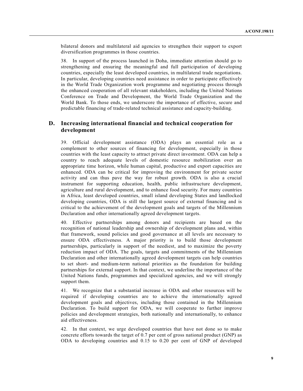bilateral donors and multilateral aid agencies to strengthen their support to export diversification programmes in those countries.

38. In support of the process launched in Doha, immediate attention should go to strengthening and ensuring the meaningful and full participation of developing countries, especially the least developed countries, in multilateral trade negotiations. In particular, developing countries need assistance in order to participate effectively in the World Trade Organization work programme and negotiating process through the enhanced cooperation of all relevant stakeholders, including the United Nations Conference on Trade and Development, the World Trade Organization and the World Bank. To those ends, we underscore the importance of effective, secure and predictable financing of trade-related technical assistance and capacity-building.

#### D. Increasing international financial and technical cooperation for development

39. Official development assistance (ODA) plays an essential role as a complement to other sources of financing for development, especially in those countries with the least capacity to attract private direct investment. ODA can help a country to reach adequate levels of domestic resource mobilization over an appropriate time horizon, while human capital, productive and export capacities are enhanced. ODA can be critical for improving the environment for private sector activity and can thus pave the way for robust growth. ODA is also a crucial instrument for supporting education, health, public infrastructure development, agriculture and rural development, and to enhance food security. For many countries in Africa, least developed countries, small island developing States and landlocked developing countries, ODA is still the largest source of external financing and is critical to the achievement of the development goals and targets of the Millennium Declaration and other internationally agreed development targets.

40. Effective partnerships among donors and recipients are based on the recognition of national leadership and ownership of development plans and, within that framework, sound policies and good governance at all levels are necessary to ensure ODA effectiveness. A major priority is to build those development partnerships, particularly in support of the neediest, and to maximize the poverty reduction impact of ODA. The goals, targets and commitments of the Millennium Declaration and other internationally agreed development targets can help countries to set short- and medium-term national priorities as the foundation for building partnerships for external support. In that context, we underline the importance of the United Nations funds, programmes and specialized agencies, and we will strongly support them.

41. We recognize that a substantial increase in ODA and other resources will be required if developing countries are to achieve the internationally agreed development goals and objectives, including those contained in the Millennium Declaration. To build support for ODA, we will cooperate to further improve policies and development strategies, both nationally and internationally, to enhance aid effectiveness.

42. In that context, we urge developed countries that have not done so to make concrete efforts towards the target of 0.7 per cent of gross national product (GNP) as ODA to developing countries and 0.15 to 0.20 per cent of GNP of developed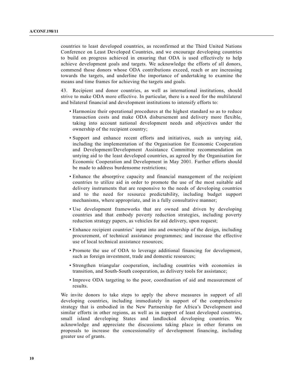countries to least developed countries, as reconfirmed at the Third United Nations Conference on Least Developed Countries, and we encourage developing countries to build on progress achieved in ensuring that ODA is used effectively to help achieve development goals and targets. We acknowledge the efforts of all donors, commend those donors whose ODA contributions exceed, reach or are increasing towards the targets, and underline the importance of undertaking to examine the means and time frames for achieving the targets and goals.

43. Recipient and donor countries, as well as international institutions, should strive to make ODA more effective. In particular, there is a need for the multilateral and bilateral financial and development institutions to intensify efforts to:

- Harmonize their operational procedures at the highest standard so as to reduce transaction costs and make ODA disbursement and delivery more flexible, taking into account national development needs and objectives under the ownership of the recipient country;
- · Support and enhance recent efforts and initiatives, such as untying aid, including the implementation of the Organisation for Economic Cooperation and Development/Development Assistance Committee recommendation on untying aid to the least developed countries, as agreed by the Organisation for Economic Cooperation and Development in May 2001. Further efforts should be made to address burdensome restrictions;
- · Enhance the absorptive capacity and financial management of the recipient countries to utilize aid in order to promote the use of the most suitable aid delivery instruments that are responsive to the needs of developing countries and to the need for resource predictability, including budget support mechanisms, where appropriate, and in a fully consultative manner;
- · Use development frameworks that are owned and driven by developing countries and that embody poverty reduction strategies, including poverty reduction strategy papers, as vehicles for aid delivery, upon request;
- Enhance recipient countries' input into and ownership of the design, including procurement, of technical assistance programmes; and increase the effective use of local technical assistance resources;
- Promote the use of ODA to leverage additional financing for development, such as foreign investment, trade and domestic resources;
- Strengthen triangular cooperation, including countries with economies in transition, and South-South cooperation, as delivery tools for assistance;
- Improve ODA targeting to the poor, coordination of aid and measurement of results.

We invite donors to take steps to apply the above measures in support of all developing countries, including immediately in support of the comprehensive strategy that is embodied in the New Partnership for Africa's Development and similar efforts in other regions, as well as in support of least developed countries, small island developing States and landlocked developing countries. We acknowledge and appreciate the discussions taking place in other forums on proposals to increase the concessionality of development financing, including greater use of grants.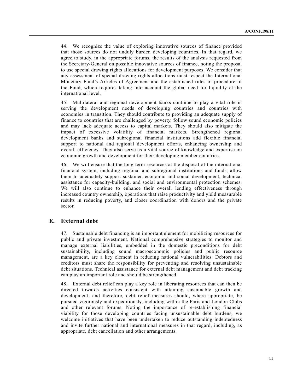44. We recognize the value of exploring innovative sources of finance provided that those sources do not unduly burden developing countries. In that regard, we agree to study, in the appropriate forums, the results of the analysis requested from the Secretary-General on possible innovative sources of finance, noting the proposal to use special drawing rights allocations for development purposes. We consider that any assessment of special drawing rights allocations must respect the International Monetary Fund's Articles of Agreement and the established rules of procedure of the Fund, which requires taking into account the global need for liquidity at the international level.

45. Multilateral and regional development banks continue to play a vital role in serving the development needs of developing countries and countries with economies in transition. They should contribute to providing an adequate supply of finance to countries that are challenged by poverty, follow sound economic policies and may lack adequate access to capital markets. They should also mitigate the impact of excessive volatility of financial markets. Strengthened regional development banks and subregional financial institutions add flexible financial support to national and regional development efforts, enhancing ownership and overall efficiency. They also serve as a vital source of knowledge and expertise on economic growth and development for their developing member countries.

46. We will ensure that the long-term resources at the disposal of the international financial system, including regional and subregional institutions and funds, allow them to adequately support sustained economic and social development, technical assistance for capacity-building, and social and environmental protection schemes. We will also continue to enhance their overall lending effectiveness through increased country ownership, operations that raise productivity and yield measurable results in reducing poverty, and closer coordination with donors and the private sector.

#### E. **External debt**

47. Sustainable debt financing is an important element for mobilizing resources for public and private investment. National comprehensive strategies to monitor and manage external liabilities, embedded in the domestic preconditions for debt sustainability, including sound macroeconomic policies and public resource management, are a key element in reducing national vulnerabilities. Debtors and creditors must share the responsibility for preventing and resolving unsustainable debt situations. Technical assistance for external debt management and debt tracking can play an important role and should be strengthened.

48. External debt relief can play a key role in liberating resources that can then be directed towards activities consistent with attaining sustainable growth and development, and therefore, debt relief measures should, where appropriate, be pursued vigorously and expeditiously, including within the Paris and London Clubs and other relevant forums. Noting the importance of re-establishing financial viability for those developing countries facing unsustainable debt burdens, we welcome initiatives that have been undertaken to reduce outstanding indebtedness and invite further national and international measures in that regard, including, as appropriate, debt cancellation and other arrangements.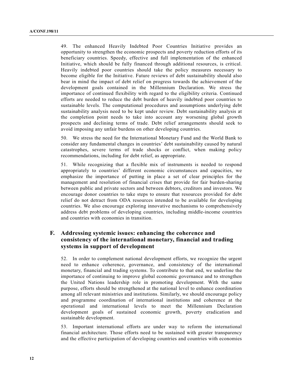49. The enhanced Heavily Indebted Poor Countries Initiative provides an opportunity to strengthen the economic prospects and poverty reduction efforts of its beneficiary countries. Speedy, effective and full implementation of the enhanced Initiative, which should be fully financed through additional resources, is critical. Heavily indebted poor countries should take the policy measures necessary to become eligible for the Initiative. Future reviews of debt sustainability should also bear in mind the impact of debt relief on progress towards the achievement of the development goals contained in the Millennium Declaration. We stress the importance of continued flexibility with regard to the eligibility criteria. Continued efforts are needed to reduce the debt burden of heavily indebted poor countries to sustainable levels. The computational procedures and assumptions underlying debt sustainability analysis need to be kept under review. Debt sustainability analysis at the completion point needs to take into account any worsening global growth prospects and declining terms of trade. Debt relief arrangements should seek to avoid imposing any unfair burdens on other developing countries.

50. We stress the need for the International Monetary Fund and the World Bank to consider any fundamental changes in countries' debt sustainability caused by natural catastrophes, severe terms of trade shocks or conflict, when making policy recommendations, including for debt relief, as appropriate.

51. While recognizing that a flexible mix of instruments is needed to respond appropriately to countries' different economic circumstances and capacities, we emphasize the importance of putting in place a set of clear principles for the management and resolution of financial crises that provide for fair burden-sharing between public and private sectors and between debtors, creditors and investors. We encourage donor countries to take steps to ensure that resources provided for debt relief do not detract from ODA resources intended to be available for developing countries. We also encourage exploring innovative mechanisms to comprehensively address debt problems of developing countries, including middle-income countries and countries with economies in transition.

#### F. Addressing systemic issues: enhancing the coherence and consistency of the international monetary, financial and trading systems in support of development

52. In order to complement national development efforts, we recognize the urgent need to enhance coherence, governance, and consistency of the international monetary, financial and trading systems. To contribute to that end, we underline the importance of continuing to improve global economic governance and to strengthen the United Nations leadership role in promoting development. With the same purpose, efforts should be strengthened at the national level to enhance coordination among all relevant ministries and institutions. Similarly, we should encourage policy and programme coordination of international institutions and coherence at the operational and international levels to meet the Millennium Declaration development goals of sustained economic growth, poverty eradication and sustainable development.

53. Important international efforts are under way to reform the international financial architecture. Those efforts need to be sustained with greater transparency and the effective participation of developing countries and countries with economies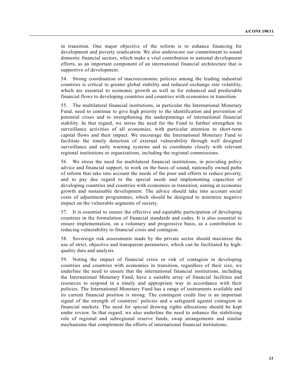in transition. One major objective of the reform is to enhance financing for development and poverty eradication. We also underscore our commitment to sound domestic financial sectors, which make a vital contribution to national development efforts, as an important component of an international financial architecture that is supportive of development.

54. Strong coordination of macroeconomic policies among the leading industrial countries is critical to greater global stability and reduced exchange rate volatility, which are essential to economic growth as well as for enhanced and predictable financial flows to developing countries and countries with economies in transition.

55. The multilateral financial institutions, in particular the International Monetary Fund, need to continue to give high priority to the identification and prevention of potential crises and to strengthening the underpinnings of international financial stability. In that regard, we stress the need for the Fund to further strengthen its surveillance activities of all economies, with particular attention to short-term capital flows and their impact. We encourage the International Monetary Fund to facilitate the timely detection of external vulnerability through well designed surveillance and early warning systems and to coordinate closely with relevant regional institutions or organizations, including the regional commissions.

56. We stress the need for multilateral financial institutions, in providing policy advice and financial support, to work on the basis of sound, nationally owned paths of reform that take into account the needs of the poor and efforts to reduce poverty, and to pay due regard to the special needs and implementing capacities of developing countries and countries with economies in transition, aiming at economic growth and sustainable development. The advice should take into account social costs of adjustment programmes, which should be designed to minimize negative impact on the vulnerable segments of society.

57. It is essential to ensure the effective and equitable participation of developing countries in the formulation of financial standards and codes. It is also essential to ensure implementation, on a voluntary and progressive basis, as a contribution to reducing vulnerability to financial crisis and contagion.

58. Sovereign risk assessments made by the private sector should maximize the use of strict, objective and transparent parameters, which can be facilitated by highquality data and analysis.

59. Noting the impact of financial crisis or risk of contagion in developing countries and countries with economies in transition, regardless of their size, we underline the need to ensure that the international financial institutions, including the International Monetary Fund, have a suitable array of financial facilities and resources to respond in a timely and appropriate way in accordance with their policies. The International Monetary Fund has a range of instruments available and its current financial position is strong. The contingent credit line is an important signal of the strength of countries' policies and a safeguard against contagion in financial markets. The need for special drawing rights allocations should be kept under review. In that regard, we also underline the need to enhance the stabilizing role of regional and subregional reserve funds, swap arrangements and similar mechanisms that complement the efforts of international financial institutions.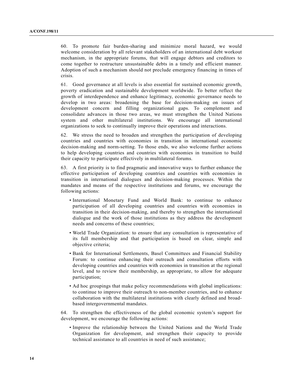60. To promote fair burden-sharing and minimize moral hazard, we would welcome consideration by all relevant stakeholders of an international debt workout mechanism, in the appropriate forums, that will engage debtors and creditors to come together to restructure unsustainable debts in a timely and efficient manner. Adoption of such a mechanism should not preclude emergency financing in times of crisis.

61. Good governance at all levels is also essential for sustained economic growth, poverty eradication and sustainable development worldwide. To better reflect the growth of interdependence and enhance legitimacy, economic governance needs to develop in two areas: broadening the base for decision-making on issues of development concern and filling organizational gaps. To complement and consolidate advances in those two areas, we must strengthen the United Nations system and other multilateral institutions. We encourage all international organizations to seek to continually improve their operations and interactions.

62. We stress the need to broaden and strengthen the participation of developing countries and countries with economies in transition in international economic decision-making and norm-setting. To those ends, we also welcome further actions to help developing countries and countries with economies in transition to build their capacity to participate effectively in multilateral forums.

63. A first priority is to find pragmatic and innovative ways to further enhance the effective participation of developing countries and countries with economies in transition in international dialogues and decision-making processes. Within the mandates and means of the respective institutions and forums, we encourage the following actions:

- · International Monetary Fund and World Bank: to continue to enhance participation of all developing countries and countries with economies in transition in their decision-making, and thereby to strengthen the international dialogue and the work of those institutions as they address the development needs and concerns of these countries;
- World Trade Organization: to ensure that any consultation is representative of its full membership and that participation is based on clear, simple and objective criteria;
- Bank for International Settlements, Basel Committees and Financial Stability Forum: to continue enhancing their outreach and consultation efforts with developing countries and countries with economies in transition at the regional level, and to review their membership, as appropriate, to allow for adequate participation;
- Ad hoc groupings that make policy recommendations with global implications: to continue to improve their outreach to non-member countries, and to enhance collaboration with the multilateral institutions with clearly defined and broadbased intergovernmental mandates.

64. To strengthen the effectiveness of the global economic system's support for development, we encourage the following actions:

• Improve the relationship between the United Nations and the World Trade Organization for development, and strengthen their capacity to provide technical assistance to all countries in need of such assistance;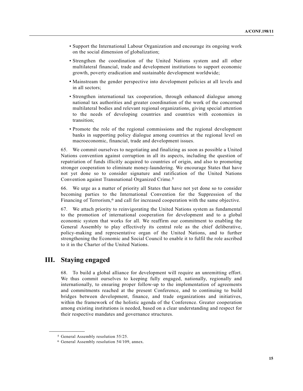- · Support the International Labour Organization and encourage its ongoing work on the social dimension of globalization;
- Strengthen the coordination of the United Nations system and all other multilateral financial, trade and development institutions to support economic growth, poverty eradication and sustainable development worldwide;
- Mainstream the gender perspective into development policies at all levels and in all sectors:
- Strengthen international tax cooperation, through enhanced dialogue among national tax authorities and greater coordination of the work of the concerned multilateral bodies and relevant regional organizations, giving special attention to the needs of developing countries and countries with economies in transition;
- Promote the role of the regional commissions and the regional development banks in supporting policy dialogue among countries at the regional level on macroeconomic, financial, trade and development issues.

65. We commit ourselves to negotiating and finalizing as soon as possible a United Nations convention against corruption in all its aspects, including the question of repatriation of funds illicitly acquired to countries of origin, and also to promoting stronger cooperation to eliminate money-laundering. We encourage States that have not yet done so to consider signature and ratification of the United Nations Convention against Transnational Organized Crime.<sup>5</sup>

66. We urge as a matter of priority all States that have not yet done so to consider becoming parties to the International Convention for the Suppression of the Financing of Terrorism,<sup>6</sup> and call for increased cooperation with the same objective.

67. We attach priority to reinvigorating the United Nations system as fundamental to the promotion of international cooperation for development and to a global economic system that works for all. We reaffirm our commitment to enabling the General Assembly to play effectively its central role as the chief deliberative, policy-making and representative organ of the United Nations, and to further strengthening the Economic and Social Council to enable it to fulfil the role ascribed to it in the Charter of the United Nations.

#### Ш. **Staying engaged**

68. To build a global alliance for development will require an unremitting effort. We thus commit ourselves to keeping fully engaged, nationally, regionally and internationally, to ensuring proper follow-up to the implementation of agreements and commitments reached at the present Conference, and to continuing to build bridges between development, finance, and trade organizations and initiatives, within the framework of the holistic agenda of the Conference. Greater cooperation among existing institutions is needed, based on a clear understanding and respect for their respective mandates and governance structures.

<sup>&</sup>lt;sup>5</sup> General Assembly resolution 55/25.

<sup>&</sup>lt;sup>6</sup> General Assembly resolution 54/109, annex.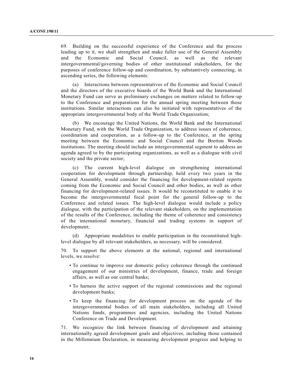69. Building on the successful experience of the Conference and the process leading up to it, we shall strengthen and make fuller use of the General Assembly and the Economic and Social Council, as well as the relevant intergovernmental/governing bodies of other institutional stakeholders, for the purposes of conference follow-up and coordination, by substantively connecting, in ascending series, the following elements:

(a) Interactions between representatives of the Economic and Social Council and the directors of the executive boards of the World Bank and the International Monetary Fund can serve as preliminary exchanges on matters related to follow-up to the Conference and preparations for the annual spring meeting between those institutions. Similar interactions can also be initiated with representatives of the appropriate intergovernmental body of the World Trade Organization;

(b) We encourage the United Nations, the World Bank and the International Monetary Fund, with the World Trade Organization, to address issues of coherence, coordination and cooperation, as a follow-up to the Conference, at the spring meeting between the Economic and Social Council and the Bretton Woods institutions. The meeting should include an intergovernmental segment to address an agenda agreed to by the participating organizations, as well as a dialogue with civil society and the private sector;

(c) The current high-level dialogue on strengthening international cooperation for development through partnership, held every two years in the General Assembly, would consider the financing for development-related reports coming from the Economic and Social Council and other bodies, as well as other financing for development-related issues. It would be reconstituted to enable it to become the intergovernmental focal point for the general follow-up to the Conference and related issues. The high-level dialogue would include a policy dialogue, with the participation of the relevant stakeholders, on the implementation of the results of the Conference, including the theme of coherence and consistency of the international monetary, financial and trading systems in support of development;

(d) Appropriate modalities to enable participation in the reconstituted highlevel dialogue by all relevant stakeholders, as necessary, will be considered.

70. To support the above elements at the national, regional and international levels, we resolve:

- To continue to improve our domestic policy coherence through the continued engagement of our ministries of development, finance, trade and foreign affairs, as well as our central banks;
- To harness the active support of the regional commissions and the regional development banks;
- To keep the financing for development process on the agenda of the intergovernmental bodies of all main stakeholders, including all United Nations funds, programmes and agencies, including the United Nations Conference on Trade and Development.

71. We recognize the link between financing of development and attaining internationally agreed development goals and objectives, including those contained in the Millennium Declaration, in measuring development progress and helping to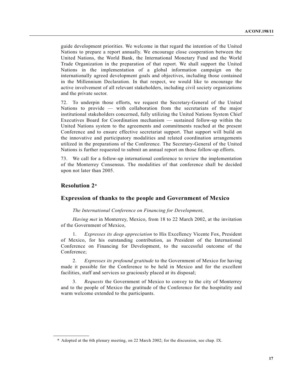guide development priorities. We welcome in that regard the intention of the United Nations to prepare a report annually. We encourage close cooperation between the United Nations, the World Bank, the International Monetary Fund and the World Trade Organization in the preparation of that report. We shall support the United Nations in the implementation of a global information campaign on the internationally agreed development goals and objectives, including those contained in the Millennium Declaration. In that respect, we would like to encourage the active involvement of all relevant stakeholders, including civil society organizations and the private sector.

72. To underpin those efforts, we request the Secretary-General of the United Nations to provide  $-$  with collaboration from the secretariats of the major institutional stakeholders concerned, fully utilizing the United Nations System Chief Executives Board for Coordination mechanism - sustained follow-up within the United Nations system to the agreements and commitments reached at the present Conference and to ensure effective secretariat support. That support will build on the innovative and participatory modalities and related coordination arrangements utilized in the preparations of the Conference. The Secretary-General of the United Nations is further requested to submit an annual report on those follow-up efforts.

73. We call for a follow-up international conference to review the implementation of the Monterrey Consensus. The modalities of that conference shall be decided upon not later than 2005.

#### **Resolution 2\***

#### **Expression of thanks to the people and Government of Mexico**

#### The International Conference on Financing for Development,

Having met in Monterrey, Mexico, from 18 to 22 March 2002, at the invitation of the Government of Mexico,

*Expresses its deep appreciation* to His Excellency Vicente Fox, President 1. of Mexico, for his outstanding contribution, as President of the International Conference on Financing for Development, to the successful outcome of the Conference:

2. Expresses its profound gratitude to the Government of Mexico for having made it possible for the Conference to be held in Mexico and for the excellent facilities, staff and services so graciously placed at its disposal;

3. Requests the Government of Mexico to convey to the city of Monterrey and to the people of Mexico the gratitude of the Conference for the hospitality and warm welcome extended to the participants.

<sup>\*</sup> Adopted at the 6th plenary meeting, on 22 March 2002; for the discussion, see chap. IX.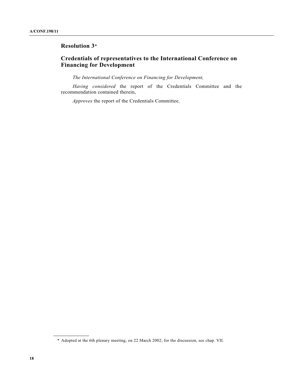#### **Resolution 3\***

### Credentials of representatives to the International Conference on **Financing for Development**

The International Conference on Financing for Development,

Having considered the report of the Credentials Committee and the recommendation contained therein,

Approves the report of the Credentials Committee.

<sup>\*</sup> Adopted at the 6th plenary meeting, on 22 March 2002; for the discussion, see chap. VII.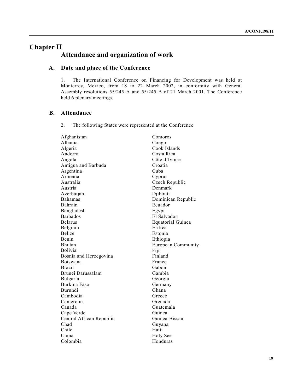## **Chapter II** Attendance and organization of work

### A. Date and place of the Conference

The International Conference on Financing for Development was held at 1. Monterrey, Mexico, from 18 to 22 March 2002, in conformity with General Assembly resolutions 55/245 A and 55/245 B of 21 March 2001. The Conference held 6 plenary meetings.

#### **B.** Attendance

 $2.$ The following States were represented at the Conference:

| Afghanistan              | Comoros                   |
|--------------------------|---------------------------|
| Albania                  | Congo                     |
| Algeria                  | Cook Islands              |
| Andorra                  | Costa Rica                |
| Angola                   | Côte d'Ivoire             |
| Antigua and Barbuda      | Croatia                   |
| Argentina                | Cuba                      |
| Armenia                  | Cyprus                    |
| Australia                | Czech Republic            |
| Austria                  | Denmark                   |
| Azerbaijan               | Djibouti                  |
| Bahamas                  | Dominican Republic        |
| Bahrain                  | Ecuador                   |
| Bangladesh               | Egypt                     |
| Barbados                 | El Salvador               |
| Belarus                  | Equatorial Guinea         |
| Belgium                  | Eritrea                   |
| Belize                   | Estonia                   |
| Benin                    | Ethiopia                  |
| Bhutan                   | <b>European Community</b> |
| Bolivia                  | Fiji                      |
| Bosnia and Herzegovina   | Finland                   |
| Botswana                 | France                    |
| Brazil                   | Gabon                     |
| Brunei Darussalam        | Gambia                    |
| Bulgaria                 | Georgia                   |
| Burkina Faso             | Germany                   |
| Burundi                  | Ghana                     |
| Cambodia                 | Greece                    |
| Cameroon                 | Grenada                   |
| Canada                   | Guatemala                 |
| Cape Verde               | Guinea                    |
| Central African Republic | Guinea-Bissau             |
| Chad                     | Guyana                    |
| Chile                    | Haiti                     |
| China                    | Holy See                  |
| Colombia                 | Honduras                  |
|                          |                           |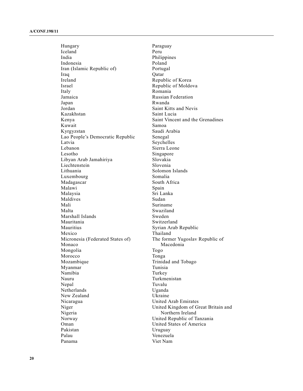Hungary Iceland India Indonesia Iran (Islamic Republic of) Iraq Ireland Israel Italy Jamaica Japan Jordan Kazakhstan Kenya Kuwait Kyrgyzstan Lao People's Democratic Republic Latvia Lebanon Lesotho Libyan Arab Jamahiriya Liechtenstein Lithuania Luxembourg Madagascar Malawi Malaysia Maldives Mali Malta Marshall Islands Mauritania Mauritius Mexico Micronesia (Federated States of) Monaco Mongolia Morocco Mozambique Myanmar Namibia Nauru Nepal Netherlands New Zealand Nicaragua Niger Nigeria Norway Oman Pakistan Palau Panama

Paraguay Peru Philippines Poland Portugal Oatar Republic of Korea Republic of Moldova Romania **Russian Federation** Rwanda Saint Kitts and Nevis Saint Lucia Saint Vincent and the Grenadines Samoa Saudi Arabia Senegal Seychelles Sierra Leone Singapore Slovakia Slovenia Solomon Islands Somalia South Africa Spain Sri Lanka Sudan Suriname Swaziland Sweden Switzerland Syrian Arab Republic Thailand The former Yugoslav Republic of Macedonia Togo Tonga Trinidad and Tobago Tunisia Turkey Turkmenistan Tuvalu Uganda Ukraine United Arab Emirates United Kingdom of Great Britain and Northern Ireland United Republic of Tanzania United States of America Uruguay Venezuela Viet Nam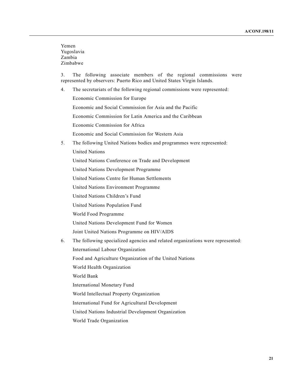Yemen Yugoslavia Zambia Zimbabwe

 $3<sub>1</sub>$ The following associate members of the regional commissions were represented by observers: Puerto Rico and United States Virgin Islands.

- $4.$ The secretariats of the following regional commissions were represented: Economic Commission for Europe Economic and Social Commission for Asia and the Pacific Economic Commission for Latin America and the Caribbean Economic Commission for Africa Economic and Social Commission for Western Asia
- 5. The following United Nations bodies and programmes were represented:

**United Nations** 

United Nations Conference on Trade and Development

United Nations Development Programme

United Nations Centre for Human Settlements

United Nations Environment Programme

United Nations Children's Fund

United Nations Population Fund

World Food Programme

United Nations Development Fund for Women

Joint United Nations Programme on HIV/AIDS

6. The following specialized agencies and related organizations were represented: International Labour Organization Food and Agriculture Organization of the United Nations World Health Organization World Bank **International Monetary Fund** World Intellectual Property Organization International Fund for Agricultural Development United Nations Industrial Development Organization

World Trade Organization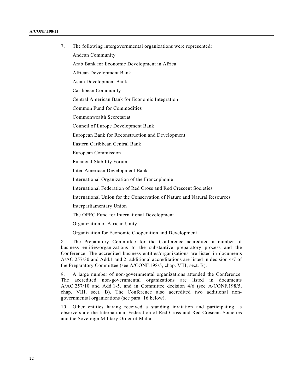| 7. | The following intergovernmental organizations were represented:          |  |  |  |  |
|----|--------------------------------------------------------------------------|--|--|--|--|
|    | Andean Community                                                         |  |  |  |  |
|    | Arab Bank for Economic Development in Africa                             |  |  |  |  |
|    | African Development Bank                                                 |  |  |  |  |
|    | Asian Development Bank                                                   |  |  |  |  |
|    | Caribbean Community                                                      |  |  |  |  |
|    | Central American Bank for Economic Integration                           |  |  |  |  |
|    | Common Fund for Commodities                                              |  |  |  |  |
|    | Commonwealth Secretariat                                                 |  |  |  |  |
|    | Council of Europe Development Bank                                       |  |  |  |  |
|    | European Bank for Reconstruction and Development                         |  |  |  |  |
|    | Eastern Caribbean Central Bank                                           |  |  |  |  |
|    | European Commission                                                      |  |  |  |  |
|    | Financial Stability Forum                                                |  |  |  |  |
|    | Inter-American Development Bank                                          |  |  |  |  |
|    | International Organization of the Francophonie                           |  |  |  |  |
|    | International Federation of Red Cross and Red Crescent Societies         |  |  |  |  |
|    | International Union for the Conservation of Nature and Natural Resources |  |  |  |  |
|    | Interparliamentary Union                                                 |  |  |  |  |
|    | The OPEC Fund for International Development                              |  |  |  |  |
|    | Organization of African Unity                                            |  |  |  |  |
|    | Organization for Economic Cooperation and Development                    |  |  |  |  |
| 8. | The Preparatory Committee for the Conference accredited a number         |  |  |  |  |

8 ber of business entities/organizations to the substantive preparatory process and the Conference. The accredited business entities/organizations are listed in documents  $A/AC.257/30$  and Add.1 and 2; additional accreditations are listed in decision 4/7 of the Preparatory Committee (see A/CONF.198/5, chap. VIII, sect. B).

9. A large number of non-governmental organizations attended the Conference. The accredited non-governmental organizations are listed in documents A/AC.257/10 and Add.1-5, and in Committee decision 4/6 (see A/CONF.198/5, chap. VIII, sect. B). The Conference also accredited two additional nongovernmental organizations (see para. 16 below).

10. Other entities having received a standing invitation and participating as observers are the International Federation of Red Cross and Red Crescent Societies and the Sovereign Military Order of Malta.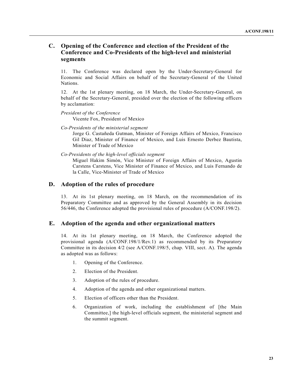#### C. Opening of the Conference and election of the President of the Conference and Co-Presidents of the high-level and ministerial segments

11. The Conference was declared open by the Under-Secretary-General for Economic and Social Affairs on behalf of the Secretary-General of the United Nations.

12. At the 1st plenary meeting, on 18 March, the Under-Secretary-General, on behalf of the Secretary-General, presided over the election of the following officers by acclamation:

President of the Conference Vicente Fox, President of Mexico

Co-Presidents of the ministerial segment

Jorge G. Castañeda Gutman, Minister of Foreign Affairs of Mexico, Francisco Gil Diaz, Minister of Finance of Mexico, and Luis Ernesto Derbez Bautista, Minister of Trade of Mexico

Co-Presidents of the high-level officials segment

Miguel Hakim Simón, Vice Minister of Foreign Affairs of Mexico, Agustin Carstens Carstens, Vice Minister of Finance of Mexico, and Luis Fernando de la Calle, Vice-Minister of Trade of Mexico

#### D. Adoption of the rules of procedure

13. At its 1st plenary meeting, on 18 March, on the recommendation of its Preparatory Committee and as approved by the General Assembly in its decision 56/446, the Conference adopted the provisional rules of procedure (A/CONF.198/2).

#### E. Adoption of the agenda and other organizational matters

14. At its 1st plenary meeting, on 18 March, the Conference adopted the provisional agenda (A/CONF.198/1/Rev.1) as recommended by its Preparatory Committee in its decision 4/2 (see A/CONF.198/5, chap. VIII, sect. A). The agenda as adopted was as follows:

- $1$ Opening of the Conference.
- $2.$ Election of the President.
- $\overline{3}$ . Adoption of the rules of procedure.
- $4.$ Adoption of the agenda and other organizational matters.
- $5<sub>1</sub>$ Election of officers other than the President.
- 6. Organization of work, including the establishment of [the Main Committee, the high-level officials segment, the ministerial segment and the summit segment.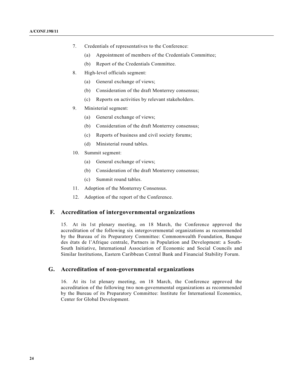- 7. Credentials of representatives to the Conference:
	- (a) Appointment of members of the Credentials Committee;
	- (b) Report of the Credentials Committee.
- 8. High-level officials segment:
	- (a) General exchange of views;
	- (b) Consideration of the draft Monterrey consensus;
	- (c) Reports on activities by relevant stakeholders.
- 9. Ministerial segment:
	- (a) General exchange of views;
	- (b) Consideration of the draft Monterrey consensus;
	- (c) Reports of business and civil society forums;
	- (d) Ministerial round tables.
- 10. Summit segment:
	- (a) General exchange of views;
	- Consideration of the draft Monterrey consensus;  $(b)$
	- (c) Summit round tables.
- 11. Adoption of the Monterrey Consensus.
- 12. Adoption of the report of the Conference.

#### F. Accreditation of intergovernmental organizations

15. At its 1st plenary meeting, on 18 March, the Conference approved the accreditation of the following six intergovernmental organizations as recommended by the Bureau of its Preparatory Committee: Commonwealth Foundation, Banque des états de l'Afrique centrale, Partners in Population and Development: a South-South Initiative, International Association of Economic and Social Councils and Similar Institutions, Eastern Caribbean Central Bank and Financial Stability Forum.

#### G. Accreditation of non-governmental organizations

16. At its 1st plenary meeting, on 18 March, the Conference approved the accreditation of the following two non-governmental organizations as recommended by the Bureau of its Preparatory Committee: Institute for International Economics, Center for Global Development.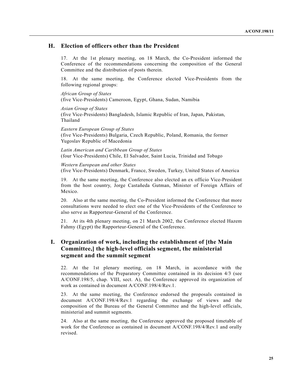#### H. Election of officers other than the President

17. At the 1st plenary meeting, on 18 March, the Co-President informed the Conference of the recommendations concerning the composition of the General Committee and the distribution of posts therein.

18. At the same meeting, the Conference elected Vice-Presidents from the following regional groups:

**African Group of States** (five Vice-Presidents) Cameroon, Egypt, Ghana, Sudan, Namibia

**Asian Group of States** (five Vice-Presidents) Bangladesh, Islamic Republic of Iran, Japan, Pakistan, Thailand

**Eastern European Group of States** (five Vice-Presidents) Bulgaria, Czech Republic, Poland, Romania, the former Yugoslav Republic of Macedonia

Latin American and Caribbean Group of States (four Vice-Presidents) Chile, El Salvador, Saint Lucia, Trinidad and Tobago

Western European and other States (five Vice-Presidents) Denmark, France, Sweden, Turkey, United States of America

19. At the same meeting, the Conference also elected an ex officio Vice-President from the host country, Jorge Castañeda Gutman, Minister of Foreign Affairs of Mexico.

20. Also at the same meeting, the Co-President informed the Conference that more consultations were needed to elect one of the Vice-Presidents of the Conference to also serve as Rapporteur-General of the Conference.

21. At its 4th plenary meeting, on 21 March 2002, the Conference elected Hazem Fahmy (Egypt) the Rapporteur-General of the Conference.

#### I. Organization of work, including the establishment of [the Main] Committee, the high-level officials segment, the ministerial segment and the summit segment

22. At the 1st plenary meeting, on 18 March, in accordance with the recommendations of the Preparatory Committee contained in its decision 4/3 (see A/CONF.198/5, chap. VIII, sect. A), the Conference approved its organization of work as contained in document A/CONF.198/4/Rev.1.

23. At the same meeting, the Conference endorsed the proposals contained in document A/CONF.198/4/Rev.1 regarding the exchange of views and the composition of the Bureau of the General Committee and the high-level officials, ministerial and summit segments.

24. Also at the same meeting, the Conference approved the proposed timetable of work for the Conference as contained in document A/CONF.198/4/Rev.1 and orally revised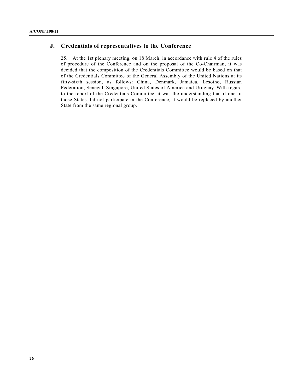#### J. Credentials of representatives to the Conference

25. At the 1st plenary meeting, on 18 March, in accordance with rule 4 of the rules of procedure of the Conference and on the proposal of the Co-Chairman, it was decided that the composition of the Credentials Committee would be based on that of the Credentials Committee of the General Assembly of the United Nations at its fifty-sixth session, as follows: China, Denmark, Jamaica, Lesotho, Russian Federation, Senegal, Singapore, United States of America and Uruguay. With regard to the report of the Credentials Committee, it was the understanding that if one of those States did not participate in the Conference, it would be replaced by another State from the same regional group.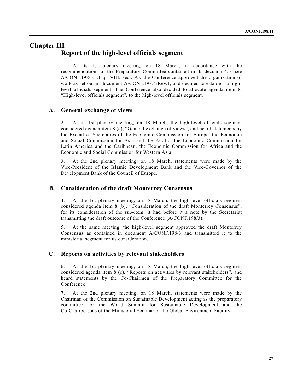### **Chapter III** Report of the high-level officials segment

At its 1st plenary meeting, on 18 March, in accordance with the  $\mathbf{1}$ . recommendations of the Preparatory Committee contained in its decision 4/3 (see A/CONF.198/5, chap. VIII, sect. A), the Conference approved the organization of work as set out in document A/CONF.198/4/Rev.1, and decided to establish a highlevel officials segment. The Conference also decided to allocate agenda item 8, "High-level officials segment", to the high-level officials segment.

#### A. General exchange of views

At its 1st plenary meeting, on 18 March, the high-level officials segment 2. considered agenda item 8 (a), "General exchange of views", and heard statements by the Executive Secretaries of the Economic Commission for Europe, the Economic and Social Commission for Asia and the Pacific, the Economic Commission for Latin America and the Caribbean, the Economic Commission for Africa and the Economic and Social Commission for Western Asia.

At the 2nd plenary meeting, on 18 March, statements were made by the 3. Vice-President of the Islamic Development Bank and the Vice-Governor of the Development Bank of the Council of Europe.

#### **B.** Consideration of the draft Monterrey Consensus

At the 1st plenary meeting, on 18 March, the high-level officials segment 4. considered agenda item 8 (b), "Consideration of the draft Monterrey Consensus"; for its consideration of the sub-item, it had before it a note by the Secretariat transmitting the draft outcome of the Conference (A/CONF.198/3).

5. At the same meeting, the high-level segment approved the draft Monterrey Consensus as contained in document A/CONF.198/3 and transmitted it to the ministerial segment for its consideration.

#### C. Reports on activities by relevant stakeholders

6. At the 1st plenary meeting, on 18 March, the high-level officials segment considered agenda item 8 (c), "Reports on activities by relevant stakeholders", and heard statements by the Co-Chairmen of the Preparatory Committee for the Conference.

7. At the 2nd plenary meeting, on 18 March, statements were made by the Chairman of the Commission on Sustainable Development acting as the preparatory committee for the World Summit for Sustainable Development and the Co-Chairpersons of the Ministerial Seminar of the Global Environment Facility.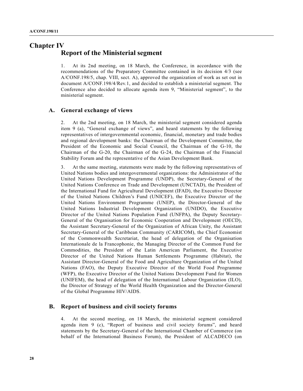### **Chapter IV Report of the Ministerial segment**

1. At its 2nd meeting, on 18 March, the Conference, in accordance with the recommendations of the Preparatory Committee contained in its decision 4/3 (see A/CONF.198/5, chap. VIII, sect. A), approved the organization of work as set out in document A/CONF.198/4/Rev.1, and decided to establish a ministerial segment. The Conference also decided to allocate agenda item 9, "Ministerial segment", to the ministerial segment.

#### **General exchange of views**  $\mathbf{A}$ .

2. At the 2nd meeting, on 18 March, the ministerial segment considered agenda item 9 (a), "General exchange of views", and heard statements by the following representatives of intergovernmental economic, financial, monetary and trade bodies and regional development banks: the Chairman of the Development Committee, the President of the Economic and Social Council, the Chairman of the G-10, the Chairman of the G-20, the Chairman of the G-24, the Chairman of the Financial Stability Forum and the representative of the Asian Development Bank.

At the same meeting, statements were made by the following representatives of 3. United Nations bodies and intergovernmental organizations: the Administrator of the United Nations Development Programme (UNDP), the Secretary-General of the United Nations Conference on Trade and Development (UNCTAD), the President of the International Fund for Agricultural Development (IFAD), the Executive Director of the United Nations Children's Fund (UNICEF), the Executive Director of the United Nations Environment Programme (UNEP), the Director-General of the United Nations Industrial Development Organization (UNIDO), the Executive Director of the United Nations Population Fund (UNFPA), the Deputy Secretary-General of the Organisation for Economic Cooperation and Development (OECD), the Assistant Secretary-General of the Organization of African Unity, the Assistant Secretary-General of the Caribbean Community (CARICOM), the Chief Economist of the Commonwealth Secretariat, the head of delegation of the Organisation Internationale de la Francophonie, the Managing Director of the Common Fund for Commodities, the President of the Latin American Parliament, the Executive Director of the United Nations Human Settlements Programme (Habitat), the Assistant Director-General of the Food and Agriculture Organization of the United Nations (FAO), the Deputy Executive Director of the World Food Programme (WFP), the Executive Director of the United Nations Development Fund for Women (UNIFEM), the head of delegation of the International Labour Organization (ILO), the Director of Strategy of the World Health Organization and the Director-General of the Global Programme HIV/AIDS.

#### Report of business and civil society forums **B.**

At the second meeting, on 18 March, the ministerial segment considered 4. agenda item 9 (c), "Report of business and civil society forums", and heard statements by the Secretary-General of the International Chamber of Commerce (on behalf of the International Business Forum), the President of ALCADECO (on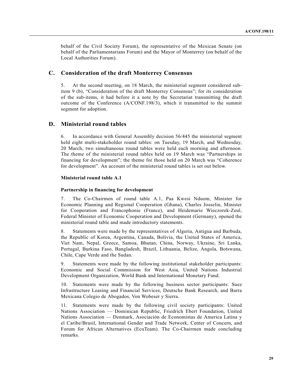behalf of the Civil Society Forum), the representative of the Mexican Senate (on behalf of the Parliamentarians Forum) and the Mayor of Monterrey (on behalf of the Local Authorities Forum).

## C. Consideration of the draft Monterrey Consensus

At the second meeting, on 18 March, the ministerial segment considered sub-5. item 9 (b), "Consideration of the draft Monterrey Consensus"; for its consideration of the sub-items, it had before it a note by the Secretariat transmitting the draft outcome of the Conference (A/CONF.198/3), which it transmitted to the summit segment for adoption.

# D. Ministerial round tables

6. In accordance with General Assembly decision 56/445 the ministerial segment held eight multi-stakeholder round tables: on Tuesday, 19 March, and Wednesday, 20 March, two simultaneous round tables were held each morning and afternoon. The theme of the ministerial round tables held on 19 March was "Partnerships in financing for development"; the theme for those held on 20 March was "Coherence" for development". An account of the ministerial round tables is set out below.

## Ministerial round table A.1

## Partnership in financing for development

7. The Co-Chairmen of round table A.1, Paa Kwesi Nduom, Minister for Economic Planning and Regional Cooperation (Ghana), Charles Josselin, Minister for Cooperation and Francophonie (France), and Heidemarie Wieczorek-Zeul, Federal Minister of Economic Cooperation and Development (Germany), opened the ministerial round table and made introductory statements.

8. Statements were made by the representatives of Algeria, Antigua and Barbuda, the Republic of Korea, Argentina, Canada, Bolivia, the United States of America, Viet Nam, Nepal, Greece, Samoa, Bhutan, China, Norway, Ukraine, Sri Lanka, Portugal, Burkina Faso, Bangladesh, Brazil, Lithuania, Belize, Angola, Botswana, Chile, Cape Verde and the Sudan.

9. Statements were made by the following institutional stakeholder participants: Economic and Social Commission for West Asia, United Nations Industrial Development Organization, World Bank and International Monetary Fund.

10. Statements were made by the following business sector participants: Suez Infrastructure Leasing and Financial Services, Deutsche Bank Research, and Barra Mexicana Colegio de Abogados, Von Wobeser y Sierra.

11. Statements were made by the following civil society participants: United Nations Association — Dominican Republic, Friedrich Ebert Foundation, United Nations Association — Denmark, Asociación de Economistas de America Latina y el Caribe/Brasil, International Gender and Trade Network, Center of Concern, and Forum for African Alternatives (EcuTeam). The Co-Chairmen made concluding remarks.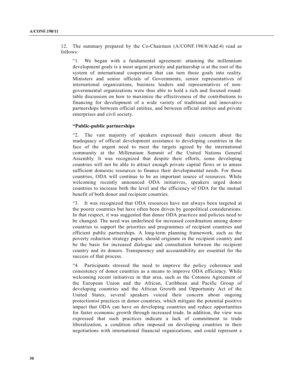12. The summary prepared by the Co-Chairmen (A/CONF.198/8/Add.4) read as follows:

"1. We began with a fundamental agreement: attaining the millennium development goals is a most urgent priority and partnership is at the root of the system of international cooperation that can turn those goals into reality. Ministers and senior officials of Governments, senior representatives of international organizations, business leaders and representatives of nongovernmental organizations were thus able to hold a rich and focused roundtable discussion on how to maximize the effectiveness of the contributions to financing for development of a wide variety of traditional and innovative partnerships between official entities, and between official entities and private enterprises and civil society.

### "Public-public partnerships

"2. The vast majority of speakers expressed their concern about the inadequacy of official development assistance to developing countries in the face of the urgent need to meet the targets agreed by the international community at the Millennium Summit of the United Nations General Assembly. It was recognized that despite their efforts, some developing countries will not be able to attract enough private capital flows or to amass sufficient domestic resources to finance their developmental needs. For those countries, ODA will continue to be an important source of resources. While welcoming recently announced ODA initiatives, speakers urged donor countries to increase both the level and the efficiency of ODA for the mutual benefit of both donor and recipient countries.

"3. It was recognized that ODA resources have not always been targeted at the poorer countries but have often been driven by geopolitical considerations. In that respect, it was suggested that donor ODA practices and policies need to be changed. The need was underlined for increased coordination among donor countries to support the priorities and programmes of recipient countries and efficient public partnerships. A long-term planning framework, such as the poverty reduction strategy paper, should originate in the recipient country and be the basis for increased dialogue and consultation between the recipient country and its donors. Transparency and accountability are essential for the success of that process.

"4. Participants stressed the need to improve the policy coherence and consistency of donor countries as a means to improve ODA efficiency. While welcoming recent initiatives in that area, such as the Cotonou Agreement of the European Union and the African, Caribbean and Pacific Group of developing countries and the African Growth and Opportunity Act of the United States, several speakers voiced their concern about ongoing protectionist practices in donor countries, which mitigate the potential positive impact that ODA can have on developing countries and reduce opportunities for faster economic growth through increased trade. In addition, the view was expressed that such practices indicate a lack of commitment to trade liberalization, a condition often imposed on developing countries in their negotiations with international financial organizations, and could represent a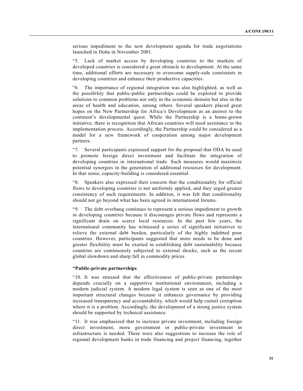serious impediment to the new development agenda for trade negotiations launched in Doha in November 2001.

"5. Lack of market access by developing countries to the markets of developed countries is considered a great obstacle to development. At the same time, additional efforts are necessary to overcome supply-side constraints in developing countries and enhance their productive capacities.

"6. The importance of regional integration was also highlighted, as well as the possibility that public-public partnerships could be explored to provide solutions to common problems not only in the economic domain but also in the areas of health and education, among others. Several speakers placed great hopes on the New Partnership for Africa's Development as an answer to the continent's developmental quest. While the Partnership is a home-grown initiative, there is recognition that African countries will need assistance in the implementation process. Accordingly, the Partnership could be considered as a model for a new framework of cooperation among major development partners.

"7. Several participants expressed support for the proposal that ODA be used to promote foreign direct investment and facilitate the integration of developing countries in international trade. Such measures would maximize potential synergies in the generation of additional resources for development. In that sense, capacity-building is considered essential.

"8. Speakers also expressed their concern that the conditionality for official flows to developing countries is not uniformly applied, and they urged greater consistency of such requirements. In addition, it was felt that conditionality should not go beyond what has been agreed in international forums.

"9. The debt overhang continues to represent a serious impediment to growth in developing countries because it discourages private flows and represents a significant drain on scarce local resources. In the past few years, the international community has witnessed a series of significant initiatives to relieve the external debt burden, particularly of the highly indebted poor countries. However, participants suggested that more needs to be done and greater flexibility must be exerted in establishing debt sustainability because countries are continuously subjected to external shocks, such as the recent global slowdown and sharp fall in commodity prices.

## "Public-private partnerships

"10. It was stressed that the effectiveness of public-private partnerships depends crucially on a supportive institutional environment, including a modern judicial system. A modern legal system is seen as one of the most important structural changes because it enhances governance by providing increased transparency and accountability, which would help curtail corruption where it is a problem. Accordingly, the development of a strong justice system should be supported by technical assistance.

"11. It was emphasized that to increase private investment, including foreign direct investment, more government or public-private investment in infrastructure is needed. There were also suggestions to increase the role of regional development banks in trade financing and project financing, together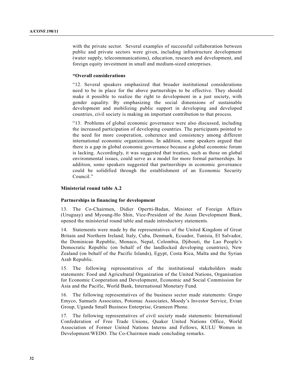with the private sector. Several examples of successful collaboration between public and private sectors were given, including infrastructure development (water supply, telecommunications), education, research and development, and foreign equity investment in small and medium-sized enterprises.

## "Overall considerations

"12. Several speakers emphasized that broader institutional considerations need to be in place for the above partnerships to be effective. They should make it possible to realize the right to development in a just society, with gender equality. By emphasizing the social dimensions of sustainable development and mobilizing public support in developing and developed countries, civil society is making an important contribution to that process.

"13. Problems of global economic governance were also discussed, including the increased participation of developing countries. The participants pointed to the need for more cooperation, coherence and consistency among different international economic organizations. In addition, some speakers argued that there is a gap in global economic governance because a global economic forum is lacking. Accordingly, it was suggested that treaties, such as those on global environmental issues, could serve as a model for more formal partnerships. In addition, some speakers suggested that partnerships in economic governance could be solidified through the establishment of an Economic Security Council."

## Ministerial round table A.2

#### Partnerships in financing for development

13. The Co-Chairmen, Didier Opertti-Badan, Minister of Foreign Affairs (Uruguay) and Myoung-Ho Shin, Vice-President of the Asian Development Bank, opened the ministerial round table and made introductory statements.

14. Statements were made by the representatives of the United Kingdom of Great Britain and Northern Ireland, Italy, Cuba, Denmark, Ecuador, Tunisia, El Salvador, the Dominican Republic, Monaco, Nepal, Colombia, Djibouti, the Lao People's Democratic Republic (on behalf of the landlocked developing countries), New Zealand (on behalf of the Pacific Islands), Egypt, Costa Rica, Malta and the Syrian Arab Republic.

15. The following representatives of the institutional stakeholders made statements: Food and Agricultural Organization of the United Nations, Organisation for Economic Cooperation and Development, Economic and Social Commission for Asia and the Pacific, World Bank, International Monetary Fund.

16. The following representatives of the business sector made statements: Grupo Emyco, Samuels Associates, Potomac Associates, Moody's Investor Service, Evian Group, Uganda Small Business Enterprise, Grameen Phone.

17. The following representatives of civil society made statements: International Confederation of Free Trade Unions, Quaker United Nations Office, World Association of Former United Nations Interns and Fellows, KULU Women in Development/WEDO. The Co-Chairmen made concluding remarks.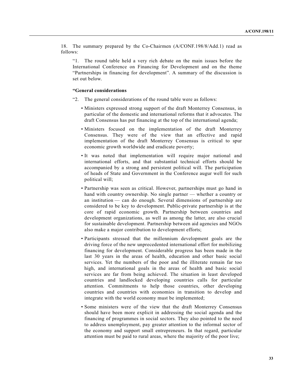18. The summary prepared by the Co-Chairmen (A/CONF.198/8/Add.1) read as follows:

"1. The round table held a very rich debate on the main issues before the International Conference on Financing for Development and on the theme "Partnerships in financing for development". A summary of the discussion is set out below.

## "General considerations

- $\cdot$  2. The general considerations of the round table were as follows:
	- Ministers expressed strong support of the draft Monterrey Consensus, in particular of the domestic and international reforms that it advocates. The draft Consensus has put financing at the top of the international agenda;
	- Ministers focused on the implementation of the draft Monterrey Consensus. They were of the view that an effective and rapid implementation of the draft Monterrey Consensus is critical to spur economic growth worldwide and eradicate poverty;
	- It was noted that implementation will require major national and international efforts, and that substantial technical efforts should be accompanied by a strong and persistent political will. The participation of heads of State and Government in the Conference augur well for such political will;
	- Partnership was seen as critical. However, partnerships must go hand in hand with country ownership. No single partner — whether a country or an institution — can do enough. Several dimensions of partnership are considered to be key to development. Public-private partnership is at the core of rapid economic growth. Partnership between countries and development organizations, as well as among the latter, are also crucial for sustainable development. Partnership between aid agencies and NGOs also make a major contribution to development efforts;
	- · Participants stressed that the millennium development goals are the driving force of the new unprecedented international effort for mobilizing financing for development. Considerable progress has been made in the last 30 years in the areas of health, education and other basic social services. Yet the numbers of the poor and the illiterate remain far too high, and international goals in the areas of health and basic social services are far from being achieved. The situation in least developed countries and landlocked developing countries calls for particular attention. Commitments to help those countries, other developing countries and countries with economies in transition to develop and integrate with the world economy must be implemented;
	- · Some ministers were of the view that the draft Monterrey Consensus should have been more explicit in addressing the social agenda and the financing of programmes in social sectors. They also pointed to the need to address unemployment, pay greater attention to the informal sector of the economy and support small entrepreneurs. In that regard, particular attention must be paid to rural areas, where the majority of the poor live;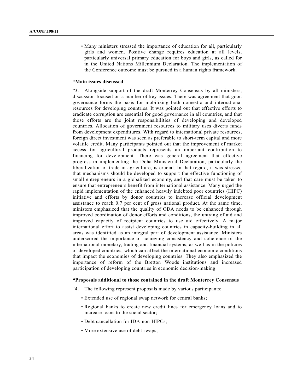• Many ministers stressed the importance of education for all, particularly girls and women. Positive change requires education at all levels, particularly universal primary education for boys and girls, as called for in the United Nations Millennium Declaration. The implementation of the Conference outcome must be pursued in a human rights framework.

## "Main issues discussed

"3. Alongside support of the draft Monterrey Consensus by all ministers, discussion focused on a number of key issues. There was agreement that good governance forms the basis for mobilizing both domestic and international resources for developing countries. It was pointed out that effective efforts to eradicate corruption are essential for good governance in all countries, and that those efforts are the joint responsibilities of developing and developed countries. Allocation of government resources to military uses diverts funds from development expenditures. With regard to international private resources, foreign direct investment was seen as preferable to short-term capital and more volatile credit. Many participants pointed out that the improvement of market access for agricultural products represents an important contribution to financing for development. There was general agreement that effective progress in implementing the Doha Ministerial Declaration, particularly the liberalization of trade in agriculture, is crucial. In that regard, it was stressed that mechanisms should be developed to support the effective functioning of small entrepreneurs in a globalized economy, and that care must be taken to ensure that entrepreneurs benefit from international assistance. Many urged the rapid implementation of the enhanced heavily indebted poor countries (HIPC) initiative and efforts by donor countries to increase official development assistance to reach 0.7 per cent of gross national product. At the same time, ministers emphasized that the quality of ODA needs to be enhanced through improved coordination of donor efforts and conditions, the untying of aid and improved capacity of recipient countries to use aid effectively. A major international effort to assist developing countries in capacity-building in all areas was identified as an integral part of development assistance. Ministers underscored the importance of achieving consistency and coherence of the international monetary, trading and financial systems, as well as in the policies of developed countries, which can affect the international economic conditions that impact the economies of developing countries. They also emphasized the importance of reform of the Bretton Woods institutions and increased participation of developing countries in economic decision-making.

#### "Proposals additional to those contained in the draft Monterrey Consensus

- "4. The following represent proposals made by various participants:
	- Extended use of regional swap network for central banks;
	- · Regional banks to create new credit lines for emergency loans and to increase loans to the social sector;
	- Debt cancellation for IDA-non-HIPCs;
	- More extensive use of debt swaps;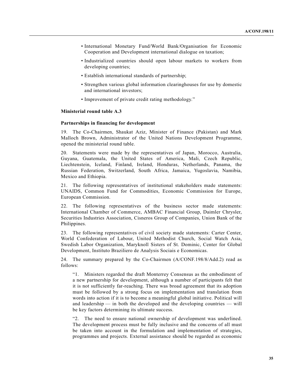- · International Monetary Fund/World Bank/Organisation for Economic Cooperation and Development international dialogue on taxation;
- Industrialized countries should open labour markets to workers from developing countries;
- · Establish international standards of partnership;
- Strengthen various global information clearinghouses for use by domestic and international investors;
- Improvement of private credit rating methodology."

## Ministerial round table A.3

#### Partnerships in financing for development

19. The Co-Chairmen, Shaukat Aziz, Minister of Finance (Pakistan) and Mark Malloch Brown, Administrator of the United Nations Development Programme, opened the ministerial round table.

20. Statements were made by the representatives of Japan, Morocco, Australia, Guyana, Guatemala, the United States of America, Mali, Czech Republic, Liechtenstein, Iceland, Finland, Ireland, Honduras, Netherlands, Panama, the Russian Federation, Switzerland, South Africa, Jamaica, Yugoslavia, Namibia, Mexico and Ethiopia.

21. The following representatives of institutional stakeholders made statements: UNAIDS, Common Fund for Commodities, Economic Commission for Europe, European Commission.

22. The following representatives of the business sector made statements: International Chamber of Commerce, AMBAC Financial Group, Daimler Chrysler, Securities Industries Association, Cisneros Group of Companies, Union Bank of the Philippines.

23. The following representatives of civil society made statements: Carter Center, World Confederation of Labour, United Methodist Church, Social Watch Asia, Swedish Labor Organization, Maryknoll Sisters of St. Dominic, Center for Global Development, Instituto Braziliero de Analysis Sociais e Economicas.

24. The summary prepared by the Co-Chairmen (A/CONF.198/8/Add.2) read as follows:

"1. Ministers regarded the draft Monterrey Consensus as the embodiment of a new partnership for development, although a number of participants felt that it is not sufficiently far-reaching. There was broad agreement that its adoption must be followed by a strong focus on implementation and translation from words into action if it is to become a meaningful global initiative. Political will and leadership — in both the developed and the developing countries — will be key factors determining its ultimate success.

"2. The need to ensure national ownership of development was underlined. The development process must be fully inclusive and the concerns of all must be taken into account in the formulation and implementation of strategies, programmes and projects. External assistance should be regarded as economic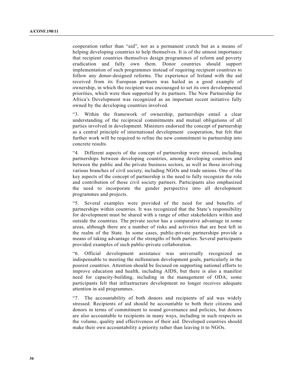cooperation rather than "aid", not as a permanent crutch but as a means of helping developing countries to help themselves. It is of the utmost importance that recipient countries themselves design programmes of reform and poverty eradication and fully own them. Donor countries should support implementation of such programmes instead of requiring recipient countries to follow any donor-designed reforms. The experience of Ireland with the aid received from its European partners was hailed as a good example of ownership, in which the recipient was encouraged to set its own developmental priorities, which were then supported by its partners. The New Partnership for Africa's Development was recognized as an important recent initiative fully owned by the developing countries involved.

"3. Within the framework of ownership, partnerships entail a clear understanding of the reciprocal commitments and mutual obligations of all parties involved in development. Ministers endorsed the concept of partnership as a central principle of international development cooperation, but felt that further work will be required to refine the new commitment to partnership into concrete results.

"4. Different aspects of the concept of partnership were stressed, including partnerships between developing countries, among developing countries and between the public and the private business sectors, as well as those involving various branches of civil society, including NGOs and trade unions. One of the key aspects of the concept of partnership is the need to fully recognize the role and contribution of those civil society partners. Participants also emphasized the need to incorporate the gender perspective into all development programmes and projects.

"5. Several examples were provided of the need for and benefits of partnerships within countries. It was recognized that the State's responsibility for development must be shared with a range of other stakeholders within and outside the countries. The private sector has a comparative advantage in some areas, although there are a number of risks and activities that are best left in the realm of the State. In some cases, public-private partnerships provide a means of taking advantage of the strengths of both parties. Several participants provided examples of such public-private collaboration.

"6. Official development assistance was universally recognized as indispensable to meeting the millennium development goals, particularly in the poorest countries. Attention should be focused on supporting national efforts to improve education and health, including AIDS, but there is also a manifest need for capacity-building, including in the management of ODA; some participants felt that infrastructure development no longer receives adequate attention in aid programmes.

"7. The accountability of both donors and recipients of aid was widely stressed. Recipients of aid should be accountable to both their citizens and donors in terms of commitment to sound governance and policies, but donors are also accountable to recipients in many ways, including in such respects as the volume, quality and effectiveness of their aid. Developed countries should make their own accountability a priority rather than leaving it to NGOs.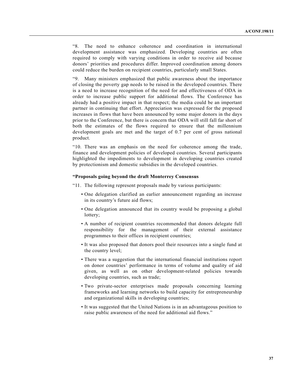"8. The need to enhance coherence and coordination in international development assistance was emphasized. Developing countries are often required to comply with varying conditions in order to receive aid because donors' priorities and procedures differ. Improved coordination among donors could reduce the burden on recipient countries, particularly small States.

 $^{44}Q$ Many ministers emphasized that public awareness about the importance of closing the poverty gap needs to be raised in the developed countries. There is a need to increase recognition of the need for and effectiveness of ODA in order to increase public support for additional flows. The Conference has already had a positive impact in that respect; the media could be an important partner in continuing that effort. Appreciation was expressed for the proposed increases in flows that have been announced by some major donors in the days prior to the Conference, but there is concern that ODA will still fall far short of both the estimates of the flows required to ensure that the millennium development goals are met and the target of 0.7 per cent of gross national product.

"10. There was an emphasis on the need for coherence among the trade, finance and development policies of developed countries. Several participants highlighted the impediments to development in developing countries created by protectionism and domestic subsidies in the developed countries.

## "Proposals going beyond the draft Monterrey Consensus

- "11. The following represent proposals made by various participants:
	- One delegation clarified an earlier announcement regarding an increase in its country's future aid flows;
	- One delegation announced that its country would be proposing a global lottery;
	- A number of recipient countries recommended that donors delegate full responsibility for the management of their external assistance programmes to their offices in recipient countries;
	- It was also proposed that donors pool their resources into a single fund at the country level;
	- There was a suggestion that the international financial institutions report on donor countries' performance in terms of volume and quality of aid given, as well as on other development-related policies towards developing countries, such as trade;
	- Two private-sector enterprises made proposals concerning learning frameworks and learning networks to build capacity for entrepreneurship and organizational skills in developing countries;
	- It was suggested that the United Nations is in an advantageous position to raise public awareness of the need for additional aid flows."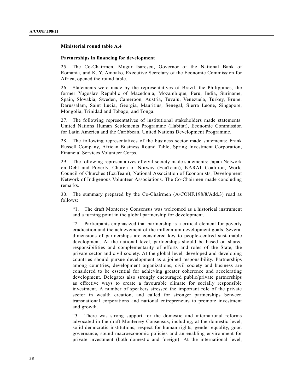## Ministerial round table A.4

#### Partnerships in financing for development

25. The Co-Chairmen, Mugur Isarescu, Governor of the National Bank of Romania, and K. Y. Amoako, Executive Secretary of the Economic Commission for Africa, opened the round table.

26. Statements were made by the representatives of Brazil, the Philippines, the former Yugoslav Republic of Macedonia, Mozambique, Peru, India, Suriname, Spain, Slovakia, Sweden, Cameroon, Austria, Tuvalu, Venezuela, Turkey, Brunei Darussalam, Saint Lucia, Georgia, Mauritius, Senegal, Sierra Leone, Singapore, Mongolia, Trinidad and Tobago, and Tonga.

27. The following representatives of institutional stakeholders made statements: United Nations Human Settlements Programme (Habitat), Economic Commission for Latin America and the Caribbean, United Nations Development Programme.

28. The following representatives of the business sector made statements: Frank Russell Company, African Business Round Table, Spring Investment Corporation, Financial Services Volunteer Corps.

29. The following representatives of civil society made statements: Japan Network on Debt and Poverty, Church of Norway (EcuTeam), KARAT Coalition, World Council of Churches (EcuTeam), National Association of Economists, Development Network of Indigenous Volunteer Associations. The Co-Chairmen made concluding remarks.

30. The summary prepared by the Co-Chairmen (A/CONF.198/8/Add.3) read as follows:

"1. The draft Monterrey Consensus was welcomed as a historical instrument and a turning point in the global partnership for development.

"2. Participants emphasized that partnership is a critical element for poverty eradication and the achievement of the millennium development goals. Several dimensions of partnerships are considered key to people-centred sustainable development. At the national level, partnerships should be based on shared responsibilities and complementarity of efforts and roles of the State, the private sector and civil society. At the global level, developed and developing countries should pursue development as a joined responsibility. Partnerships among countries, development organizations, civil society and business are considered to be essential for achieving greater coherence and accelerating development. Delegates also strongly encouraged public/private partnerships as effective ways to create a favourable climate for socially responsible investment. A number of speakers stressed the important role of the private sector in wealth creation, and called for stronger partnerships between transnational corporations and national entrepreneurs to promote investment and growth.

"3. There was strong support for the domestic and international reforms advocated in the draft Monterrey Consensus, including, at the domestic level, solid democratic institutions, respect for human rights, gender equality, good governance, sound macroeconomic policies and an enabling environment for private investment (both domestic and foreign). At the international level,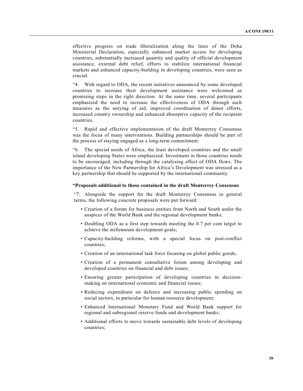effective progress on trade liberalization along the lines of the Doha Ministerial Declaration, especially enhanced market access for developing countries, substantially increased quantity and quality of official development assistance, external debt relief, efforts to stabilize international financial markets and enhanced capacity-building in developing countries, were seen as crucial.

"4. With regard to ODA, the recent initiatives announced by some developed countries to increase their development assistance were welcomed as promising steps in the right direction. At the same time, several participants emphasized the need to increase the effectiveness of ODA through such measures as the untying of aid, improved coordination of donor efforts, increased country ownership and enhanced absorptive capacity of the recipient countries.

"5. Rapid and effective implementation of the draft Monterrey Consensus was the focus of many interventions. Building partnerships should be part of the process of staying engaged as a long-term commitment.

"6. The special needs of Africa, the least developed countries and the small island developing States were emphasized. Investment in those countries needs to be encouraged, including through the catalysing effect of ODA flows. The importance of the New Partnership for Africa's Development was stressed as a key partnership that should be supported by the international community.

#### "Proposals additional to those contained in the draft Monterrey Consensus

"7. Alongside the support for the draft Monterrey Consensus in general terms, the following concrete proposals were put forward:

- Creation of a forum for business entities from North and South under the auspices of the World Bank and the regional development banks;
- Doubling ODA as a first step towards meeting the 0.7 per cent target to achieve the millennium development goals;
- Capacity-building reforms, with a special focus on post-conflict countries;
- Creation of an international task force focusing on global public goods;
- Creation of a permanent consultative forum among developing and developed countries on financial and debt issues;
- · Ensuring greater participation of developing countries in decisionmaking on international economic and financial issues;
- Reducing expenditure on defence and increasing public spending on social sectors, in particular for human resource development;
- · Enhanced International Monetary Fund and World Bank support for regional and subregional reserve funds and development banks;
- Additional efforts to move towards sustainable debt levels of developing countries: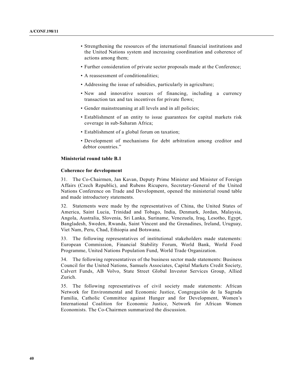- Strengthening the resources of the international financial institutions and the United Nations system and increasing coordination and coherence of actions among them;
- Further consideration of private sector proposals made at the Conference;
- A reassessment of conditionalities;
- Addressing the issue of subsidies, particularly in agriculture;
- New and innovative sources of financing, including a currency transaction tax and tax incentives for private flows;
- Gender mainstreaming at all levels and in all policies;
- Establishment of an entity to issue guarantees for capital markets risk coverage in sub-Saharan Africa;
- Establishment of a global forum on taxation;
- Development of mechanisms for debt arbitration among creditor and debtor countries."

#### Ministerial round table B.1

#### **Coherence for development**

31. The Co-Chairmen, Jan Kavan, Deputy Prime Minister and Minister of Foreign Affairs (Czech Republic), and Rubens Ricupero, Secretary-General of the United Nations Conference on Trade and Development, opened the ministerial round table and made introductory statements.

32. Statements were made by the representatives of China, the United States of America, Saint Lucia, Trinidad and Tobago, India, Denmark, Jordan, Malaysia, Angola, Australia, Slovenia, Sri Lanka, Suriname, Venezuela, Iraq, Lesotho, Egypt, Bangladesh, Sweden, Rwanda, Saint Vincent and the Grenadines, Ireland, Uruguay, Viet Nam, Peru, Chad, Ethiopia and Botswana.

33. The following representatives of institutional stakeholders made statements: European Commission, Financial Stability Forum, World Bank, World Food Programme, United Nations Population Fund, World Trade Organization.

34. The following representatives of the business sector made statements: Business Council for the United Nations, Samuels Associates, Capital Markets Credit Society, Calvert Funds, AB Volvo, State Street Global Investor Services Group, Allied Zurich.

35. The following representatives of civil society made statements: African Network for Environmental and Economic Justice, Congregación de la Sagrada Familia, Catholic Committee against Hunger and for Development, Women's International Coalition for Economic Justice, Network for African Women Economists. The Co-Chairmen summarized the discussion.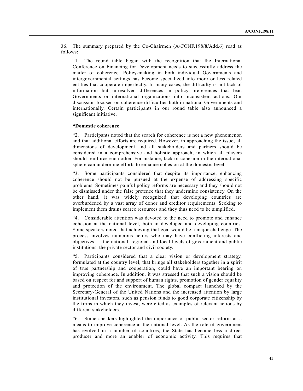36. The summary prepared by the Co-Chairmen (A/CONF.198/8/Add.6) read as follows:

"1. The round table began with the recognition that the International Conference on Financing for Development needs to successfully address the matter of coherence. Policy-making in both individual Governments and intergovernmental settings has become specialized into more or less related entities that cooperate imperfectly. In many cases, the difficulty is not lack of information but unresolved differences in policy preferences that lead Governments or international organizations into inconsistent actions. Our discussion focused on coherence difficulties both in national Governments and internationally. Certain participants in our round table also announced a significant initiative.

## "Domestic coherence

"2. Participants noted that the search for coherence is not a new phenomenon and that additional efforts are required. However, in approaching the issue, all dimensions of development and all stakeholders and partners should be considered in a comprehensive and holistic approach, in which all players should reinforce each other. For instance, lack of cohesion in the international sphere can undermine efforts to enhance cohesion at the domestic level.

"3. Some participants considered that despite its importance, enhancing coherence should not be pursued at the expense of addressing specific problems. Sometimes painful policy reforms are necessary and they should not be dismissed under the false pretence that they undermine consistency. On the other hand, it was widely recognized that developing countries are overburdened by a vast array of donor and creditor requirements. Seeking to implement them drains scarce resources and they thus need to be simplified.

"4. Considerable attention was devoted to the need to promote and enhance cohesion at the national level, both in developed and developing countries. Some speakers noted that achieving that goal would be a major challenge. The process involves numerous actors who may have conflicting interests and objectives - the national, regional and local levels of government and public institutions, the private sector and civil society.

"5. Participants considered that a clear vision or development strategy, formulated at the country level, that brings all stakeholders together in a spirit of true partnership and cooperation, could have an important bearing on improving coherence. In addition, it was stressed that such a vision should be based on respect for and support of human rights, promotion of gender equality and protection of the environment. The global compact launched by the Secretary-General of the United Nations and the increased attention by large institutional investors, such as pension funds to good corporate citizenship by the firms in which they invest, were cited as examples of relevant actions by different stakeholders.

"6. Some speakers highlighted the importance of public sector reform as a means to improve coherence at the national level. As the role of government has evolved in a number of countries, the State has become less a direct producer and more an enabler of economic activity. This requires that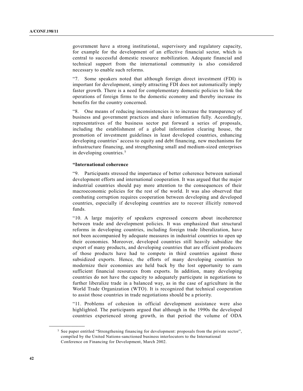government have a strong institutional, supervisory and regulatory capacity, for example for the development of an effective financial sector, which is central to successful domestic resource mobilization. Adequate financial and technical support from the international community is also considered necessary to enable such reforms.

"7. Some speakers noted that although foreign direct investment (FDI) is important for development, simply attracting FDI does not automatically imply faster growth. There is a need for complementary domestic policies to link the operations of foreign firms to the domestic economy and thereby increase its benefits for the country concerned.

"8. One means of reducing inconsistencies is to increase the transparency of business and government practices and share information fully. Accordingly, representatives of the business sector put forward a series of proposals, including the establishment of a global information clearing house, the promotion of investment guidelines in least developed countries, enhancing developing countries' access to equity and debt financing, new mechanisms for infrastructure financing, and strengthening small and medium-sized enterprises in developing countries.<sup>7</sup>

## "International coherence

"9. Participants stressed the importance of better coherence between national development efforts and international cooperation. It was argued that the major industrial countries should pay more attention to the consequences of their macroeconomic policies for the rest of the world. It was also observed that combating corruption requires cooperation between developing and developed countries, especially if developing countries are to recover illicitly removed funds.

"10. A large majority of speakers expressed concern about incoherence between trade and development policies. It was emphasized that structural reforms in developing countries, including foreign trade liberalization, have not been accompanied by adequate measures in industrial countries to open up their economies. Moreover, developed countries still heavily subsidize the export of many products, and developing countries that are efficient producers of those products have had to compete in third countries against those subsidized exports. Hence, the efforts of many developing countries to modernize their economies are held back by the lost opportunity to earn sufficient financial resources from exports. In addition, many developing countries do not have the capacity to adequately participate in negotiations to further liberalize trade in a balanced way, as in the case of agriculture in the World Trade Organization (WTO). It is recognized that technical cooperation to assist those countries in trade negotiations should be a priority.

"11. Problems of cohesion in official development assistance were also highlighted. The participants argued that although in the 1990s the developed countries experienced strong growth, in that period the volume of ODA

<sup>7</sup> See paper entitled "Strengthening financing for development: proposals from the private sector", compiled by the United Nations-sanctioned business interlocutors to the International Conference on Financing for Development, March 2002.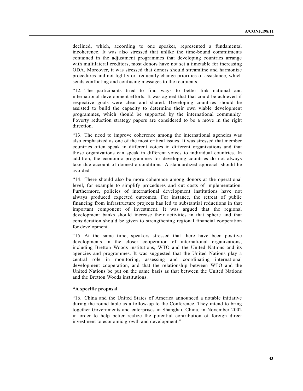declined, which, according to one speaker, represented a fundamental incoherence. It was also stressed that unlike the time-bound commitments contained in the adjustment programmes that developing countries arrange with multilateral creditors, most donors have not set a timetable for increasing ODA. Moreover, it was stressed that donors should streamline and harmonize procedures and not lightly or frequently change priorities of assistance, which sends conflicting and confusing messages to the recipients.

"12. The participants tried to find ways to better link national and international development efforts. It was agreed that that could be achieved if respective goals were clear and shared. Developing countries should be assisted to build the capacity to determine their own viable development programmes, which should be supported by the international community. Poverty reduction strategy papers are considered to be a move in the right direction.

"13. The need to improve coherence among the international agencies was also emphasized as one of the most critical issues. It was stressed that member countries often speak in different voices in different organizations and that those organizations can speak in different voices to individual countries. In addition, the economic programmes for developing countries do not always take due account of domestic conditions. A standardized approach should be avoided.

"14. There should also be more coherence among donors at the operational level, for example to simplify procedures and cut costs of implementation. Furthermore, policies of international development institutions have not always produced expected outcomes. For instance, the retreat of public financing from infrastructure projects has led to substantial reductions in that important component of investment. It was argued that the regional development banks should increase their activities in that sphere and that consideration should be given to strengthening regional financial cooperation for development.

"15. At the same time, speakers stressed that there have been positive developments in the closer cooperation of international organizations, including Bretton Woods institutions, WTO and the United Nations and its agencies and programmes. It was suggested that the United Nations play a central role in monitoring, assessing and coordinating international development cooperation, and that the relationship between WTO and the United Nations be put on the same basis as that between the United Nations and the Bretton Woods institutions.

## "A specific proposal

"16. China and the United States of America announced a notable initiative during the round table as a follow-up to the Conference. They intend to bring together Governments and enterprises in Shanghai, China, in November 2002 in order to help better realize the potential contribution of foreign direct investment to economic growth and development."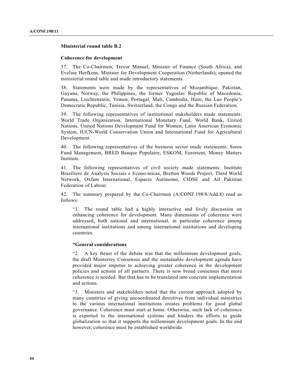## Ministerial round table B.2

#### **Coherence for development**

37. The Co-Chairmen, Trevor Manuel, Minister of Finance (South Africa), and Eveline Herfkens, Minister for Development Cooperation (Netherlands), opened the ministerial round table and made introductory statements.

38. Statements were made by the representatives of Mozambique, Pakistan, Guyana, Norway, the Philippines, the former Yugoslav Republic of Macedonia, Panama, Liechtenstein, Yemen, Portugal, Mali, Cambodia, Haiti, the Lao People's Democratic Republic, Tunisia, Switzerland, the Congo and the Russian Federation.

39. The following representatives of institutional stakeholders made statements: World Trade Organization, International Monetary Fund, World Bank, United Nations, United Nations Development Fund for Women, Latin American Economic System, IUCN-World Conservation Union and International Fund for Agricultural Development.

40. The following representatives of the business sector made statements: Soros Fund Management, BRED Banque Populaire, ESKOM, Eurorient, Money Matters Institute.

41. The following representatives of civil society made statements: Instituto Braziliero de Analysis Sociais e Econo-micas, Bretton Woods Project, Third World Network, Oxfam International, Espacio Autónomo, CIDSE and All Pakistan Federation of Labour.

42. The summary prepared by the Co-Chairmen (A/CONF.198/8/Add.8) read as follows:

"1. The round table had a highly interactive and lively discussion on enhancing coherence for development. Many dimensions of coherence were addressed, both national and international, in particular coherence among international institutions and among international institutions and developing countries.

## "General considerations

"2. A key thrust of the debate was that the millennium development goals, the draft Monterrey Consensus and the sustainable development agenda have provided major impetus to achieving greater coherence in the development policies and actions of all partners. There is now broad consensus that more coherence is needed. But that has to be translated into concrete implementation and actions.

"3. Ministers and stakeholders noted that the current approach adopted by many countries of giving uncoordinated directives from individual ministries to the various international institutions creates problems for good global governance. Coherence must start at home. Otherwise, such lack of coherence is exported to the international systems and hinders the efforts to guide globalization so that it supports the millennium development goals. In the end however, coherence must be established worldwide.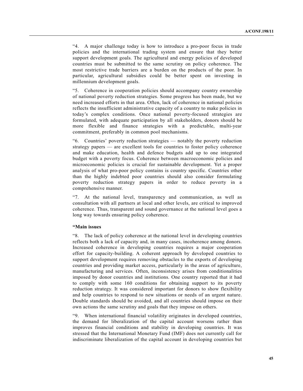"4. A major challenge today is how to introduce a pro-poor focus in trade policies and the international trading system and ensure that they better support development goals. The agricultural and energy policies of developed countries must be submitted to the same scrutiny on policy coherence. The most restrictive trade barriers are a burden on the products of the poor. In particular, agricultural subsidies could be better spent on investing in millennium development goals.

"5. Coherence in cooperation policies should accompany country ownership of national poverty reduction strategies. Some progress has been made, but we need increased efforts in that area. Often, lack of coherence in national policies reflects the insufficient administrative capacity of a country to make policies in today's complex conditions. Once national poverty-focused strategies are formulated, with adequate participation by all stakeholders, donors should be more flexible and finance strategies with a predictable, multi-year commitment, preferably in common pool mechanisms.

Countries' poverty reduction strategies - notably the poverty reduction "6. strategy papers — are excellent tools for countries to foster policy coherence and make education, health and defence budgets add up to one integrated budget with a poverty focus. Coherence between macroeconomic policies and microeconomic policies is crucial for sustainable development. Yet a proper analysis of what pro-poor policy contains is country specific. Countries other than the highly indebted poor countries should also consider formulating poverty reduction strategy papers in order to reduce poverty in a comprehensive manner.

"7. At the national level, transparency and communication, as well as consultation with all partners at local and other levels, are critical to improved coherence. Thus, transparent and sound governance at the national level goes a long way towards ensuring policy coherence.

#### "Main issues

"8. The lack of policy coherence at the national level in developing countries reflects both a lack of capacity and, in many cases, incoherence among donors. Increased coherence in developing countries requires a major cooperation effort for capacity-building. A coherent approach by developed countries to support development requires removing obstacles to the exports of developing countries and providing market access, particularly in the areas of agriculture, manufacturing and services. Often, inconsistency arises from conditionalities imposed by donor countries and institutions. One country reported that it had to comply with some 160 conditions for obtaining support to its poverty reduction strategy. It was considered important for donors to show flexibility and help countries to respond to new situations or needs of an urgent nature. Double standards should be avoided, and all countries should impose on their own actions the same scrutiny and goals that they impose on others.

"9. When international financial volatility originates in developed countries, the demand for liberalization of the capital account worsens rather than improves financial conditions and stability in developing countries. It was stressed that the International Monetary Fund (IMF) does not currently call for indiscriminate liberalization of the capital account in developing countries but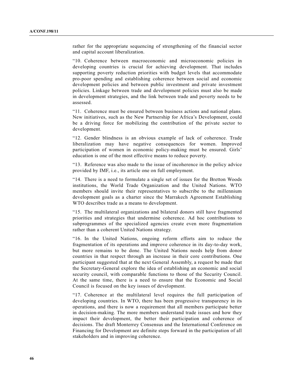rather for the appropriate sequencing of strengthening of the financial sector and capital account liberalization.

"10. Coherence between macroeconomic and microeconomic policies in developing countries is crucial for achieving development. That includes supporting poverty reduction priorities with budget levels that accommodate pro-poor spending and establishing coherence between social and economic development policies and between public investment and private investment policies. Linkage between trade and development policies must also be made in development strategies, and the link between trade and poverty needs to be assessed.

"11. Coherence must be ensured between business actions and national plans. New initiatives, such as the New Partnership for Africa's Development, could be a driving force for mobilizing the contribution of the private sector to development.

"12. Gender blindness is an obvious example of lack of coherence. Trade liberalization may have negative consequences for women. Improved participation of women in economic policy-making must be ensured. Girls' education is one of the most effective means to reduce poverty.

"13. Reference was also made to the issue of incoherence in the policy advice provided by IMF, i.e., its article one on full employment.

"14. There is a need to formulate a single set of issues for the Bretton Woods institutions, the World Trade Organization and the United Nations. WTO members should invite their representatives to subscribe to the millennium development goals as a charter since the Marrakech Agreement Establishing WTO describes trade as a means to development.

"15. The multilateral organizations and bilateral donors still have fragmented priorities and strategies that undermine coherence. Ad hoc contributions to subprogrammes of the specialized agencies create even more fragmentation rather than a coherent United Nations strategy.

"16. In the United Nations, ongoing reform efforts aim to reduce the fragmentation of its operations and improve coherence in its day-to-day work, but more remains to be done. The United Nations needs help from donor countries in that respect through an increase in their core contributions. One participant suggested that at the next General Assembly, a request be made that the Secretary-General explore the idea of establishing an economic and social security council, with comparable functions to those of the Security Council. At the same time, there is a need to ensure that the Economic and Social Council is focused on the key issues of development.

"17. Coherence at the multilateral level requires the full participation of developing countries. In WTO, there has been progressive transparency in its operations, and there is now a requirement that all members participate better in decision-making. The more members understand trade issues and how they impact their development, the better their participation and coherence of decisions. The draft Monterrey Consensus and the International Conference on Financing for Development are definite steps forward in the participation of all stakeholders and in improving coherence.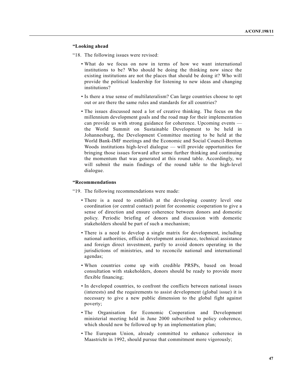## "Looking ahead

- "18. The following issues were revised:
	- What do we focus on now in terms of how we want international institutions to be? Who should be doing the thinking now since the existing institutions are not the places that should be doing it? Who will provide the political leadership for listening to new ideas and changing institutions?
	- Is there a true sense of multilateralism? Can large countries choose to opt out or are there the same rules and standards for all countries?
	- The issues discussed need a lot of creative thinking. The focus on the millennium development goals and the road map for their implementation can provide us with strong guidance for coherence. Upcoming events the World Summit on Sustainable Development to be held in Johannesburg, the Development Committee meeting to be held at the World Bank-IMF meetings and the Economic and Social Council-Bretton Woods institutions high-level dialogue  $-$  will provide opportunities for bringing those issues forward after some further thinking and continuing the momentum that was generated at this round table. Accordingly, we will submit the main findings of the round table to the high-level dialogue.

#### "Recommendations

- "19. The following recommendations were made:
	- There is a need to establish at the developing country level one coordination (or central contact) point for economic cooperation to give a sense of direction and ensure coherence between donors and domestic policy. Periodic briefing of donors and discussion with domestic stakeholders should be part of such a mechanism;
	- There is a need to develop a single matrix for development, including national authorities, official development assistance, technical assistance and foreign direct investment, partly to avoid donors operating in the jurisdictions of ministries, and to reconcile national and international agendas;
	- . When countries come up with credible PRSPs, based on broad consultation with stakeholders, donors should be ready to provide more flexible financing;
	- In developed countries, to confront the conflicts between national issues (interests) and the requirements to assist development (global issue) it is necessary to give a new public dimension to the global fight against poverty;
	- The Organisation for Economic Cooperation and Development ministerial meeting held in June 2000 subscribed to policy coherence, which should now be followed up by an implementation plan;
	- · The European Union, already committed to enhance coherence in Maastricht in 1992, should pursue that commitment more vigorously;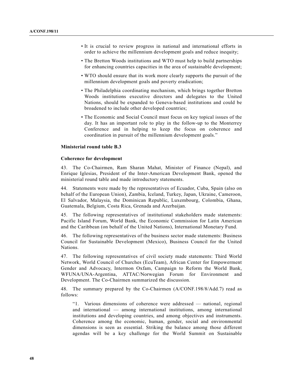- It is crucial to review progress in national and international efforts in order to achieve the millennium development goals and reduce inequity;
- The Bretton Woods institutions and WTO must help to build partnerships for enhancing countries capacities in the area of sustainable development;
- WTO should ensure that its work more clearly supports the pursuit of the millennium development goals and poverty eradication;
- The Philadelphia coordinating mechanism, which brings together Bretton Woods institutions executive directors and delegates to the United Nations, should be expanded to Geneva-based institutions and could be broadened to include other developed countries;
- The Economic and Social Council must focus on key topical issues of the day. It has an important role to play in the follow-up to the Monterrey Conference and in helping to keep the focus on coherence and coordination in pursuit of the millennium development goals."

#### Ministerial round table B.3

#### **Coherence for development**

43. The Co-Chairmen, Ram Sharan Mahat, Minister of Finance (Nepal), and Enrique Iglesias, President of the Inter-American Development Bank, opened the ministerial round table and made introductory statements.

44. Statements were made by the representatives of Ecuador, Cuba, Spain (also on behalf of the European Union), Zambia, Iceland, Turkey, Japan, Ukraine, Cameroon, El Salvador, Malaysia, the Dominican Republic, Luxembourg, Colombia, Ghana, Guatemala, Belgium, Costa Rica, Grenada and Azerbaijan.

45. The following representatives of institutional stakeholders made statements: Pacific Island Forum, World Bank, the Economic Commission for Latin American and the Caribbean (on behalf of the United Nations), International Monetary Fund.

46. The following representatives of the business sector made statements: Business Council for Sustainable Development (Mexico), Business Council for the United Nations.

47. The following representatives of civil society made statements: Third World Network, World Council of Churches (EcuTeam), African Center for Empowerment Gender and Advocacy, Intermon Oxfam, Campaign to Reform the World Bank, WFUNA/UNA-Argentina, ATTAC/Norwegian Forum for Environment and Development. The Co-Chairmen summarized the discussion.

48. The summary prepared by the Co-Chairmen (A/CONF.198/8/Add.7) read as follows:

"1. Various dimensions of coherence were addressed - national, regional and international — among international institutions, among international institutions and developing countries, and among objectives and instruments. Coherence among the economic, human, gender, social and environmental dimensions is seen as essential. Striking the balance among those different agendas will be a key challenge for the World Summit on Sustainable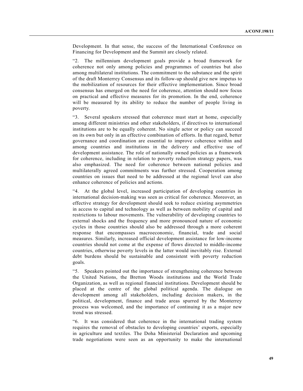Development. In that sense, the success of the International Conference on Financing for Development and the Summit are closely related.

"2. The millennium development goals provide a broad framework for coherence not only among policies and programmes of countries but also among multilateral institutions. The commitment to the substance and the spirit of the draft Monterrey Consensus and its follow-up should give new impetus to the mobilization of resources for their effective implementation. Since broad consensus has emerged on the need for coherence, attention should now focus on practical and effective measures for its promotion. In the end, coherence will be measured by its ability to reduce the number of people living in poverty.

"3. Several speakers stressed that coherence must start at home, especially among different ministries and other stakeholders, if directives to international institutions are to be equally coherent. No single actor or policy can succeed on its own but only in an effective combination of efforts. In that regard, better governance and coordination are essential to improve coherence within and among countries and institutions in the delivery and effective use of development assistance. The role of nationally owned policies as a framework for coherence, including in relation to poverty reduction strategy papers, was also emphasized. The need for coherence between national policies and multilaterally agreed commitments was further stressed. Cooperation among countries on issues that need to be addressed at the regional level can also enhance coherence of policies and actions.

"4. At the global level, increased participation of developing countries in international decision-making was seen as critical for coherence. Moreover, an effective strategy for development should seek to reduce existing asymmetries in access to capital and technology as well as between mobility of capital and restrictions to labour movements. The vulnerability of developing countries to external shocks and the frequency and more pronounced nature of economic cycles in those countries should also be addressed through a more coherent response that encompasses macroeconomic, financial, trade and social measures. Similarly, increased official development assistance for low-income countries should not come at the expense of flows directed to middle-income countries, otherwise poverty levels in the latter would inevitably rise. External debt burdens should be sustainable and consistent with poverty reduction goals.

"5. Speakers pointed out the importance of strengthening coherence between the United Nations, the Bretton Woods institutions and the World Trade Organization, as well as regional financial institutions. Development should be placed at the centre of the global political agenda. The dialogue on development among all stakeholders, including decision makers, in the political, development, finance and trade areas spurred by the Monterrey process was welcomed, and the importance of continuing it as a major new trend was stressed.

"6. It was considered that coherence in the international trading system requires the removal of obstacles to developing countries' exports, especially in agriculture and textiles. The Doha Ministerial Declaration and upcoming trade negotiations were seen as an opportunity to make the international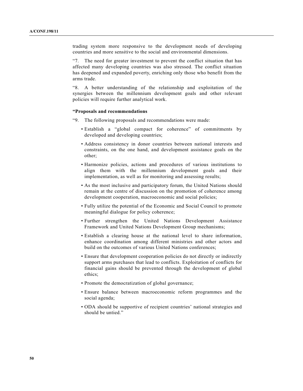trading system more responsive to the development needs of developing countries and more sensitive to the social and environmental dimensions.

"7. The need for greater investment to prevent the conflict situation that has affected many developing countries was also stressed. The conflict situation has deepened and expanded poverty, enriching only those who benefit from the arms trade.

"8. A better understanding of the relationship and exploitation of the synergies between the millennium development goals and other relevant policies will require further analytical work.

## "Proposals and recommendations

- "9. The following proposals and recommendations were made:
	- Establish a "global compact for coherence" of commitments by developed and developing countries;
	- · Address consistency in donor countries between national interests and constraints, on the one hand, and development assistance goals on the other:
	- Harmonize policies, actions and procedures of various institutions to align them with the millennium development goals and their implementation, as well as for monitoring and assessing results;
	- As the most inclusive and participatory forum, the United Nations should remain at the centre of discussion on the promotion of coherence among development cooperation, macroeconomic and social policies;
	- Fully utilize the potential of the Economic and Social Council to promote meaningful dialogue for policy coherence;
	- Further strengthen the United Nations Development Assistance Framework and United Nations Development Group mechanisms;
	- Establish a clearing house at the national level to share information, enhance coordination among different ministries and other actors and build on the outcomes of various United Nations conferences;
	- Ensure that development cooperation policies do not directly or indirectly support arms purchases that lead to conflicts. Exploitation of conflicts for financial gains should be prevented through the development of global ethics:
	- Promote the democratization of global governance;
	- · Ensure balance between macroeconomic reform programmes and the social agenda;
	- ODA should be supportive of recipient countries' national strategies and should be untied."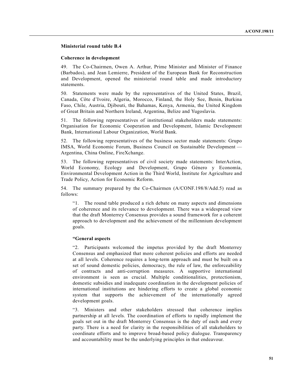## Ministerial round table B.4

## Coherence in development

The Co-Chairmen, Owen A. Arthur, Prime Minister and Minister of Finance 49. (Barbados), and Jean Lemierre, President of the European Bank for Reconstruction and Development, opened the ministerial round table and made introductory statements.

50. Statements were made by the representatives of the United States, Brazil, Canada, Côte d'Ivoire, Algeria, Morocco, Finland, the Holy See, Benin, Burkina Faso, Chile, Austria, Djibouti, the Bahamas, Kenya, Armenia, the United Kingdom of Great Britain and Northern Ireland, Argentina, Belize and Yugoslavia.

51. The following representatives of institutional stakeholders made statements: Organisation for Economic Cooperation and Development, Islamic Development Bank, International Labour Organization, World Bank.

52. The following representatives of the business sector made statements: Grupo IMSA, World Economic Forum, Business Council on Sustainable Development -Argentina, China Online, FireXchange.

53. The following representatives of civil society made statements: InterAction, World Economy, Ecology and Development, Grupo Género y Economía, Environmental Development Action in the Third World, Institute for Agriculture and Trade Policy, Action for Economic Reform.

54. The summary prepared by the Co-Chairmen (A/CONF.198/8/Add.5) read as follows:

"1. The round table produced a rich debate on many aspects and dimensions of coherence and its relevance to development. There was a widespread view that the draft Monterrey Consensus provides a sound framework for a coherent approach to development and the achievement of the millennium development goals.

## "General aspects

"2. Participants welcomed the impetus provided by the draft Monterrey Consensus and emphasized that more coherent policies and efforts are needed at all levels. Coherence requires a long-term approach and must be built on a set of sound domestic policies, democracy, the rule of law, the enforceability of contracts and anti-corruption measures. A supportive international environment is seen as crucial. Multiple conditionalities, protectionism, domestic subsidies and inadequate coordination in the development policies of international institutions are hindering efforts to create a global economic system that supports the achievement of the internationally agreed development goals.

"3. Ministers and other stakeholders stressed that coherence implies partnership at all levels. The coordination of efforts to rapidly implement the goals set out in the draft Monterrey Consensus is the duty of each and every party. There is a need for clarity in the responsibilities of all stakeholders to coordinate efforts and to improve broad-based policy dialogue. Transparency and accountability must be the underlying principles in that endeavour.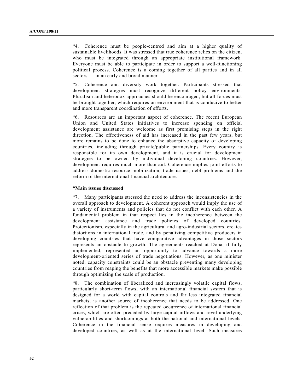"4. Coherence must be people-centred and aim at a higher quality of sustainable livelihoods. It was stressed that true coherence relies on the citizen, who must be integrated through an appropriate institutional framework. Everyone must be able to participate in order to support a well-functioning political process. Coherence is a coming together of all parties and in all sectors — in an early and broad manner.

"5. Coherence and diversity work together. Participants stressed that development strategies must recognize different policy environments. Pluralism and heterodox approaches should be encouraged, but all forces must be brought together, which requires an environment that is conducive to better and more transparent coordination of efforts.

"6. Resources are an important aspect of coherence. The recent European Union and United States initiatives to increase spending on official development assistance are welcome as first promising steps in the right direction. The effectiveness of aid has increased in the past few years, but more remains to be done to enhance the absorptive capacity of developing countries, including through private/public partnerships. Every country is responsible for its own development, and it is crucial for development strategies to be owned by individual developing countries. However, development requires much more than aid. Coherence implies joint efforts to address domestic resource mobilization, trade issues, debt problems and the reform of the international financial architecture.

## "Main issues discussed

"7. Many participants stressed the need to address the inconsistencies in the overall approach to development. A coherent approach would imply the use of a variety of instruments and policies that do not conflict with each other. A fundamental problem in that respect lies in the incoherence between the development assistance and trade policies of developed countries. Protectionism, especially in the agricultural and agro-industrial sectors, creates distortions in international trade, and by penalizing competitive producers in developing countries that have comparative advantages in those sectors represents an obstacle to growth. The agreements reached at Doha, if fully implemented, represented an opportunity to advance towards a more development-oriented series of trade negotiations. However, as one minister noted, capacity constraints could be an obstacle preventing many developing countries from reaping the benefits that more accessible markets make possible through optimizing the scale of production.

"8. The combination of liberalized and increasingly volatile capital flows, particularly short-term flows, with an international financial system that is designed for a world with capital controls and far less integrated financial markets, is another source of incoherence that needs to be addressed. One reflection of that problem is the repeated occurrence of international financial crises, which are often preceded by large capital inflows and revel underlying vulnerabilities and shortcomings at both the national and international levels. Coherence in the financial sense requires measures in developing and developed countries, as well as at the international level. Such measures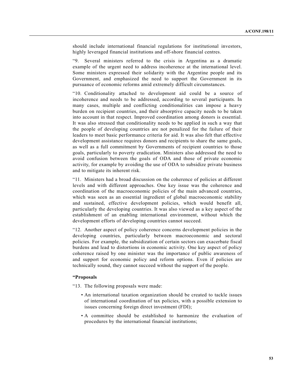should include international financial regulations for institutional investors, highly leveraged financial institutions and off-shore financial centres.

"9. Several ministers referred to the crisis in Argentina as a dramatic example of the urgent need to address incoherence at the international level. Some ministers expressed their solidarity with the Argentine people and its Government, and emphasized the need to support the Government in its pursuance of economic reforms amid extremely difficult circumstances.

"10. Conditionality attached to development aid could be a source of incoherence and needs to be addressed, according to several participants. In many cases, multiple and conflicting conditionalities can impose a heavy burden on recipient countries, and their absorptive capacity needs to be taken into account in that respect. Improved coordination among donors is essential. It was also stressed that conditionality needs to be applied in such a way that the people of developing countries are not penalized for the failure of their leaders to meet basic performance criteria for aid. It was also felt that effective development assistance requires donors and recipients to share the same goals, as well as a full commitment by Governments of recipient countries to those goals, particularly to poverty eradication. Ministers also addressed the need to avoid confusion between the goals of ODA and those of private economic activity, for example by avoiding the use of ODA to subsidize private business and to mitigate its inherent risk.

"11. Ministers had a broad discussion on the coherence of policies at different levels and with different approaches. One key issue was the coherence and coordination of the macroeconomic policies of the main advanced countries, which was seen as an essential ingredient of global macroeconomic stability and sustained, effective development policies, which would benefit all, particularly the developing countries. It was also viewed as a key aspect of the establishment of an enabling international environment, without which the development efforts of developing countries cannot succeed.

"12. Another aspect of policy coherence concerns development policies in the developing countries, particularly between macroeconomic and sectoral policies. For example, the subsidization of certain sectors can exacerbate fiscal burdens and lead to distortions in economic activity. One key aspect of policy coherence raised by one minister was the importance of public awareness of and support for economic policy and reform options. Even if policies are technically sound, they cannot succeed without the support of the people.

### "Proposals

"13. The following proposals were made:

- An international taxation organization should be created to tackle issues of international coordination of tax policies, with a possible extension to issues concerning foreign direct investment (FDI);
- A committee should be established to harmonize the evaluation of procedures by the international financial institutions;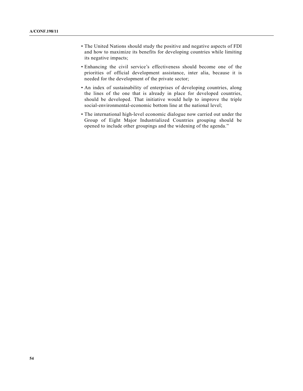- The United Nations should study the positive and negative aspects of FDI and how to maximize its benefits for developing countries while limiting its negative impacts;
- Enhancing the civil service's effectiveness should become one of the priorities of official development assistance, inter alia, because it is needed for the development of the private sector;
- An index of sustainability of enterprises of developing countries, along the lines of the one that is already in place for developed countries, should be developed. That initiative would help to improve the triple social-environmental-economic bottom line at the national level;
- The international high-level economic dialogue now carried out under the Group of Eight Major Industrialized Countries grouping should be opened to include other groupings and the widening of the agenda."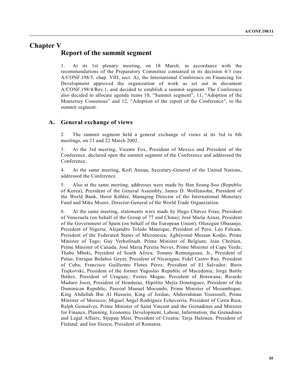# **Chapter V Report of the summit segment**

1. At its 1st plenary meeting, on 18 March, in accordance with the recommendations of the Preparatory Committee contained in its decision 4/3 (see A/CONF.198/5, chap. VIII, sect. A), the International Conference on Financing for Development approved the organization of work as set out in document A/CONF.198/4/Rev.1, and decided to establish a summit segment. The Conference also decided to allocate agenda items 10, "Summit segment", 11, "Adoption of the Monterrey Consensus" and 12, "Adoption of the report of the Conference", to the summit segment.

# A. General exchange of views

2. The summit segment held a general exchange of views at its 3rd to 6th meetings, on 21 and 22 March 2002.

3. At the 3rd meeting, Vicente Fox, President of Mexico and President of the Conference, declared open the summit segment of the Conference and addressed the Conference.

4. At the same meeting, Kofi Annan, Secretary-General of the United Nations, addressed the Conference.

5. Also at the same meeting, addresses were made by Han Seung-Soo (Republic of Korea), President of the General Assembly, James D. Wolfensohn, President of the World Bank, Horst Köhler, Managing Director of the International Monetary Fund and Mike Moore, Director-General of the World Trade Organization.

6. At the same meeting, statements were made by Hugo Chávez Frías, President of Venezuela (on behalf of the Group of 77 and China); José María Aznar, President of the Government of Spain (on behalf of the European Union); Olusegun Obasanjo, President of Nigeria; Alejandro Toledo Manrique, President of Peru; Leo Falcam, President of the Federated States of Micronesia; Agbéyomé Messan Kodjo, Prime Minister of Togo; Guy Verhofstadt, Prime Minister of Belgium; Jean Chrétien, Prime Minister of Canada; José Maria Pereira Neves, Prime Minister of Cape Verde; Thabo Mbeki, President of South Africa; Tommy Remengesau, Jr., President of Palau; Enrique Bolaños Geyer, President of Nicaragua; Fidel Castro Ruz, President of Cuba; Francisco Guillermo Flores Pérez, President of El Salvador; Boris Trajkovski, President of the former Yugoslav Republic of Macedonia; Jorge Battle Ibáñez, President of Uruguay; Festus Mogae, President of Botswana; Ricardo Maduro Joest, President of Honduras; Hipólito Mejía Domínguez, President of the Dominican Republic; Pascoal Manuel Mocumbi, Prime Minister of Mozambique; King Abdullah Bin Al Hussein, King of Jordan; Abderrahman Youssoufi, Prime Minister of Morocco; Miguel Angel Rodríguez Echeverría, President of Costa Rica; Ralph Gonsalves, Prime Minister of Saint Vincent and the Grenadines and Minister for Finance, Planning, Economic Development, Labour, Information, the Grenadines and Legal Affairs; Stjepan Mesi, President of Croatia; Tarja Halonen, President of Finland; and Ion Iliescu, President of Romania.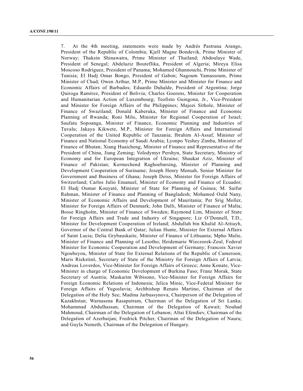At the 4th meeting, statements were made by Andrés Pastrana Arango,  $7_{\scriptscriptstyle{\ddots}}$ President of the Republic of Colombia; Kjell Magne Bondevik, Prime Minister of Norway; Thaksin Shinawatra, Prime Minister of Thailand; Abdoulaye Wade, President of Senegal; Abdelaziz Bouteflika, President of Algeria; Mireya Elisa Moscoso Rodríguez, President of Panama; Mohamed Ghannouchi, Prime Minister of Tunisia; El Hadj Omar Bongo, President of Gabon; Nagoum Yamassoum, Prime Minister of Chad; Owen Arthur, M.P., Prime Minister and Minister for Finance and Economic Affairs of Barbados; Eduardo Duhalde, President of Argentina; Jorge Quiroga Ramírez, President of Bolivia; Charles Goerens, Minister for Cooperation and Humanitarian Action of Luxembourg; Teofisto Guingona, Jr., Vice-President and Minister for Foreign Affairs of the Philippines; Majozi Sithole, Minister of Finance of Swaziland; Donald Kaberuka, Minister of Finance and Economic Planning of Rwanda; Roni Milo, Minister for Regional Cooperation of Israel; Saufatu Sopoanga, Minister of Finance, Economic Planning and Industries of Tuvalu; Jakaya Kikwete, M.P., Minister for Foreign Affairs and International Cooperation of the United Republic of Tanzania; Ibrahim Al-Assaf, Minister of Finance and National Economy of Saudi Arabia; Lyonpo Yeshey Zimba, Minister of Finance of Bhutan; Xiang Huaicheng, Minister of Finance and Representative of the President of China, Jiang Zeming; Volodymyr Pershyn, State Secretary, Ministry of Economy and for European Integration of Ukraine; Shaukat Aziz, Minister of Finance of Pakistan; Kermechend Raghoebarsing, Minister of Planning and Development Cooperation of Suriname; Joseph Henry Mensah, Senior Minister for Government and Business of Ghana; Joseph Deiss, Minister for Foreign Affairs of Switzerland; Carlos Julio Emanuel, Minister of Economy and Finance of Ecuador; El Hadj Oumar Kouyaté, Minister of State for Planning of Guinea; M. Saifur Rahman, Minister of Finance and Planning of Bangladesh; Mohamed Ould Nany, Minister of Economic Affairs and Development of Mauritania; Per Srig Moller, Minister for Foreign Affairs of Denmark; John Dalli, Minister of Finance of Malta; Bosse Ringholm, Minister of Finance of Sweden; Raymond Lim, Minister of State for Foreign Affairs and Trade and Industry of Singapore; Liz O'Donnell, T.D., Minister for Development Cooperation of Ireland; Abdullah bin Khalid Al-Attiayh, Governor of the Central Bank of Qatar; Julian Hunte, Minister for External Affairs of Saint Lucia; Delia Grybauskaite, Minister of Finance of Lithuania; Mpho Malie, Minister of Finance and Planning of Lesotho; Heidemarie Wieczorek-Zeul, Federal Minister for Economic Cooperation and Development of Germany; Francois Xavier Ngoubeyou, Minister of State for External Relations of the Republic of Cameroon; Maris Riekstinš, Secretary of State of the Ministry for Foreign Affairs of Latvia; Andreas Loverdos, Vice-Minister for Foreign Affairs of Greece; Anne Konate, Vice-Minister in charge of Economic Development of Burkina Faso; Franz Morak, State Secretary of Austria; Maskarim Wibisono, Vice-Minister for Foreign Affairs for Foreign Economic Relations of Indonesia; Jelica Minic, Vice-Federal Minister for Foreign Affairs of Yugoslavia; Archbishop Renato Martino, Chairman of the Delegation of the Holy See; Madina Jarbussynova, Chairperson of the Delegation of Kazakhstan; Warnasena Rasaputram, Chairman of the Delegation of Sri Lanka; Mohammad Abdulhassan, Chairman of the Delegation of Kuwait; Nouhad Mahmoud, Chairman of the Delegation of Lebanon; Altai Efendiev, Chairman of the Delegation of Azerbaijan; Fredrick Pitcher, Chairman of the Delegation of Nauru; and Guyla Nemeth, Chairman of the Delegation of Hungary.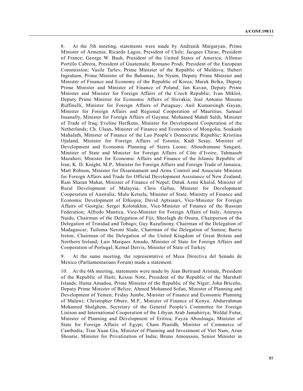At the 5th meeting, statements were made by Andranik Margaryan, Prime 8. Minister of Armenia; Ricardo Lagos, President of Chile; Jacques Chirac, President of France; George W. Bush, President of the United States of America; Alfonso Portillo Cabrera, President of Guatemala; Romano Prodi, President of the European Commission; Vasile Tarlev, Prime Minister of the Republic of Moldova; Hubert Ingraham, Prime Minister of the Bahamas; Jin Nyum, Deputy Prime Minister and Minister of Finance and Economy of the Republic of Korea; Marek Belka, Deputy Prime Minister and Minister of Finance of Poland; Jan Kavan, Deputy Prime Minister and Minister for Foreign Affairs of the Czech Republic; Ivan Mikloš, Deputy Prime Minister for Economic Affairs of Slovakia; José Antonio Moreno Ruffinelli, Minister for Foreign Affairs of Paraguay; Anil Kumarsingh Gayan, Minister for Foreign Affairs and Regional Cooperation of Mauritius; Samuel Insanally, Minister for Foreign Affairs of Guyana; Mohamed Mahdi Salih, Minister of Trade of Iraq; Eveline Herfkens, Minister for Development Cooperation of the Netherlands; Ch. Ulaan, Minister of Finance and Economics of Mongolia; Soukanh Mahalath, Minister of Finance of the Lao People's Democratic Republic; Kristiina Ojuland, Minister for Foreign Affairs of Estonia; Kadi Sesay, Minister of Development and Economic Planning of Sierra Leone; Aboudramane Sangaré, Minister of State and Minister for Foreign Affairs of Côte d'Ivoire; Tahmaseb Mazaheri, Minister for Economic Affairs and Finance of the Islamic Republic of Iran; K. D. Knight, M.P., Minister for Foreign Affairs and Foreign Trade of Jamaica; Matt Robson, Minister for Disarmament and Arms Control and Associate Minister for Foreign Affairs and Trade for Official Development Assistance of New Zealand; Ram Sharan Mahat, Minister of Finance of Nepal; Datuk Azmi Khalid, Minister of Rural Development of Malaysia; Chris Gallus, Minister for Development Cooperation of Australia; Mulu Ketsela, Minister of State, Ministry of Finance and Economic Development of Ethiopia; David Aptsiauri, Vice-Minister for Foreign Affairs of Georgia; Sergei Kolotukhin, Vice-Minister of Finance of the Russian Federation; Alfredo Mantica, Vice-Minister for Foreign Affairs of Italy; Amraiya Naidu, Chairman of the Delegation of Fiji; Sheelagh de Osuna, Chairperson of the Delegation of Trinidad and Tobago; Guy Razafinony, Chairman of the Delegation of Madagascar; Tuiloma Neroni Slade, Chairman of the Delegation of Samoa; Barrie Ireton, Chairman of the Delegation of the United Kingdom of Great Britain and Northern Ireland; Luis Marques Amado, Minister of State for Foreign Affairs and Cooperation of Portugal; Kemal Dervis, Minister of State of Turkey.

9. At the same meeting, the representative of Mesa Directiva del Senado de Mexico (Parliamentarians Forum) made a statement.

10. At the 6th meeting, statements were made by Jean Bertrand Aristide, President of the Republic of Haiti; Kessai Note, President of the Republic of the Marshall Islands; Hama Amadou, Prime Minister of the Republic of the Niger; John Briceño, Deputy Prime Minister of Belize; Ahmed Mohamed Sofan, Minister of Planning and Development of Yemen; Friday Jumbe, Minister of Finance and Economic Planning of Malawi; Christopher Obure, M.P., Minister of Finance of Kenya; Abdurrahman Mohamed Shalghem, Secretary of the General People's Committee for Foreign Liaison and International Cooperation of the Libyan Arab Jamahiriya; Woldal Futur, Minister of Planning and Development of Eritrea; Fayza Aboulnaga, Minister of State for Foreign Affairs of Egypt; Cham Prasidh, Minister of Commerce of Cambodia; Tran Xuan Gia, Minister of Planning and Investment of Viet Nam; Arun Shourie, Minister for Privatization of India; Bruno Amoussou, Senior Minister in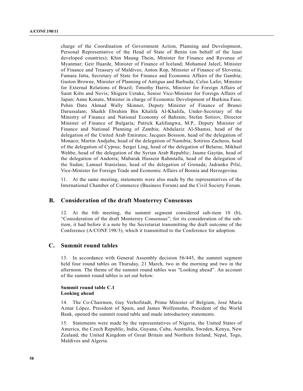charge of the Coordination of Government Action, Planning and Development, Personal Representative of the Head of State of Benin (on behalf of the least developed countries); Khin Maung Thein, Minister for Finance and Revenue of Myanmar; Geir Haarde, Minister of Finance of Iceland; Mohamed Jaleel, Minister of Finance and Treasury of Maldives; Anton Rop, Minister of Finance of Slovenia; Famara Jatta, Secretary of State for Finance and Economic Affairs of the Gambia; Gaston Browne, Minister of Planning of Antigua and Barbuda; Celso Lafer, Minister for External Relations of Brazil; Timothy Harris, Minister for Foreign Affairs of Saint Kitts and Nevis; Shigeru Uetake, Senior Vice-Minister for Foreign Affairs of Japan; Anne Konate, Minister in charge of Economic Development of Burkina Faso; Pehin Dato Ahmad Wally Skinner, Deputy Minister of Finance of Brunei Darussalam; Shaikh Ebrahim Bin Khalifa Al-Khalifa, Under-Secretary of the Ministry of Finance and National Economy of Bahrain; Stefan Sotirov, Director Minister of Finance of Bulgaria; Patrick Kalifungwa, M.P., Deputy Minister of Finance and National Planning of Zambia; Abdulaziz Al-Shamsi, head of the delegation of the United Arab Emirates; Jacques Boisson, head of the delegation of Monaco; Martin Andjaba, head of the delegation of Namibia; Sotirios Zacheos, head of the delegation of Cyprus; Sergei Ling, head of the delegation of Belarus; Mikhail Wehbe, head of the delegation of the Syrian Arab Republic; Jaume Gaytán, head of the delegation of Andorra; Mubarak Hussein Rahmtalla, head of the delegation of the Sudan; Lamuel Stanislaus, head of the delegation of Grenada; Jadranko Prlić, Vice-Minister for Foreign Trade and Economic Affairs of Bosnia and Herzegovina.

11. At the same meeting, statements were also made by the representatives of the International Chamber of Commerce (Business Forum) and the Civil Society Forum.

#### **B. Consideration of the draft Monterrey Consensus**

12. At the 6th meeting, the summit segment considered sub-item 10 (b), "Consideration of the draft Monterrey Consensus"; for its consideration of the subitem, it had before it a note by the Secretariat transmitting the draft outcome of the Conference (A/CONF.198/3), which it transmitted to the Conference for adoption.

#### $\mathbf{C}$ . **Summit round tables**

13. In accordance with General Assembly decision 56/445, the summit segment held four round tables on Thursday, 21 March, two in the morning and two in the afternoon. The theme of the summit round tables was "Looking ahead". An account of the summit round tables is set out below.

## Summit round table C.1 **Looking** ahead

14. The Co-Chairmen, Guy Verhofstadt, Prime Minister of Belgium, José María Aznar López, President of Spain, and James Wolfensohn, President of the World Bank, opened the summit round table and made introductory statements.

15. Statements were made by the representatives of Nigeria, the United States of America, the Czech Republic, India, Guyana, Cuba, Australia, Sweden, Kenya, New Zealand, the United Kingdom of Great Britain and Northern Ireland, Nepal, Togo, Maldives and Algeria.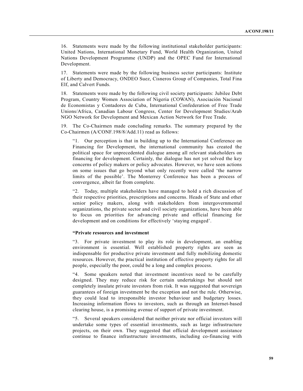16. Statements were made by the following institutional stakeholder participants: United Nations, International Monetary Fund, World Health Organization, United Nations Development Programme (UNDP) and the OPEC Fund for International Development.

17. Statements were made by the following business sector participants: Institute of Liberty and Democracy, ONDEO Suez, Cisneros Group of Companies, Total Fina Elf, and Calvert Funds.

18. Statements were made by the following civil society participants: Jubilee Debt Program, Country Women Association of Nigeria (COWAN), Asociación Nacional de Economistas y Contadores de Cuba, International Confederation of Free Trade Unions/Africa, Canadian Labour Congress, Center for Development Studies/Arab NGO Network for Development and Mexican Action Network for Free Trade.

19. The Co-Chairmen made concluding remarks. The summary prepared by the Co-Chairmen (A/CONF.198/8/Add.11) read as follows:

"1. Our perception is that in building up to the International Conference on Financing for Development, the international community has created the political space for unprecedented dialogue among all relevant stakeholders on financing for development. Certainly, the dialogue has not yet solved the key concerns of policy makers or policy advocates. However, we have seen actions on some issues that go beyond what only recently were called 'the narrow limits of the possible'. The Monterrey Conference has been a process of convergence, albeit far from complete.

"2. Today, multiple stakeholders have managed to hold a rich discussion of their respective priorities, prescriptions and concerns. Heads of State and other senior policy makers, along with stakeholders from intergovernmental organizations, the private sector and civil society organizations, have been able to focus on priorities for advancing private and official financing for development and on conditions for effectively 'staying engaged'.

## "Private resources and investment

"3. For private investment to play its role in development, an enabling environment is essential. Well established property rights are seen as indispensable for productive private investment and fully mobilizing domestic resources. However, the practical institution of effective property rights for all people, especially the poor, could be a long and complex process.

"4. Some speakers noted that investment incentives need to be carefully designed. They may reduce risk for certain undertakings but should not completely insulate private investors from risk. It was suggested that sovereign guarantees of foreign investment be the exception and not the rule. Otherwise, they could lead to irresponsible investor behaviour and budgetary losses. Increasing information flows to investors, such as through an Internet-based clearing house, is a promising avenue of support of private investment.

"5. Several speakers considered that neither private nor official investors will undertake some types of essential investments, such as large infrastructure projects, on their own. They suggested that official development assistance continue to finance infrastructure investments, including co-financing with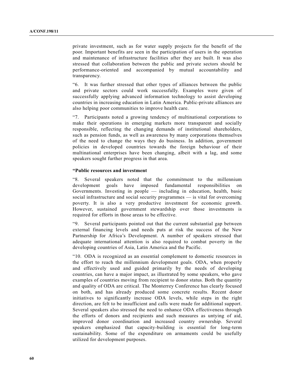private investment, such as for water supply projects for the benefit of the poor. Important benefits are seen in the participation of users in the operation and maintenance of infrastructure facilities after they are built. It was also stressed that collaboration between the public and private sectors should be performance-oriented and accompanied by mutual accountability and transparency.

"6. It was further stressed that other types of alliances between the public and private sectors could work successfully. Examples were given of successfully applying advanced information technology to assist developing countries in increasing education in Latin America. Public-private alliances are also helping poor communities to improve health care.

"7. Participants noted a growing tendency of multinational corporations to make their operations in emerging markets more transparent and socially responsible, reflecting the changing demands of institutional shareholders, such as pension funds, as well as awareness by many corporations themselves of the need to change the ways they do business. In addition, government policies in developed countries towards the foreign behaviour of their multinational enterprises have been changing, albeit with a lag, and some speakers sought further progress in that area.

#### "Public resources and investment

"8. Several speakers noted that the commitment to the millennium development goals have imposed fundamental responsibilities on Governments. Investing in people  $-$  including in education, health, basic social infrastructure and social security programmes — is vital for overcoming poverty. It is also a very productive investment for economic growth. However, sustained government stewardship over those investments is required for efforts in those areas to be effective.

"9. Several participants pointed out that the current substantial gap between external financing levels and needs puts at risk the success of the New Partnership for Africa's Development. A number of speakers stressed that adequate international attention is also required to combat poverty in the developing countries of Asia, Latin America and the Pacific.

"10. ODA is recognized as an essential complement to domestic resources in the effort to reach the millennium development goals. ODA, when properly and effectively used and guided primarily by the needs of developing countries, can have a major impact, as illustrated by some speakers, who gave examples of countries moving from recipient to donor status. Both the quantity and quality of ODA are critical. The Monterrey Conference has clearly focused on both, and has already produced some concrete results. Recent donor initiatives to significantly increase ODA levels, while steps in the right direction, are felt to be insufficient and calls were made for additional support. Several speakers also stressed the need to enhance ODA effectiveness through the efforts of donors and recipients and such measures as untying of aid, improved donor coordination and increased country ownership. Several speakers emphasized that capacity-building is essential for long-term sustainability. Some of the expenditure on armaments could be usefully utilized for development purposes.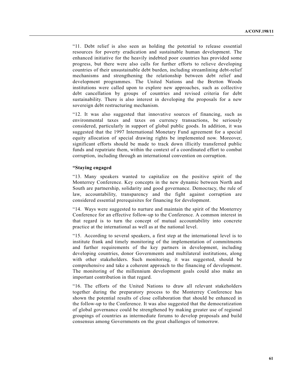"11. Debt relief is also seen as holding the potential to release essential resources for poverty eradication and sustainable human development. The enhanced initiative for the heavily indebted poor countries has provided some progress, but there were also calls for further efforts to relieve developing countries of their unsustainable debt burden, including streamlining debt-relief mechanisms and strengthening the relationship between debt relief and development programmes. The United Nations and the Bretton Woods institutions were called upon to explore new approaches, such as collective debt cancellation by groups of countries and revised criteria for debt sustainability. There is also interest in developing the proposals for a new sovereign debt restructuring mechanism.

"12. It was also suggested that innovative sources of financing, such as environmental taxes and taxes on currency transactions, be seriously considered, particularly in support of global public goods. In addition, it was suggested that the 1997 International Monetary Fund agreement for a special equity allocation of special drawing rights be implemented now. Moreover, significant efforts should be made to track down illicitly transferred public funds and repatriate them, within the context of a coordinated effort to combat corruption, including through an international convention on corruption.

#### "Staying engaged

"13. Many speakers wanted to capitalize on the positive spirit of the Monterrey Conference. Key concepts in the new dynamic between North and South are partnership, solidarity and good governance. Democracy, the rule of law, accountability, transparency and the fight against corruption are considered essential prerequisites for financing for development.

"14. Ways were suggested to nurture and maintain the spirit of the Monterrey Conference for an effective follow-up to the Conference. A common interest in that regard is to turn the concept of mutual accountability into concrete practice at the international as well as at the national level.

"15. According to several speakers, a first step at the international level is to institute frank and timely monitoring of the implementation of commitments and further requirements of the key partners in development, including developing countries, donor Governments and multilateral institutions, along with other stakeholders. Such monitoring, it was suggested, should be comprehensive and take a coherent approach to the financing of development. The monitoring of the millennium development goals could also make an important contribution in that regard.

"16. The efforts of the United Nations to draw all relevant stakeholders together during the preparatory process to the Monterrey Conference has shown the potential results of close collaboration that should be enhanced in the follow-up to the Conference. It was also suggested that the democratization of global governance could be strengthened by making greater use of regional groupings of countries as intermediate forums to develop proposals and build consensus among Governments on the great challenges of tomorrow.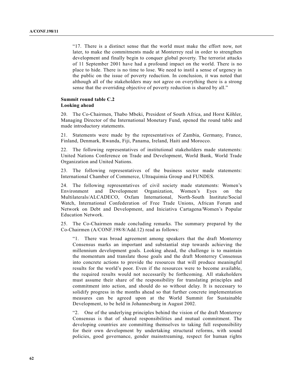"17. There is a distinct sense that the world must make the effort now, not later, to make the commitments made at Monterrey real in order to strengthen development and finally begin to conquer global poverty. The terrorist attacks of 11 September 2001 have had a profound impact on the world. There is no place to hide. There is no time to lose. We need to instil a sense of urgency in the public on the issue of poverty reduction. In conclusion, it was noted that although all of the stakeholders may not agree on everything there is a strong sense that the overriding objective of poverty reduction is shared by all."

## Summit round table C.2 **Looking** ahead

20. The Co-Chairmen, Thabo Mbeki, President of South Africa, and Horst Köhler, Managing Director of the International Monetary Fund, opened the round table and made introductory statements.

21. Statements were made by the representatives of Zambia, Germany, France, Finland, Denmark, Rwanda, Fiji, Panama, Ireland, Haiti and Morocco.

22. The following representatives of institutional stakeholders made statements: United Nations Conference on Trade and Development, World Bank, World Trade Organization and United Nations.

23. The following representatives of the business sector made statements: International Chamber of Commerce, Ultraquimia Group and FUNDES.

24. The following representatives of civil society made statements: Women's Environment and Development Organization, Women's Eves on the Multilaterals/ALCADECO, Oxfam International, North-South Institute/Social Watch, International Confederation of Free Trade Unions, African Forum and Network on Debt and Development, and Iniciativa Cartagena/Women's Popular **Education Network.** 

25. The Co-Chairmen made concluding remarks. The summary prepared by the Co-Chairmen (A/CONF.198/8/Add.12) read as follows:

"1. There was broad agreement among speakers that the draft Monterrey Consensus marks an important and substantial step towards achieving the millennium development goals. Looking ahead, the challenge is to maintain the momentum and translate those goals and the draft Monterrey Consensus into concrete actions to provide the resources that will produce meaningful results for the world's poor. Even if the resources were to become available, the required results would not necessarily be forthcoming. All stakeholders must assume their share of the responsibility for translating principles and commitment into action, and should do so without delay. It is necessary to solidify progress in the months ahead so that further concrete implementation measures can be agreed upon at the World Summit for Sustainable Development, to be held in Johannesburg in August 2002.

"2. One of the underlying principles behind the vision of the draft Monterrey Consensus is that of shared responsibilities and mutual commitment. The developing countries are committing themselves to taking full responsibility for their own development by undertaking structural reforms, with sound policies, good governance, gender mainstreaming, respect for human rights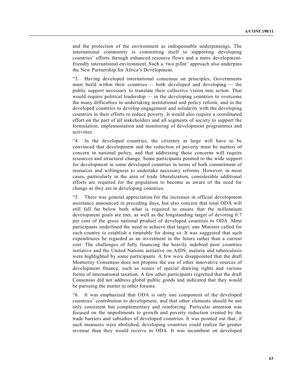and the protection of the environment as indispensable underpinnings. The international community is committing itself to supporting developing countries' efforts through enhanced resource flows and a more developmentfriendly international environment. Such a 'two pillar' approach also underpins the New Partnership for Africa's Development.

"3. Having developed international consensus on principles, Governments must build within their countries — both developed and developing — the public support necessary to translate their collective vision into action. That would require political leadership  $-$  in the developing countries to overcome the many difficulties in undertaking institutional and policy reform, and in the developed countries to develop engagement and solidarity with the developing countries in their efforts to reduce poverty. It would also require a coordinated effort on the part of all stakeholders and all segments of society to support the formulation, implementation and monitoring of development programmes and activities.

In the developed countries, the citizenry at large will have to be  $4.4$ convinced that development and the reduction of poverty must be matters of concern in national policy, and that addressing those concerns will require resources and structural change. Some participants pointed to the wide support for development in some developed countries in terms of both commitment of resources and willingness to undertake necessary reforms. However, in most cases, particularly in the area of trade liberalization, considerable additional efforts are required for the population to become as aware of the need for change as they are in developing countries.

"5. There was general appreciation for the increases in official development assistance announced in preceding days, but also concern that total ODA will still fall far below both what is required to ensure that the millennium development goals are met, as well as the longstanding target of devoting 0.7 per cent of the gross national product of developed countries to ODA. Most participants underlined the need to achieve that target; one Minister called for each country to establish a timetable for doing so. It was suggested that such expenditures be regarded as an investment in the future rather than a current cost. The challenges of fully financing the heavily indebted poor countries initiative and the United Nations initiative on AIDS, malaria and tuberculosis were highlighted by some participants. A few were disappointed that the draft Monterrey Consensus does not propose the use of other innovative sources of development finance, such as issues of special drawing rights and various forms of international taxation. A few other participants regretted that the draft Consensus did not address global public goods and indicated that they would be pursuing the matter in other forums.

"6. It was emphasized that ODA is only one component of the developed countries' contribution to development, and that other elements should be not only consistent but complementary and reinforcing. Particular attention was focused on the impediments to growth and poverty reduction created by the trade barriers and subsidies of developed countries. It was pointed out that, if such measures were abolished, developing countries could realize far greater revenue than they would receive in ODA. It was incumbent on developed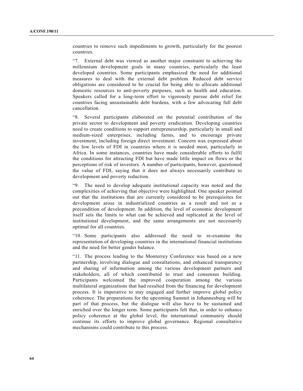countries to remove such impediments to growth, particularly for the poorest countries.

"7. External debt was viewed as another major constraint to achieving the millennium development goals in many countries, particularly the least developed countries. Some participants emphasized the need for additional measures to deal with the external debt problem. Reduced debt service obligations are considered to be crucial for being able to allocate additional domestic resources to anti-poverty purposes, such as health and education. Speakers called for a long-term effort to vigorously pursue debt relief for countries facing unsustainable debt burdens, with a few advocating full debt cancellation.

 $"8.$ Several participants elaborated on the potential contribution of the private sector to development and poverty eradication. Developing countries need to create conditions to support entrepreneurship, particularly in small and medium-sized enterprises, including farms, and to encourage private investment, including foreign direct investment. Concern was expressed about the low levels of FDI in countries where it is needed most, particularly in Africa. In some instances, countries have made considerable efforts to fulfil the conditions for attracting FDI but have made little impact on flows or the perceptions of risk of investors. A number of participants, however, questioned the value of FDI, saying that it does not always necessarily contribute to development and poverty reduction.

"9. The need to develop adequate institutional capacity was noted and the complexities of achieving that objective were highlighted. One speaker pointed out that the institutions that are currently considered to be prerequisites for development arose in industrialized countries as a result and not as a precondition of development. In addition, the level of economic development itself sets the limits to what can be achieved and replicated at the level of institutional development, and the same arrangements are not necessarily optimal for all countries.

"10. Some participants also addressed the need to re-examine the representation of developing countries in the international financial institutions and the need for better gender balance.

"11. The process leading to the Monterrey Conference was based on a new partnership, involving dialogue and consultations, and enhanced transparency and sharing of information among the various development partners and stakeholders, all of which contributed to trust and consensus building. Participants welcomed the improved cooperation among the various multilateral organizations that had resulted from the financing for development process. It is imperative to stay engaged and further improve global policy coherence. The preparations for the upcoming Summit in Johannesburg will be part of that process, but the dialogue will also have to be sustained and enriched over the longer term. Some participants felt that, in order to enhance policy coherence at the global level, the international community should continue its efforts to improve global governance. Regional consultative mechanisms could contribute to this process.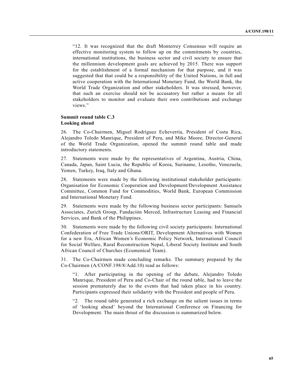"12. It was recognized that the draft Monterrey Consensus will require an effective monitoring system to follow up on the commitments by countries, international institutions, the business sector and civil society to ensure that the millennium development goals are achieved by 2015. There was support for the establishment of a formal mechanism for that purpose, and it was suggested that that could be a responsibility of the United Nations, in full and active cooperation with the International Monetary Fund, the World Bank, the World Trade Organization and other stakeholders. It was stressed, however, that such an exercise should not be accusatory but rather a means for all stakeholders to monitor and evaluate their own contributions and exchange views."

### Summit round table C.3 Looking ahead

26. The Co-Chairmen, Miguel Rodríguez Echeverría, President of Costa Rica, Alejandro Toledo Manrique, President of Peru, and Mike Moore, Director-General of the World Trade Organization, opened the summit round table and made introductory statements.

27. Statements were made by the representatives of Argentina, Austria, China, Canada, Japan, Saint Lucia, the Republic of Korea, Suriname, Lesotho, Venezuela, Yemen, Turkey, Iraq, Italy and Ghana.

28. Statements were made by the following institutional stakeholder participants: Organisation for Economic Cooperation and Development/Development Assistance Committee, Common Fund for Commodities, World Bank, European Commission and International Monetary Fund.

29. Statements were made by the following business sector participants: Samuels Associates, Zurich Group, Fundación Merced, Infrastructure Leasing and Financial Services, and Bank of the Philippines.

30. Statements were made by the following civil society participants: International Confederation of Free Trade Unions/ORIT, Development Alternatives with Women for a new Era, African Women's Economic Policy Network, International Council for Social Welfare, Rural Reconstruction Nepal, Liberal Society Institute and South African Council of Churches (Ecumenical Team).

31. The Co-Chairmen made concluding remarks. The summary prepared by the Co-Chairmen (A/CONF.198/8/Add.10) read as follows:

"1. After participating in the opening of the debate, Alejandro Toledo Manrique, President of Peru and Co-Chair of the round table, had to leave the session prematurely due to the events that had taken place in his country. Participants expressed their solidarity with the President and people of Peru.

"2. The round table generated a rich exchange on the salient issues in terms of 'looking ahead' beyond the International Conference on Financing for Development. The main thrust of the discussion is summarized below.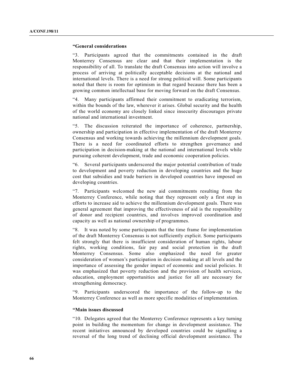#### "General considerations

"3. Participants agreed that the commitments contained in the draft Monterrey Consensus are clear and that their implementation is the responsibility of all. To translate the draft Consensus into action will involve a process of arriving at politically acceptable decisions at the national and international levels. There is a need for strong political will. Some participants noted that there is room for optimism in that regard because there has been a growing common intellectual base for moving forward on the draft Consensus.

"4. Many participants affirmed their commitment to eradicating terrorism, within the bounds of the law, wherever it arises. Global security and the health of the world economy are closely linked since insecurity discourages private national and international investment.

"5. The discussion reiterated the importance of coherence, partnership, ownership and participation in effective implementation of the draft Monterrey Consensus and working towards achieving the millennium development goals. There is a need for coordinated efforts to strengthen governance and participation in decision-making at the national and international levels while pursuing coherent development, trade and economic cooperation policies.

"6. Several participants underscored the major potential contribution of trade to development and poverty reduction in developing countries and the huge cost that subsidies and trade barriers in developed countries have imposed on developing countries.

"7. Participants welcomed the new aid commitments resulting from the Monterrey Conference, while noting that they represent only a first step in efforts to increase aid to achieve the millennium development goals. There was general agreement that improving the effectiveness of aid is the responsibility of donor and recipient countries, and involves improved coordination and capacity as well as national ownership of programmes.

"8. It was noted by some participants that the time frame for implementation of the draft Monterrey Consensus is not sufficiently explicit. Some participants felt strongly that there is insufficient consideration of human rights, labour rights, working conditions, fair pay and social protection in the draft Monterrey Consensus. Some also emphasized the need for greater consideration of women's participation in decision-making at all levels and the importance of assessing the gender impact of economic and social policies. It was emphasized that poverty reduction and the provision of health services, education, employment opportunities and justice for all are necessary for strengthening democracy.

"9. Participants underscored the importance of the follow-up to the Monterrey Conference as well as more specific modalities of implementation.

### "Main issues discussed

"10. Delegates agreed that the Monterrey Conference represents a key turning point in building the momentum for change in development assistance. The recent initiatives announced by developed countries could be signalling a reversal of the long trend of declining official development assistance. The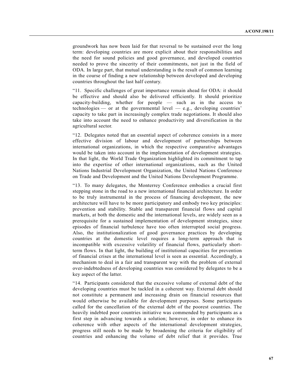groundwork has now been laid for that reversal to be sustained over the long term: developing countries are more explicit about their responsibilities and the need for sound policies and good governance, and developed countries needed to prove the sincerity of their commitments, not just in the field of ODA. In large part, that mutual understanding is the result of common learning in the course of finding a new relationship between developed and developing countries throughout the last half century.

"11. Specific challenges of great importance remain ahead for ODA: it should be effective and should also be delivered efficiently. It should prioritize capacity-building, whether for people — such as in the access to technologies — or at the governmental level — e.g., developing countries' capacity to take part in increasingly complex trade negotiations. It should also take into account the need to enhance productivity and diversification in the agricultural sector.

"12. Delegates noted that an essential aspect of coherence consists in a more effective division of labour and development of partnerships between international organizations, in which the respective comparative advantages would be taken into account in the implementation of development strategies. In that light, the World Trade Organization highlighted its commitment to tap into the expertise of other international organizations, such as the United Nations Industrial Development Organization, the United Nations Conference on Trade and Development and the United Nations Development Programme.

"13. To many delegates, the Monterrey Conference embodies a crucial first stepping stone in the road to a new international financial architecture. In order to be truly instrumental in the process of financing development, the new architecture will have to be more participatory and embody two key principles: prevention and stability. Stable and transparent financial flows and capital markets, at both the domestic and the international levels, are widely seen as a prerequisite for a sustained implementation of development strategies, since episodes of financial turbulence have too often interrupted social progress. Also, the institutionalization of good governance practices by developing countries at the domestic level requires a long-term approach that is incompatible with excessive volatility of financial flows, particularly shortterm flows. In that light, the building of institutional capacities for prevention of financial crises at the international level is seen as essential. Accordingly, a mechanism to deal in a fair and transparent way with the problem of external over-indebtedness of developing countries was considered by delegates to be a key aspect of the latter.

"14. Participants considered that the excessive volume of external debt of the developing countries must be tackled in a coherent way. External debt should not constitute a permanent and increasing drain on financial resources that would otherwise be available for development purposes. Some participants called for the cancellation of the external debt of the poorest countries. The heavily indebted poor countries initiative was commended by participants as a first step in advancing towards a solution; however, in order to enhance its coherence with other aspects of the international development strategies, progress still needs to be made by broadening the criteria for eligibility of countries and enhancing the volume of debt relief that it provides. True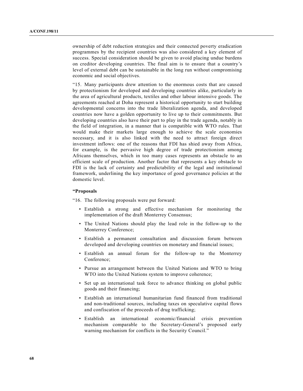ownership of debt reduction strategies and their connected poverty eradication programmes by the recipient countries was also considered a key element of success. Special consideration should be given to avoid placing undue burdens on creditor developing countries. The final aim is to ensure that a country's level of external debt can be sustainable in the long run without compromising economic and social objectives.

"15. Many participants drew attention to the enormous costs that are caused by protectionism for developed and developing countries alike, particularly in the area of agricultural products, textiles and other labour intensive goods. The agreements reached at Doha represent a historical opportunity to start building developmental concerns into the trade liberalization agenda, and developed countries now have a golden opportunity to live up to their commitments. But developing countries also have their part to play in the trade agenda, notably in the field of integration, in a manner that is compatible with WTO rules. That would make their markets large enough to achieve the scale economies necessary, and it is also linked with the need to attract foreign direct investment inflows: one of the reasons that FDI has shied away from Africa, for example, is the pervasive high degree of trade protectionism among Africans themselves, which in too many cases represents an obstacle to an efficient scale of production. Another factor that represents a key obstacle to FDI is the lack of certainty and predictability of the legal and institutional framework, underlining the key importance of good governance policies at the domestic level.

#### "Proposals

"16. The following proposals were put forward:

- · Establish a strong and effective mechanism for monitoring the implementation of the draft Monterrey Consensus;
- The United Nations should play the lead role in the follow-up to the Monterrey Conference;
- · Establish a permanent consultation and discussion forum between developed and developing countries on monetary and financial issues;
- Establish an annual forum for the follow-up to the Monterrey Conference:
- Pursue an arrangement between the United Nations and WTO to bring WTO into the United Nations system to improve coherence;
- Set up an international task force to advance thinking on global public goods and their financing;
- Establish an international humanitarian fund financed from traditional and non-traditional sources, including taxes on speculative capital flows and confiscation of the proceeds of drug trafficking;
- · Establish an international economic/financial crisis prevention mechanism comparable to the Secretary-General's proposed early warning mechanism for conflicts in the Security Council."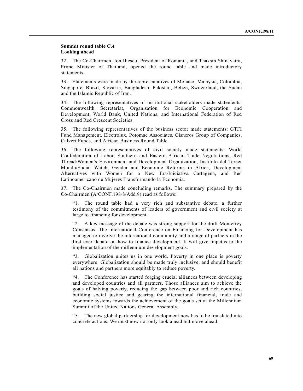### Summit round table C.4 Looking ahead

32. The Co-Chairmen, Ion Iliescu, President of Romania, and Thaksin Shinavatra, Prime Minister of Thailand, opened the round table and made introductory statements.

33. Statements were made by the representatives of Monaco, Malaysia, Colombia, Singapore, Brazil, Slovakia, Bangladesh, Pakistan, Belize, Switzerland, the Sudan and the Islamic Republic of Iran.

34. The following representatives of institutional stakeholders made statements: Commonwealth Secretariat, Organisation for Economic Cooperation and Development, World Bank, United Nations, and International Federation of Red Cross and Red Crescent Societies.

35. The following representatives of the business sector made statements: GTFI Fund Management, Electrolux, Potomac Associates, Cisneros Group of Companies, Calvert Funds, and African Business Round Table.

36. The following representatives of civil society made statements: World Confederation of Labor, Southern and Eastern African Trade Negotiations, Red Thread/Women's Environment and Development Organization, Instituto del Tercer Mundo/Social Watch, Gender and Economic Reforms in Africa, Development Alternatives with Women for a New Era/Iniciativa Cartagena, and Red Latinoamericano de Mujeres Transformando la Economia.

37. The Co-Chairmen made concluding remarks. The summary prepared by the Co-Chairmen (A/CONF.198/8/Add.9) read as follows:

"1. The round table had a very rich and substantive debate, a further testimony of the commitments of leaders of government and civil society at large to financing for development.

"2. A key message of the debate was strong support for the draft Monterrey Consensus. The International Conference on Financing for Development has managed to involve the international community and a range of partners in the first ever debate on how to finance development. It will give impetus to the implementation of the millennium development goals.

"3. Globalization unites us in one world. Poverty in one place is poverty everywhere. Globalization should be made truly inclusive, and should benefit all nations and partners more equitably to reduce poverty.

"4. The Conference has started forging crucial alliances between developing and developed countries and all partners. Those alliances aim to achieve the goals of halving poverty, reducing the gap between poor and rich countries, building social justice and gearing the international financial, trade and economic systems towards the achievement of the goals set at the Millennium Summit of the United Nations General Assembly.

"5. The new global partnership for development now has to be translated into concrete actions. We must now not only look ahead but move ahead.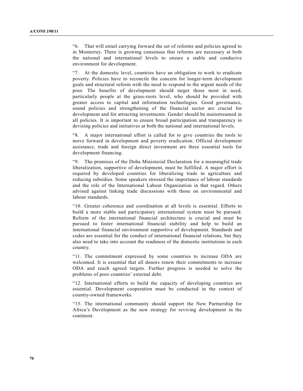"6. That will entail carrying forward the set of reforms and policies agreed to in Monterrey. There is growing consensus that reforms are necessary at both the national and international levels to ensure a stable and conducive environment for development.

"7. At the domestic level, countries have an obligation to work to eradicate poverty. Policies have to reconcile the concern for longer-term development goals and structural reform with the need to respond to the urgent needs of the poor. The benefits of development should target those most in need, particularly people at the grass-roots level, who should be provided with greater access to capital and information technologies. Good governance, sound policies and strengthening of the financial sector are crucial for development and for attracting investments. Gender should be mainstreamed in all policies. It is important to ensure broad participation and transparency in devising policies and initiatives at both the national and international levels.

"8. A major international effort is called for to give countries the tools to move forward in development and poverty eradication. Official development assistance, trade and foreign direct investment are three essential tools for development financing.

"9. The promises of the Doha Ministerial Declaration for a meaningful trade liberalization, supportive of development, must be fulfilled. A major effort is required by developed countries for liberalizing trade in agriculture and reducing subsidies. Some speakers stressed the importance of labour standards and the role of the International Labour Organization in that regard. Others advised against linking trade discussions with those on environmental and labour standards.

"10. Greater coherence and coordination at all levels is essential. Efforts to build a more stable and participatory international system must be pursued. Reform of the international financial architecture is crucial and must be pursued to foster international financial stability and help to build an international financial environment supportive of development. Standards and codes are essential for the conduct of international financial relations, but they also need to take into account the readiness of the domestic institutions in each country.

"11. The commitment expressed by some countries to increase ODA are welcomed. It is essential that all donors renew their commitments to increase ODA and reach agreed targets. Further progress is needed to solve the problems of poor countries' external debt.

"12. International efforts to build the capacity of developing countries are essential. Development cooperation must be conducted in the context of country-owned frameworks.

"13. The international community should support the New Partnership for Africa's Development as the new strategy for reviving development in the continent.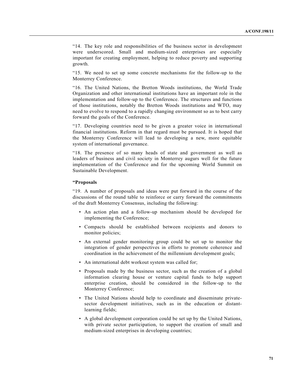"14. The key role and responsibilities of the business sector in development were underscored. Small and medium-sized enterprises are especially important for creating employment, helping to reduce poverty and supporting growth.

"15. We need to set up some concrete mechanisms for the follow-up to the Monterrey Conference.

"16. The United Nations, the Bretton Woods institutions, the World Trade Organization and other international institutions have an important role in the implementation and follow-up to the Conference. The structures and functions of those institutions, notably the Bretton Woods institutions and WTO, may need to evolve to respond to a rapidly changing environment so as to best carry forward the goals of the Conference.

"17. Developing countries need to be given a greater voice in international financial institutions. Reform in that regard must be pursued. It is hoped that the Monterrey Conference will lead to developing a new, more equitable system of international governance.

"18. The presence of so many heads of state and government as well as leaders of business and civil society in Monterrey augurs well for the future implementation of the Conference and for the upcoming World Summit on Sustainable Development.

### "Proposals

"19. A number of proposals and ideas were put forward in the course of the discussions of the round table to reinforce or carry forward the commitments of the draft Monterrey Consensus, including the following:

- An action plan and a follow-up mechanism should be developed for implementing the Conference;
- Compacts should be established between recipients and donors to monitor policies;
- An external gender monitoring group could be set up to monitor the integration of gender perspectives in efforts to promote coherence and coordination in the achievement of the millennium development goals;
- An international debt workout system was called for;
- Proposals made by the business sector, such as the creation of a global information clearing house or venture capital funds to help support enterprise creation, should be considered in the follow-up to the Monterrey Conference;
- The United Nations should help to coordinate and disseminate privatesector development initiatives, such as in the education or distantlearning fields;
- A global development corporation could be set up by the United Nations, with private sector participation, to support the creation of small and medium-sized enterprises in developing countries;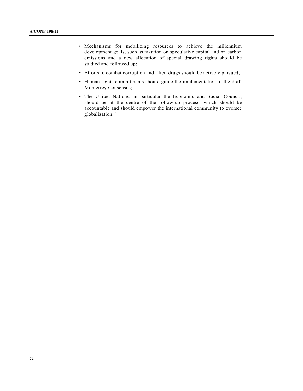- Mechanisms for mobilizing resources to achieve the millennium development goals, such as taxation on speculative capital and on carbon emissions and a new allocation of special drawing rights should be studied and followed up;
- Efforts to combat corruption and illicit drugs should be actively pursued;
- Human rights commitments should guide the implementation of the draft Monterrey Consensus;
- The United Nations, in particular the Economic and Social Council, should be at the centre of the follow-up process, which should be accountable and should empower the international community to oversee globalization."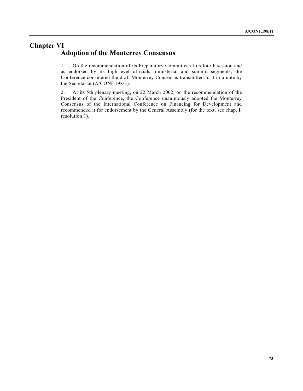## **Chapter VI Adoption of the Monterrey Consensus**

1. On the recommendation of its Preparatory Committee at its fourth session and as endorsed by its high-level officials, ministerial and summit segments, the Conference considered the draft Monterrey Consensus transmitted to it in a note by the Secretariat (A/CONF.198/3).

2. At its 5th plenary meeting, on 22 March 2002, on the recommendation of the President of the Conference, the Conference unanimously adopted the Monterrey Consensus of the International Conference on Financing for Development and recommended it for endorsement by the General Assembly (for the text, see chap. I, resolution 1).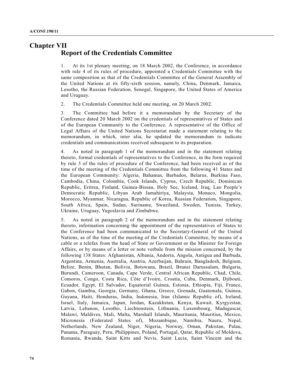## **Chapter VII Report of the Credentials Committee**

1. At its 1st plenary meeting, on 18 March 2002, the Conference, in accordance with rule 4 of its rules of procedure, appointed a Credentials Committee with the same composition as that of the Credentials Committee of the General Assembly of the United Nations at its fifty-sixth session, namely, China, Denmark, Jamaica, Lesotho, the Russian Federation, Senegal, Singapore, the United States of America and Uruguay.

2. The Credentials Committee held one meeting, on 20 March 2002.

3. The Committee had before it a memorandum by the Secretary of the Conference dated 20 March 2002 on the credentials of representatives of States and of the European Community to the Conference. A representative of the Office of Legal Affairs of the United Nations Secretariat made a statement relating to the memorandum, in which, inter alia, he updated the memorandum to indicate credentials and communications received subsequent to its preparation.

4. As noted in paragraph 1 of the memorandum and in the statement relating thereto, formal credentials of representatives to the Conference, in the form required by rule 3 of the rules of procedure of the Conference, had been received as of the time of the meeting of the Credentials Committee from the following 41 States and the European Community: Algeria, Bahamas, Barbados, Belarus, Burkina Faso, Cambodia, China, Colombia, Cook Islands, Cyprus, Czech Republic, Dominican Republic, Eritrea, Finland, Guinea-Bissau, Holy See, Iceland, Iraq, Lao People's Democratic Republic, Libyan Arab Jamahiriya, Malaysia, Monaco, Mongolia, Morocco, Myanmar, Nicaragua, Republic of Korea, Russian Federation, Singapore, South Africa, Spain, Sudan, Suriname, Swaziland, Sweden, Tunisia, Turkey, Ukraine, Uruguay, Yugoslavia and Zimbabwe.

5. As noted in paragraph 2 of the memorandum and in the statement relating thereto, information concerning the appointment of the representatives of States to the Conference had been communicated to the Secretary-General of the United Nations, as of the time of the meeting of the Credentials Committee, by means of a cable or a telefax from the head of State or Government or the Minister for Foreign Affairs, or by means of a letter or note verbale from the mission concerned, by the following 138 States: Afghanistan, Albania, Andorra, Angola, Antigua and Barbuda, Argentina, Armenia, Australia, Austria, Azerbaijan, Bahrain, Bangladesh, Belgium, Belize, Benin, Bhutan, Bolivia, Botswana, Brazil, Brunei Darussalam, Bulgaria, Burundi, Cameroon, Canada, Cape Verde, Central African Republic, Chad, Chile, Comoros, Congo, Costa Rica, Côte d'Ivoire, Croatia, Cuba, Denmark, Djibouti, Ecuador, Egypt, El Salvador, Equatorial Guinea, Estonia, Ethiopia, Fiji, France, Gabon, Gambia, Georgia, Germany, Ghana, Greece, Grenada, Guatemala, Guinea, Guyana, Haiti, Honduras, India, Indonesia, Iran (Islamic Republic of), Ireland, Israel, Italy, Jamaica, Japan, Jordan, Kazakhstan, Kenya, Kuwait, Kyrgyzstan, Latvia, Lebanon, Lesotho, Liechtenstein, Lithuania, Luxembourg, Madagascar, Malawi, Maldives, Mali, Malta, Marshall Islands, Mauritania, Mauritius, Mexico, Micronesia (Federated States of), Mozambique, Namibia, Nauru, Nepal, Netherlands, New Zealand, Niger, Nigeria, Norway, Oman, Pakistan, Palau, Panama, Paraguay, Peru, Philippines, Poland, Portugal, Qatar, Republic of Moldova, Romania, Rwanda, Saint Kitts and Nevis, Saint Lucia, Saint Vincent and the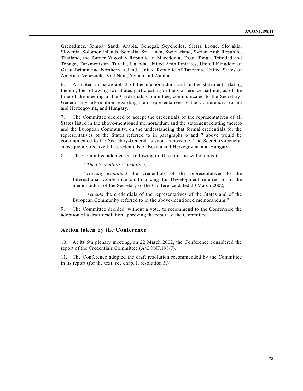Grenadines, Samoa, Saudi Arabia, Senegal, Seychelles, Sierra Leone, Slovakia, Slovenia, Solomon Islands, Somalia, Sri Lanka, Switzerland, Syrian Arab Republic, Thailand, the former Yugoslav Republic of Macedonia, Togo, Tonga, Trinidad and Tobago, Turkmenistan, Tuvalu, Uganda, United Arab Emirates, United Kingdom of Great Britain and Northern Ireland, United Republic of Tanzania, United States of America, Venezuela, Viet Nam, Yemen and Zambia.

6. As noted in paragraph 3 of the memorandum and in the statement relating thereto, the following two States participating in the Conference had not, as of the time of the meeting of the Credentials Committee, communicated to the Secretary-General any information regarding their representatives to the Conference: Bosnia and Herzegovina, and Hungary.

7. The Committee decided to accept the credentials of the representatives of all States listed in the above-mentioned memorandum and the statement relating thereto and the European Community, on the understanding that formal credentials for the representatives of the States referred to in paragraphs 6 and 7 above would be communicated to the Secretary-General as soon as possible. The Secretary-General subsequently received the credentials of Bosnia and Herzegovina and Hungary.

8. The Committee adopted the following draft resolution without a vote:

"The Credentials Committee,

"Having examined the credentials of the representatives to the International Conference on Financing for Development referred to in the memorandum of the Secretary of the Conference dated 20 March 2002,

"Accepts the credentials of the representatives of the States and of the European Community referred to in the above-mentioned memorandum."

9. The Committee decided, without a vote, to recommend to the Conference the adoption of a draft resolution approving the report of the Committee.

### **Action taken by the Conference**

10. At its 6th plenary meeting, on 22 March 2002, the Conference considered the report of the Credentials Committee (A/CONF.198/7).

11. The Conference adopted the draft resolution recommended by the Committee in its report (for the text, see chap. I, resolution 3.)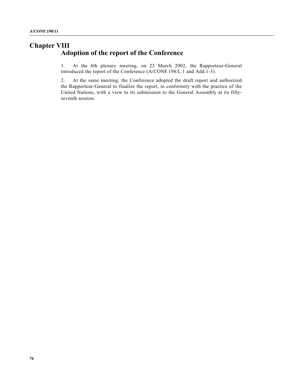# **Chapter VIII** Adoption of the report of the Conference

At the 6th plenary meeting, on 22 March 2002, the Rapporteur-General 1. introduced the report of the Conference (A/CONF.198/L.1 and Add.1-3).

At the same meeting, the Conference adopted the draft report and authorized 2. the Rapporteur-General to finalize the report, in conformity with the practice of the United Nations, with a view to its submission to the General Assembly at its fiftyseventh session.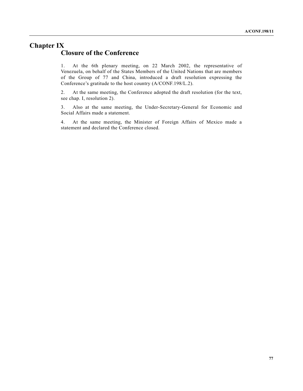# **Chapter IX Closure of the Conference**

At the 6th plenary meeting, on 22 March 2002, the representative of 1. Venezuela, on behalf of the States Members of the United Nations that are members of the Group of 77 and China, introduced a draft resolution expressing the Conference's gratitude to the host country (A/CONF.198/L.2).

2. At the same meeting, the Conference adopted the draft resolution (for the text, see chap. I, resolution 2).

3. Also at the same meeting, the Under-Secretary-General for Economic and Social Affairs made a statement.

4. At the same meeting, the Minister of Foreign Affairs of Mexico made a statement and declared the Conference closed.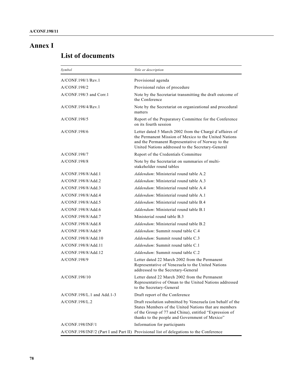# **Annex I**

# **List of documents**

| Symbol                     | Title or description                                                                                                                                                                                                           |
|----------------------------|--------------------------------------------------------------------------------------------------------------------------------------------------------------------------------------------------------------------------------|
| A/CONF.198/1/Rev.1         | Provisional agenda                                                                                                                                                                                                             |
| A/CONF.198/2               | Provisional rules of procedure                                                                                                                                                                                                 |
| A/CONF.198/3 and Corr.1    | Note by the Secretariat transmitting the draft outcome of<br>the Conference                                                                                                                                                    |
| A/CONF.198/4/Rev.1         | Note by the Secretariat on organizational and procedural<br>matters                                                                                                                                                            |
| A/CONF.198/5               | Report of the Preparatory Committee for the Conference<br>on its fourth session                                                                                                                                                |
| A/CONF.198/6               | Letter dated 5 March 2002 from the Chargé d'affaires of<br>the Permanent Mission of Mexico to the United Nations<br>and the Permanent Representative of Norway to the<br>United Nations addressed to the Secretary-General     |
| A/CONF.198/7               | Report of the Credentials Committee                                                                                                                                                                                            |
| A/CONF.198/8               | Note by the Secretariat on summaries of multi-<br>stakeholder round tables                                                                                                                                                     |
| A/CONF.198/8/Add.1         | <i>Addendum:</i> Ministerial round table A.2                                                                                                                                                                                   |
| A/CONF.198/8/Add.2         | <i>Addendum:</i> Ministerial round table A.3                                                                                                                                                                                   |
| A/CONF.198/8/Add.3         | <i>Addendum:</i> Ministerial round table A.4                                                                                                                                                                                   |
| A/CONF.198/8/Add.4         | <i>Addendum:</i> Ministerial round table A.1                                                                                                                                                                                   |
| A/CONF.198/8/Add.5         | <i>Addendum</i> : Ministerial round table B.4                                                                                                                                                                                  |
| A/CONF.198/8/Add.6         | <i>Addendum:</i> Ministerial round table B.1                                                                                                                                                                                   |
| A/CONF.198/8/Add.7         | Ministerial round table B.3                                                                                                                                                                                                    |
| A/CONF.198/8/Add.8         | <i>Addendum:</i> Ministerial round table B.2                                                                                                                                                                                   |
| A/CONF.198/8/Add.9         | <i>Addendum:</i> Summit round table C.4                                                                                                                                                                                        |
| A/CONF.198/8/Add.10        | Addendum: Summit round table C.3                                                                                                                                                                                               |
| A/CONF.198/8/Add.11        | <i>Addendum:</i> Summit round table C.1                                                                                                                                                                                        |
| A/CONF.198/8/Add.12        | <i>Addendum:</i> Summit round table C.2                                                                                                                                                                                        |
| A/CONF.198/9               | Letter dated 22 March 2002 from the Permanent<br>Representative of Venezuela to the United Nations<br>addressed to the Secretary-General                                                                                       |
| A/CONF.198/10              | Letter dated 22 March 2002 from the Permanent<br>Representative of Oman to the United Nations addressed<br>to the Secretary-General                                                                                            |
| A/CONF.198/L.1 and Add.1-3 | Draft report of the Conference                                                                                                                                                                                                 |
| A/CONF.198/L.2             | Draft resolution submitted by Venezuela (on behalf of the<br>States Members of the United Nations that are members<br>of the Group of 77 and China), entitled "Expression of<br>thanks to the people and Government of Mexico" |
| A/CONF.198/INF/1           | Information for participants                                                                                                                                                                                                   |
|                            | A/CONF.198/INF/2 (Part I and Part II) Provisional list of delegations to the Conference                                                                                                                                        |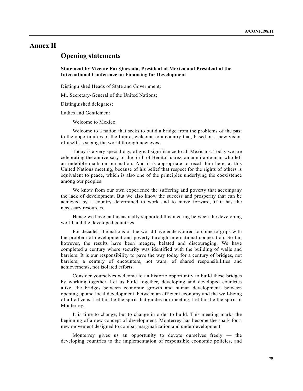# **Annex II**

### **Opening statements**

Statement by Vicente Fox Quesada, President of Mexico and President of the **International Conference on Financing for Development** 

Distinguished Heads of State and Government;

Mr. Secretary-General of the United Nations;

Distinguished delegates;

Ladies and Gentlemen:

Welcome to Mexico.

Welcome to a nation that seeks to build a bridge from the problems of the past to the opportunities of the future; welcome to a country that, based on a new vision of itself, is seeing the world through new eyes.

Today is a very special day, of great significance to all Mexicans. Today we are celebrating the anniversary of the birth of Benito Juárez, an admirable man who left an indelible mark on our nation. And it is appropriate to recall him here, at this United Nations meeting, because of his belief that respect for the rights of others is equivalent to peace, which is also one of the principles underlying the coexistence among our peoples.

We know from our own experience the suffering and poverty that accompany the lack of development. But we also know the success and prosperity that can be achieved by a country determined to work and to move forward, if it has the necessary resources.

Hence we have enthusiastically supported this meeting between the developing world and the developed countries.

For decades, the nations of the world have endeavoured to come to grips with the problem of development and poverty through international cooperation. So far, however, the results have been meagre, belated and discouraging. We have completed a century where security was identified with the building of walls and barriers. It is our responsibility to pave the way today for a century of bridges, not barriers; a century of encounters, not wars; of shared responsibilities and achievements, not isolated efforts.

Consider yourselves welcome to an historic opportunity to build these bridges by working together. Let us build together, developing and developed countries alike, the bridges between economic growth and human development, between opening up and local development, between an efficient economy and the well-being of all citizens. Let this be the spirit that guides our meeting. Let this be the spirit of Monterrey.

It is time to change; but to change in order to build. This meeting marks the beginning of a new concept of development. Monterrey has become the spark for a new movement designed to combat marginalization and underdevelopment.

Monterrey gives us an opportunity to devote ourselves freely  $-$  the developing countries to the implementation of responsible economic policies, and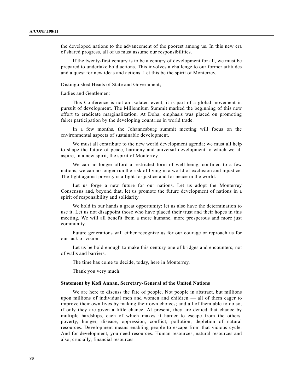the developed nations to the advancement of the poorest among us. In this new era of shared progress, all of us must assume our responsibilities.

If the twenty-first century is to be a century of development for all, we must be prepared to undertake bold actions. This involves a challenge to our former attitudes and a quest for new ideas and actions. Let this be the spirit of Monterrey.

Distinguished Heads of State and Government;

Ladies and Gentlemen:

This Conference is not an isolated event; it is part of a global movement in pursuit of development. The Millennium Summit marked the beginning of this new effort to eradicate marginalization. At Doha, emphasis was placed on promoting fairer participation by the developing countries in world trade.

In a few months, the Johannesburg summit meeting will focus on the environmental aspects of sustainable development.

We must all contribute to the new world development agenda; we must all help to shape the future of peace, harmony and universal development to which we all aspire, in a new spirit, the spirit of Monterrey.

We can no longer afford a restricted form of well-being, confined to a few nations; we can no longer run the risk of living in a world of exclusion and injustice. The fight against poverty is a fight for justice and for peace in the world.

Let us forge a new future for our nations. Let us adopt the Monterrey Consensus and, beyond that, let us promote the future development of nations in a spirit of responsibility and solidarity.

We hold in our hands a great opportunity; let us also have the determination to use it. Let us not disappoint those who have placed their trust and their hopes in this meeting. We will all benefit from a more humane, more prosperous and more just community.

Future generations will either recognize us for our courage or reproach us for our lack of vision.

Let us be bold enough to make this century one of bridges and encounters, not of walls and barriers.

The time has come to decide, today, here in Monterrey.

Thank you very much.

#### **Statement by Kofi Annan, Secretary-General of the United Nations**

We are here to discuss the fate of people. Not people in abstract, but millions upon millions of individual men and women and children - all of them eager to improve their own lives by making their own choices; and all of them able to do so, if only they are given a little chance. At present, they are denied that chance by multiple hardships, each of which makes it harder to escape from the others: poverty, hunger, disease, oppression, conflict, pollution, depletion of natural resources. Development means enabling people to escape from that vicious cycle. And for development, you need resources. Human resources, natural resources and also, crucially, financial resources.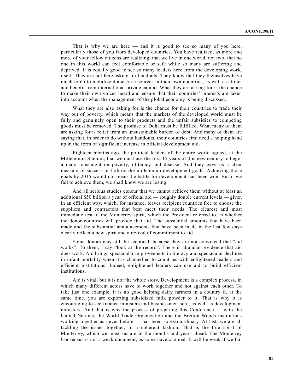That is why we are here  $-$  and it is good to see so many of you here, particularly those of you from developed countries. You have realized, as more and more of your fellow citizens are realizing, that we live in one world, not two; that no one in this world can feel comfortable or safe while so many are suffering and deprived. It is equally good to see so many leaders here from the developing world itself. They are not here asking for handouts. They know that they themselves have much to do to mobilize domestic resources in their own countries, as well as attract and benefit from international private capital. What they are asking for is the chance to make their own voices heard and ensure that their countries' interests are taken into account when the management of the global economy is being discussed.

What they are also asking for is the chance for their countries to trade their way out of poverty, which means that the markets of the developed world must be fully and genuinely open to their products and the unfair subsidies to competing goods must be removed. The promise of Doha must be fulfilled. What many of them are asking for is relief from an unsustainable burden of debt. And many of them are saying that, in order to do without handouts, their countries first need a helping hand up in the form of significant increase in official development aid.

Eighteen months ago, the political leaders of the entire world agreed, at the Millennium Summit, that we must use the first 15 years of this new century to begin a major onslaught on poverty, illiteracy and disease. And they gave us a clear measure of success or failure: the millennium development goals. Achieving those goals by 2015 would not mean the battle for development had been won. But if we fail to achieve them, we shall know we are losing.

And all serious studies concur that we cannot achieve them without at least an additional \$50 billion a year of official aid — roughly double current levels — given in an efficient way, which, for instance, leaves recipient countries free to choose the suppliers and contractors that best meet their needs. The clearest and most immediate test of the Monterrey spirit, which the President referred to, is whether the donor countries will provide that aid. The substantial amounts that have been made and the substantial announcements that have been made in the last few days clearly reflect a new spirit and a revival of commitment to aid.

Some donors may still be sceptical, because they are not convinced that "aid works". To them, I say "look at the record". There is abundant evidence that aid does work. Aid brings spectacular improvements in literacy and spectacular declines in infant mortality when it is channelled to countries with enlightened leaders and efficient institutions. Indeed, enlightened leaders can use aid to build efficient institutions.

Aid is vital, but it is not the whole story. Development is a complex process, in which many different actors have to work together and not against each other. To take just one example, it is no good helping dairy farmers in a country if, at the same time, you are exporting subsidized milk powder to it. That is why it is encouraging to see finance ministers and businessmen here, as well as development ministers. And that is why the process of preparing this Conference — with the United Nations, the World Trade Organization and the Bretton Woods institutions working together as never before — has been so extraordinary. At last, we are all tackling the issues together, in a coherent fashion. That is the true spirit of Monterrey, which we must sustain in the months and years ahead. The Monterrey Consensus is not a weak document, as some have claimed. It will be weak if we fail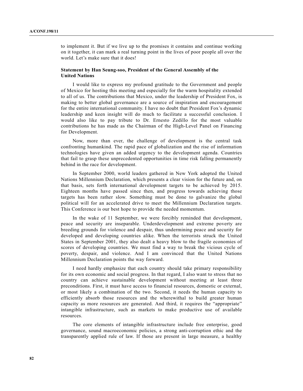to implement it. But if we live up to the promises it contains and continue working on it together, it can mark a real turning point in the lives of poor people all over the world. Let's make sure that it does!

### Statement by Han Seung-soo, President of the General Assembly of the **United Nations**

I would like to express my profound gratitude to the Government and people of Mexico for hosting this meeting and especially for the warm hospitality extended to all of us. The contributions that Mexico, under the leadership of President Fox, is making to better global governance are a source of inspiration and encouragement for the entire international community. I have no doubt that President Fox's dynamic leadership and keen insight will do much to facilitate a successful conclusion. I would also like to pay tribute to Dr. Ernesto Zedillo for the most valuable contributions he has made as the Chairman of the High-Level Panel on Financing for Development.

Now, more than ever, the challenge of development is the central task confronting humankind. The rapid pace of globalization and the rise of information technologies have given an added urgency to the development agenda. Countries that fail to grasp these unprecedented opportunities in time risk falling permanently behind in the race for development.

In September 2000, world leaders gathered in New York adopted the United Nations Millennium Declaration, which presents a clear vision for the future and, on that basis, sets forth international development targets to be achieved by 2015. Eighteen months have passed since then, and progress towards achieving those targets has been rather slow. Something must be done to galvanize the global political will for an accelerated drive to meet the Millennium Declaration targets. This Conference is our best hope to provide the needed momentum.

In the wake of 11 September, we were forcibly reminded that development, peace and security are inseparable. Underdevelopment and extreme poverty are breeding grounds for violence and despair, thus undermining peace and security for developed and developing countries alike. When the terrorists struck the United States in September 2001, they also dealt a heavy blow to the fragile economies of scores of developing countries. We must find a way to break the vicious cycle of poverty, despair, and violence. And I am convinced that the United Nations Millennium Declaration points the way forward.

I need hardly emphasize that each country should take primary responsibility for its own economic and social progress. In that regard, I also want to stress that no country can achieve sustainable development without meeting at least three preconditions. First, it must have access to financial resources, domestic or external, or most likely a combination of the two. Second, it needs the human capacity to efficiently absorb those resources and the wherewithal to build greater human capacity as more resources are generated. And third, it requires the "appropriate" intangible infrastructure, such as markets to make productive use of available resources.

The core elements of intangible infrastructure include free enterprise, good governance, sound macroeconomic policies, a strong anti-corruption ethic and the transparently applied rule of law. If those are present in large measure, a healthy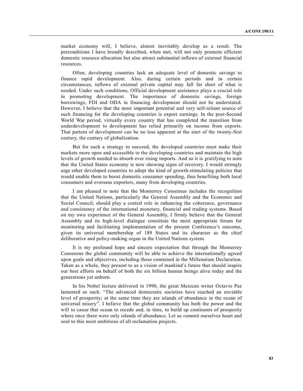market economy will, I believe, almost inevitably develop as a result. The preconditions I have broadly described, when met, will not only promote efficient domestic resource allocation but also attract substantial inflows of external financial resources

Often, developing countries lack an adequate level of domestic savings to finance rapid development. Also, during certain periods and in certain circumstances, inflows of external private capital may fall far short of what is needed. Under such conditions, Official development assistance plays a crucial role in promoting development. The importance of domestic savings, foreign borrowings, FDI and ODA in financing development should not be understated. However, I believe that the most important potential and very self-reliant source of such financing for the developing countries is export earnings. In the post-Second World War period, virtually every country that has completed the transition from underdevelopment to development has relied primarily on income from exports. That pattern of development can be no less apparent at the start of the twenty-first century, the century of globalization.

But for such a strategy to succeed, the developed countries must make their markets more open and accessible to the developing countries and maintain the high levels of growth needed to absorb ever rising imports. And so it is gratifying to note that the United States economy is now showing signs of recovery. I would strongly urge other developed countries to adopt the kind of growth-stimulating policies that would enable them to boost domestic consumer spending, thus benefiting both local consumers and overseas exporters, many from developing countries.

I am pleased to note that the Monterrey Consensus includes the recognition that the United Nations, particularly the General Assembly and the Economic and Social Council, should play a central role in enhancing the coherence, governance and consistency of the international monetary, financial and trading systems. Based on my own experience of the General Assembly, I firmly believe that the General Assembly and its high-level dialogue constitute the most appropriate forum for monitoring and facilitating implementation of the present Conference's outcome, given its universal membership of 189 States and its character as the chief deliberative and policy-making organ in the United Nations system.

It is my profound hope and sincere expectation that through the Monterrey Consensus the global community will be able to achieve the internationally agreed upon goals and objectives, including those contained in the Millennium Declaration. Taken as a whole, they present to us a vision of mankind's future that should inspire our best efforts on behalf of both the six billion human beings alive today and the generations yet unborn.

In his Nobel lecture delivered in 1990, the great Mexican writer Octavio Paz lamented as such: "The advanced democratic societies have reached an enviable level of prosperity; at the same time they are islands of abundance in the ocean of universal misery". I believe that the global community has both the power and the will to cause that ocean to recede and, in time, to build up continents of prosperity where once there were only islands of abundance. Let us commit ourselves heart and soul to this most ambitious of all reclamation projects.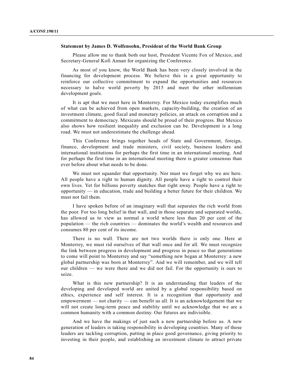### Statement by James D. Wolfensohn, President of the World Bank Group

Please allow me to thank both our host, President Vicente Fox of Mexico, and Secretary-General Kofi Annan for organizing the Conference.

As most of you know, the World Bank has been very closely involved in the financing for development process. We believe this is a great opportunity to reinforce our collective commitment to expand the opportunities and resources necessary to halve world poverty by 2015 and meet the other millennium development goals.

It is apt that we meet here in Monterrey. For Mexico today exemplifies much of what can be achieved from open markets, capacity-building, the creation of an investment climate, good fiscal and monetary policies, an attack on corruption and a commitment to democracy. Mexicans should be proud of their progress. But Mexico also shows how resilient inequality and exclusion can be. Development is a long road. We must not underestimate the challenge ahead.

This Conference brings together heads of State and Government, foreign, finance, development and trade ministers, civil society, business leaders and international institutions for perhaps the first time in an international meeting. And for perhaps the first time in an international meeting there is greater consensus than ever before about what needs to be done.

We must not squander that opportunity. Nor must we forget why we are here. All people have a right to human dignity. All people have a right to control their own lives. Yet for billions poverty snatches that right away. People have a right to opportunity — in education, trade and building a better future for their children. We must not fail them.

I have spoken before of an imaginary wall that separates the rich world from the poor. For too long belief in that wall, and in those separate and separated worlds, has allowed us to view as normal a world where less than 20 per cent of the population — the rich countries — dominates the world's wealth and resources and consumes 80 per cent of its income.

There is no wall. There are not two worlds there is only one. Here at Monterrey, we must rid ourselves of that wall once and for all. We must recognize the link between progress in development and progress in peace so that generations to come will point to Monterrey and say "something new began at Monterrey: a new global partnership was born at Monterrey". And we will remember, and we will tell our children — we were there and we did not fail. For the opportunity is ours to seize.

What is this new partnership? It is an understanding that leaders of the developing and developed world are united by a global responsibility based on ethics, experience and self interest. It is a recognition that opportunity and empowerment — not charity — can benefit us all. It is an acknowledgement that we will not create long-term peace and stability until we acknowledge that we are a common humanity with a common destiny. Our futures are indivisible.

And we have the makings of just such a new partnership before us. A new generation of leaders is taking responsibility in developing countries. Many of those leaders are tackling corruption, putting in place good governance, giving priority to investing in their people, and establishing an investment climate to attract private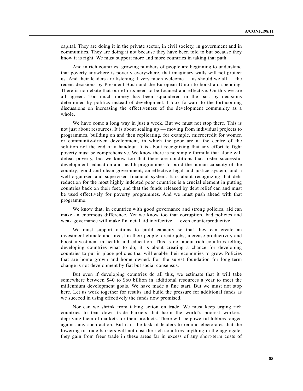capital. They are doing it in the private sector, in civil society, in government and in communities. They are doing it not because they have been told to but because they know it is right. We must support more and more countries in taking that path.

And in rich countries, growing numbers of people are beginning to understand that poverty anywhere is poverty everywhere, that imaginary walls will not protect us. And their leaders are listening. I very much welcome — as should we all — the recent decisions by President Bush and the European Union to boost aid spending. There is no debate that our efforts need to be focused and effective. On this we are all agreed. Too much money has been squandered in the past by decisions determined by politics instead of development. I look forward to the forthcoming discussions on increasing the effectiveness of the development community as a whole.

We have come a long way in just a week. But we must not stop there. This is not just about resources. It is about scaling  $up$  — moving from individual projects to programmes, building on and then replicating, for example, microcredit for women or community-driven development, in which the poor are at the centre of the solution not the end of a handout. It is about recognizing that any effort to fight poverty must be comprehensive. We know there is no simple formula that alone will defeat poverty, but we know too that there are conditions that foster successful development: education and health programmes to build the human capacity of the country; good and clean government; an effective legal and justice system; and a well-organized and supervised financial system. It is about recognizing that debt reduction for the most highly indebted poor countries is a crucial element in putting countries back on their feet, and that the funds released by debt relief can and must be used effectively for poverty programmes. And we must push ahead with that programme.

We know that, in countries with good governance and strong policies, aid can make an enormous difference. Yet we know too that corruption, bad policies and weak governance will make financial aid ineffective — even counterproductive.

We must support nations to build capacity so that they can create an investment climate and invest in their people, create jobs, increase productivity and boost investment in health and education. This is not about rich countries telling developing countries what to do; it is about creating a chance for developing countries to put in place policies that will enable their economies to grow. Policies that are home grown and home owned. For the surest foundation for long-term change is not development by fiat but social consensus.

But even if developing countries do all this, we estimate that it will take somewhere between \$40 to \$60 billion in additional resources a year to meet the millennium development goals. We have made a fine start. But we must not stop here. Let us work together for results and build the pressure for additional funds as we succeed in using effectively the funds now promised.

Nor can we shrink from taking action on trade. We must keep urging rich countries to tear down trade barriers that harm the world's poorest workers, depriving them of markets for their products. There will be powerful lobbies ranged against any such action. But it is the task of leaders to remind electorates that the lowering of trade barriers will not cost the rich countries anything in the aggregate; they gain from freer trade in these areas far in excess of any short-term costs of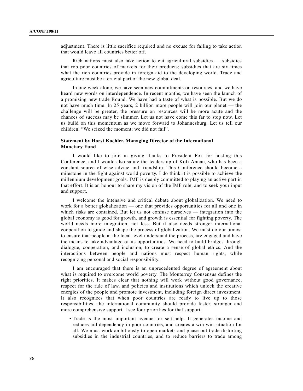adjustment. There is little sacrifice required and no excuse for failing to take action that would leave all countries better off.

Rich nations must also take action to cut agricultural subsidies — subsidies that rob poor countries of markets for their products; subsidies that are six times what the rich countries provide in foreign aid to the developing world. Trade and agriculture must be a crucial part of the new global deal.

In one week alone, we have seen new commitments on resources, and we have heard new words on interdependence. In recent months, we have seen the launch of a promising new trade Round. We have had a taste of what is possible. But we do not have much time. In 25 years, 2 billion more people will join our planet — the challenge will be greater, the pressure on resources will be more acute and the chances of success may be slimmer. Let us not have come this far to stop now. Let us build on this momentum as we move forward to Johannesburg. Let us tell our children. "We seized the moment: we did not fail".

### Statement by Horst Koehler, Managing Director of the International **Monetary Fund**

I would like to join in giving thanks to President Fox for hosting this Conference, and I would also salute the leadership of Kofi Annan, who has been a constant source of wise advice and friendship. This Conference should become a milestone in the fight against world poverty. I do think it is possible to achieve the millennium development goals. IMF is deeply committed to playing an active part in that effort. It is an honour to share my vision of the IMF role, and to seek your input and support.

I welcome the intensive and critical debate about globalization. We need to work for a better globalization — one that provides opportunities for all and one in which risks are contained. But let us not confuse ourselves  $-$  integration into the global economy is good for growth, and growth is essential for fighting poverty. The world needs more integration, not less. But it also needs stronger international cooperation to guide and shape the process of globalization. We must do our utmost to ensure that people at the local level understand the process, are engaged and have the means to take advantage of its opportunities. We need to build bridges through dialogue, cooperation, and inclusion, to create a sense of global ethics. And the interactions between people and nations must respect human rights, while recognizing personal and social responsibility.

I am encouraged that there is an unprecedented degree of agreement about what is required to overcome world poverty. The Monterrey Consensus defines the right priorities. It makes clear that nothing will work without good governance, respect for the rule of law, and policies and institutions which unlock the creative energies of the people and promote investment, including foreign direct investment. It also recognizes that when poor countries are ready to live up to those responsibilities, the international community should provide faster, stronger and more comprehensive support. I see four priorities for that support:

• Trade is the most important avenue for self-help. It generates income and reduces aid dependency in poor countries, and creates a win-win situation for all. We must work ambitiously to open markets and phase out trade-distorting subsidies in the industrial countries, and to reduce barriers to trade among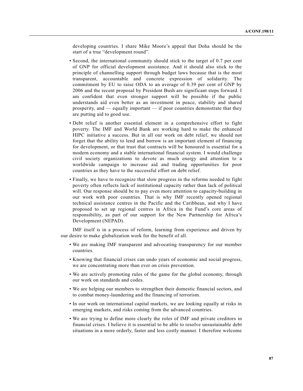developing countries. I share Mike Moore's appeal that Doha should be the start of a true "development round".

- Second, the international community should stick to the target of 0.7 per cent of GNP for official development assistance. And it should also stick to the principle of channelling support through budget laws because that is the most transparent, accountable and concrete expression of solidarity. The commitment by EU to raise ODA to an average of 0.39 per cent of GNP by 2006 and the recent proposal by President Bush are significant steps forward. I am confident that even stronger support will be possible if the public understands aid even better as an investment in peace, stability and shared prosperity, and  $-$  equally important  $-$  if poor countries demonstrate that they are putting aid to good use.
- Debt relief is another essential element in a comprehensive effort to fight poverty. The IMF and World Bank are working hard to make the enhanced HIPC initiative a success. But in all our work on debt relief, we should not forget that the ability to lend and borrow is an important element of financing for development, or that trust that contracts will be honoured is essential for a modern economy and a stable international financial system. I would challenge civil society organizations to devote as much energy and attention to a worldwide campaign to increase aid and trading opportunities for poor countries as they have to the successful effort on debt relief.
- Finally, we have to recognize that slow progress in the reforms needed to fight poverty often reflects lack of institutional capacity rather than lack of political will. Our response should be to pay even more attention to capacity-building in our work with poor countries. That is why IMF recently opened regional technical assistance centres in the Pacific and the Caribbean, and why I have proposed to set up regional centres in Africa in the Fund's core areas of responsibility, as part of our support for the New Partnership for Africa's Development (NEPAD).

IMF itself is in a process of reform, learning from experience and driven by our desire to make globalization work for the benefit of all.

- We are making IMF transparent and advocating transparency for our member countries.
- Knowing that financial crises can undo years of economic and social progress, we are concentrating more than ever on crisis prevention.
- We are actively promoting rules of the game for the global economy, through our work on standards and codes.
- We are helping our members to strengthen their domestic financial sectors, and to combat money-laundering and the financing of terrorism.
- In our work on international capital markets, we are looking equally at risks in emerging markets, and risks coming from the advanced countries.
- We are trying to define more clearly the roles of IMF and private creditors in financial crises. I believe it is essential to be able to resolve unsustainable debt situations in a more orderly, faster and less costly manner. I therefore welcome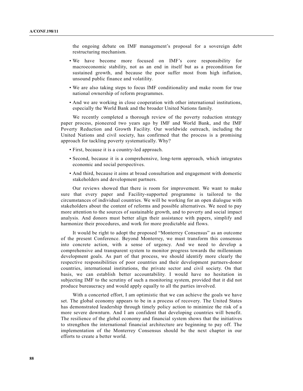the ongoing debate on IMF management's proposal for a sovereign debt restructuring mechanism.

- We have become more focused on IMF's core responsibility for macroeconomic stability, not as an end in itself but as a precondition for sustained growth, and because the poor suffer most from high inflation, unsound public finance and volatility.
- We are also taking steps to focus IMF conditionality and make room for true national ownership of reform programmes.
- And we are working in close cooperation with other international institutions, especially the World Bank and the broader United Nations family.

We recently completed a thorough review of the poverty reduction strategy paper process, pioneered two years ago by IMF and World Bank, and the IMF Poverty Reduction and Growth Facility. Our worldwide outreach, including the United Nations and civil society, has confirmed that the process is a promising approach for tackling poverty systematically. Why?

- First, because it is a country-led approach.
- Second, because it is a comprehensive, long-term approach, which integrates economic and social perspectives.
- And third, because it aims at broad consultation and engagement with domestic stakeholders and development partners.

Our reviews showed that there is room for improvement. We want to make sure that every paper and Facility-supported programme is tailored to the circumstances of individual countries. We will be working for an open dialogue with stakeholders about the content of reforms and possible alternatives. We need to pay more attention to the sources of sustainable growth, and to poverty and social impact analysis. And donors must better align their assistance with papers, simplify and harmonize their procedures, and work for more predictable aid flows.

It would be right to adopt the proposed "Monterrey Consensus" as an outcome of the present Conference. Beyond Monterrey, we must transform this consensus into concrete action, with a sense of urgency. And we need to develop a comprehensive and transparent system to monitor progress towards the millennium development goals. As part of that process, we should identify more clearly the respective responsibilities of poor countries and their development partners-donor countries, international institutions, the private sector and civil society. On that basis, we can establish better accountability. I would have no hesitation in subjecting IMF to the scrutiny of such a monitoring system, provided that it did not produce bureaucracy and would apply equally to all the parties involved.

With a concerted effort, I am optimistic that we can achieve the goals we have set. The global economy appears to be in a process of recovery. The United States has demonstrated leadership through timely policy action to minimize the risk of a more severe downturn. And I am confident that developing countries will benefit. The resilience of the global economy and financial system shows that the initiatives to strengthen the international financial architecture are beginning to pay off. The implementation of the Monterrey Consensus should be the next chapter in our efforts to create a better world.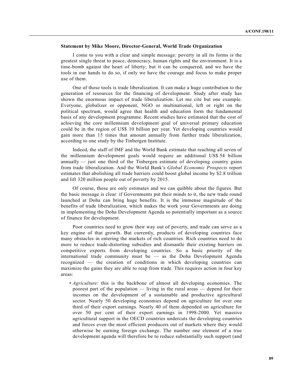#### Statement by Mike Moore, Director-General, World Trade Organization

I come to you with a clear and simple message: poverty in all its forms is the greatest single threat to peace, democracy, human rights and the environment. It is a time-bomb against the heart of liberty; but it can be conquered, and we have the tools in our hands to do so, if only we have the courage and focus to make proper use of them.

One of those tools is trade liberalization. It can make a huge contribution to the generation of resources for the financing of development. Study after study has shown the enormous impact of trade liberalization. Let me cite but one example. Everyone, globalizer or opponent, NGO or multinational, left or right on the political spectrum, would agree that health and education form the fundamental basis of any development programme. Recent studies have estimated that the cost of achieving the core millennium development goal of universal primary education could be in the region of US\$ 10 billion per year. Yet developing countries would gain more than 15 times that amount annually from further trade liberalization, according to one study by the Tinbergen Institute.

Indeed, the staff of IMF and the World Bank estimate that reaching all seven of the millennium development goals would require an additional US\$ 54 billion annually — just one third of the Tinbergen estimate of developing country gains from trade liberalization. And the World Bank's Global Economic Prospects report estimates that abolishing all trade barriers could boost global income by \$2.8 trillion and lift 320 million people out of poverty by 2015.

Of course, those are only estimates and we can quibble about the figures. But the basic message is clear: if Governments put their minds to it, the new trade round launched at Doha can bring huge benefits. It is the immense magnitude of the benefits of trade liberalization, which makes the work your Governments are doing in implementing the Doha Development Agenda so potentially important as a source of finance for development.

Poor countries need to grow their way out of poverty, and trade can serve as a key engine of that growth. But currently, products of developing countries face many obstacles in entering the markets of rich countries. Rich countries need to do more to reduce trade-distorting subsidies and dismantle their existing barriers on competitive exports from developing countries. So a basic priority of the international trade community must be  $-$  as the Doha Development Agenda recognized — the creation of conditions in which developing countries can maximize the gains they are able to reap from trade. This requires action in four key areas:

• Agriculture: this is the backbone of almost all developing economies. The poorest part of the population  $-$  living in the rural areas  $-$  depend for their incomes on the development of a sustainable and productive agricultural sector. Nearly 50 developing economies depend on agriculture for over one third of their export earnings. Nearly 40 of them depended on agriculture for over 50 per cent of their export earnings in 1998-2000. Yet massive agricultural support in the OECD countries undercuts the developing countries and forces even the most efficient producers out of markets where they would otherwise be earning foreign exchange. The number one element of a true development agenda will therefore be to reduce substantially such support (and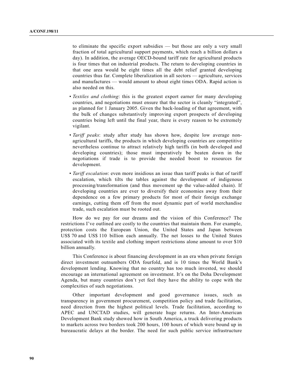to eliminate the specific export subsidies - but those are only a very small fraction of total agricultural support payments, which reach a billion dollars a day). In addition, the average OECD-bound tariff rate for agricultural products is four times that on industrial products. The return to developing countries in that one area would be eight times all the debt relief granted developing countries thus far. Complete liberalization in all sectors — agriculture, services and manufactures — would amount to about eight times ODA. Rapid action is also needed on this.

- Textiles and clothing: this is the greatest export earner for many developing countries, and negotiations must ensure that the sector is cleanly "integrated", as planned for 1 January 2005. Given the back-loading of that agreement, with the bulk of changes substantively improving export prospects of developing countries being left until the final year, there is every reason to be extremely vigilant.
- · Tariff peaks: study after study has shown how, despite low average nonagricultural tariffs, the products in which developing countries are competitive nevertheless continue to attract relatively high tariffs (in both developed and developing countries); those must imperatively be beaten down in the negotiations if trade is to provide the needed boost to resources for development.
- · Tariff escalation: even more insidious an issue than tariff peaks is that of tariff escalation, which tilts the tables against the development of indigenous processing/transformation (and thus movement up the value-added chain). If developing countries are ever to diversify their economies away from their dependence on a few primary products for most of their foreign exchange earnings, cutting them off from the most dynamic part of world merchandise trade, such escalation must be rooted out.

How do we pay for our dreams and the vision of this Conference? The restrictions I've outlined are costly to the countries that maintain them. For example, protection costs the European Union, the United States and Japan between US\$ 70 and US\$ 110 billion each annually. The net losses to the United States associated with its textile and clothing import restrictions alone amount to over \$10 billion annually.

This Conference is about financing development in an era when private foreign direct investment outnumbers ODA fourfold, and is 10 times the World Bank's development lending. Knowing that no country has too much invested, we should encourage an international agreement on investment. It's on the Doha Development Agenda, but many countries don't yet feel they have the ability to cope with the complexities of such negotiations.

Other important development and good governance issues, such as transparency in government procurement, competition policy and trade facilitation, need direction from the highest political levels. Trade facilitation, according to APEC and UNCTAD studies, will generate huge returns. An Inter-American Development Bank study showed how in South America, a truck delivering products to markets across two borders took 200 hours, 100 hours of which were bound up in bureaucratic delays at the border. The need for such public service infrastructure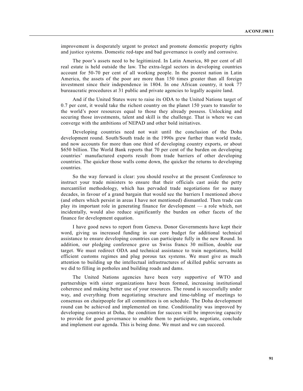improvement is desperately urgent to protect and promote domestic property rights and justice systems. Domestic red-tape and bad governance is costly and corrosive.

The poor's assets need to be legitimized. In Latin America, 80 per cent of all real estate is held outside the law. The extra-legal sectors in developing countries account for 50-70 per cent of all working people. In the poorest nation in Latin America, the assets of the poor are more than 150 times greater than all foreign investment since their independence in 1804. In one African country, it took 77 bureaucratic procedures at 31 public and private agencies to legally acquire land.

And if the United States were to raise its ODA to the United Nations target of 0.7 per cent, it would take the richest country on the planet 150 years to transfer to the world's poor resources equal to those they already possess. Unlocking and securing those investments, talent and skill is the challenge. That is where we can converge with the ambitions of NEPAD and other bold initiatives.

Developing countries need not wait until the conclusion of the Doha development round. South/South trade in the 1990s grew further than world trade, and now accounts for more than one third of developing country exports, or about \$650 billion. The World Bank reports that 70 per cent of the burden on developing countries' manufactured exports result from trade barriers of other developing countries. The quicker those walls come down, the quicker the returns to developing countries.

So the way forward is clear: you should resolve at the present Conference to instruct your trade ministers to ensure that their officials cast aside the petty mercantilist methodology, which has pervaded trade negotiations for so many decades, in favour of a grand bargain that would see the barriers I mentioned above (and others which persist in areas I have not mentioned) dismantled. Then trade can play its important role in generating finance for development — a role which, not incidentally, would also reduce significantly the burden on other facets of the finance for development equation.

I have good news to report from Geneva. Donor Governments have kept their word, giving us increased funding in our core budget for additional technical assistance to ensure developing countries can participate fully in the new Round. In addition, our pledging conference gave us Swiss francs 30 million, double our target. We must redirect ODA and technical assistance to train negotiators, build efficient customs regimes and plug porous tax systems. We must give as much attention to building up the intellectual infrastructures of skilled public servants as we did to filling in potholes and building roads and dams.

The United Nations agencies have been very supportive of WTO and partnerships with sister organizations have been formed, increasing institutional coherence and making better use of your resources. The round is successfully under way, and everything from negotiating structure and time-tabling of meetings to consensus on chairpeople for all committees is on schedule. The Doha development round can be achieved and implemented on time. Conditionality was improved by developing countries at Doha, the condition for success will be improving capacity to provide for good governance to enable them to participate, negotiate, conclude and implement our agenda. This is being done. We must and we can succeed.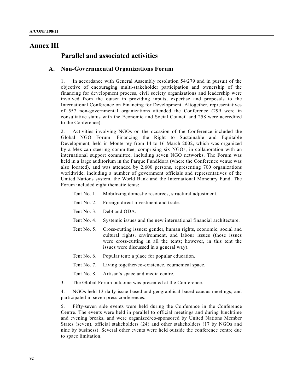### **Annex III**

### **Parallel and associated activities**

#### **Non-Governmental Organizations Forum**  $\mathbf{A}$ .

In accordance with General Assembly resolution 54/279 and in pursuit of the  $1_{\cdot}$ objective of encouraging multi-stakeholder participation and ownership of the financing for development process, civil society organizations and leadership were involved from the outset in providing inputs, expertise and proposals to the International Conference on Financing for Development. Altogether, representatives of 557 non-governmental organizations attended the Conference (299 were in consultative status with the Economic and Social Council and 258 were accredited to the Conference).

Activities involving NGOs on the occasion of the Conference included the 2. Global NGO Forum: Financing the Right to Sustainable and Equitable Development, held in Monterrey from 14 to 16 March 2002, which was organized by a Mexican steering committee, comprising six NGOs, in collaboration with an international support committee, including seven NGO networks. The Forum was held in a large auditorium in the Parque Fundidora (where the Conference venue was also located), and was attended by 2,600 persons, representing 700 organizations worldwide, including a number of government officials and representatives of the United Nations system, the World Bank and the International Monetary Fund. The Forum included eight thematic tents:

Tent No. 1. Mobilizing domestic resources, structural adjustment.

- Tent No. 2. Foreign direct investment and trade.
- Tent No. 3. Debt and ODA.
- Tent No. 4. Systemic issues and the new international financial architecture.
- Tent No. 5. Cross-cutting issues: gender, human rights, economic, social and cultural rights, environment, and labour issues (those issues were cross-cutting in all the tents; however, in this tent the issues were discussed in a general way).
- Tent No. 6. Popular tent: a place for popular education.
- Tent No. 7. Living together/co-existence, ecumenical space.
- Tent No. 8. Artisan's space and media centre.
- 3. The Global Forum outcome was presented at the Conference.

4. NGOs held 13 daily issue-based and geographical-based caucus meetings, and participated in seven press conferences.

Fifty-seven side events were held during the Conference in the Conference 5. Centre. The events were held in parallel to official meetings and during lunchtime and evening breaks, and were organized/co-sponsored by United Nations Member States (seven), official stakeholders (24) and other stakeholders (17 by NGOs and nine by business). Several other events were held outside the conference centre due to space limitation.